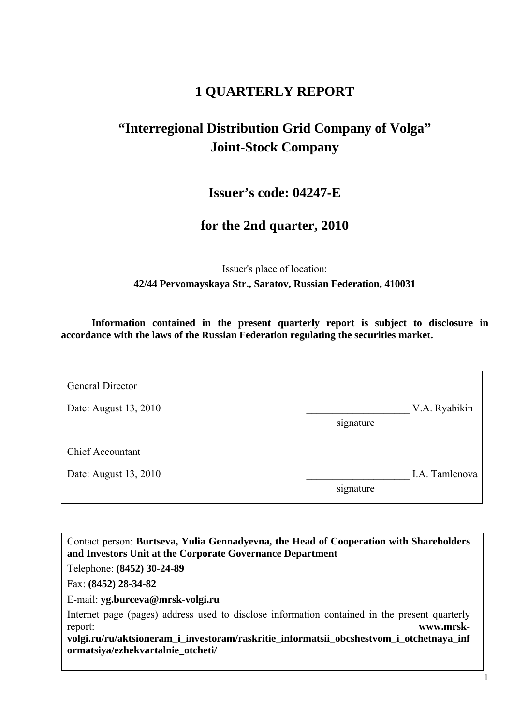# **1 QUARTERLY REPORT**

# **"Interregional Distribution Grid Company of Volga" Joint-Stock Company**

**Issuer's code: 04247-E**

# **for the 2nd quarter, 2010**

Issuer's place of location: **42/44 Pervomayskaya Str., Saratov, Russian Federation, 410031**

**Information contained in the present quarterly report is subject to disclosure in accordance with the laws of the Russian Federation regulating the securities market.** 

| General Director        |           |                |
|-------------------------|-----------|----------------|
| Date: August 13, 2010   |           | V.A. Ryabikin  |
|                         | signature |                |
|                         |           |                |
| <b>Chief Accountant</b> |           |                |
| Date: August 13, 2010   |           | I.A. Tamlenova |
|                         | signature |                |
|                         |           |                |

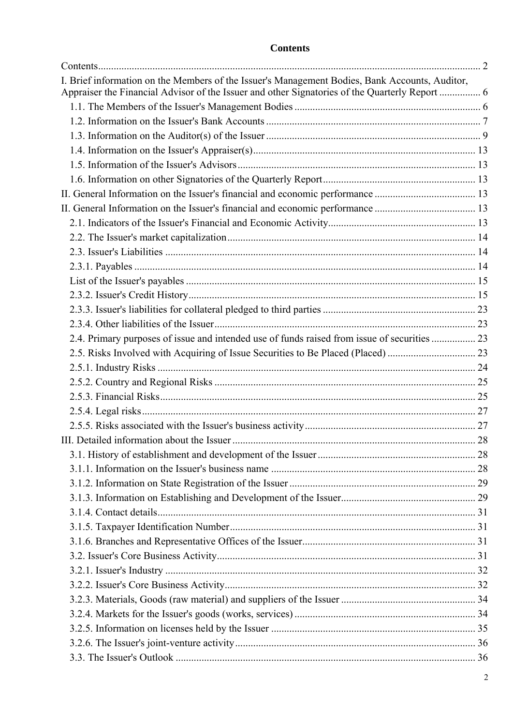# **Contents**

| I. Brief information on the Members of the Issuer's Management Bodies, Bank Accounts, Auditor, |  |
|------------------------------------------------------------------------------------------------|--|
| Appraiser the Financial Advisor of the Issuer and other Signatories of the Quarterly Report  6 |  |
|                                                                                                |  |
|                                                                                                |  |
|                                                                                                |  |
|                                                                                                |  |
|                                                                                                |  |
|                                                                                                |  |
|                                                                                                |  |
|                                                                                                |  |
|                                                                                                |  |
|                                                                                                |  |
|                                                                                                |  |
|                                                                                                |  |
|                                                                                                |  |
|                                                                                                |  |
|                                                                                                |  |
|                                                                                                |  |
| 2.4. Primary purposes of issue and intended use of funds raised from issue of securities  23   |  |
|                                                                                                |  |
|                                                                                                |  |
|                                                                                                |  |
|                                                                                                |  |
|                                                                                                |  |
|                                                                                                |  |
|                                                                                                |  |
|                                                                                                |  |
|                                                                                                |  |
|                                                                                                |  |
|                                                                                                |  |
|                                                                                                |  |
|                                                                                                |  |
|                                                                                                |  |
|                                                                                                |  |
|                                                                                                |  |
|                                                                                                |  |
|                                                                                                |  |
|                                                                                                |  |
|                                                                                                |  |
|                                                                                                |  |
|                                                                                                |  |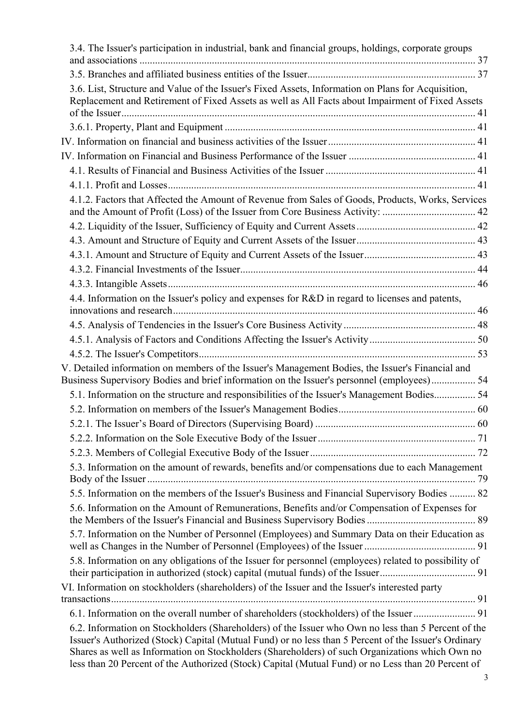| 3.4. The Issuer's participation in industrial, bank and financial groups, holdings, corporate groups                                                                                                                                                                                                                                                                                                                 |  |
|----------------------------------------------------------------------------------------------------------------------------------------------------------------------------------------------------------------------------------------------------------------------------------------------------------------------------------------------------------------------------------------------------------------------|--|
|                                                                                                                                                                                                                                                                                                                                                                                                                      |  |
| 3.6. List, Structure and Value of the Issuer's Fixed Assets, Information on Plans for Acquisition,<br>Replacement and Retirement of Fixed Assets as well as All Facts about Impairment of Fixed Assets                                                                                                                                                                                                               |  |
|                                                                                                                                                                                                                                                                                                                                                                                                                      |  |
|                                                                                                                                                                                                                                                                                                                                                                                                                      |  |
|                                                                                                                                                                                                                                                                                                                                                                                                                      |  |
|                                                                                                                                                                                                                                                                                                                                                                                                                      |  |
|                                                                                                                                                                                                                                                                                                                                                                                                                      |  |
| 4.1.2. Factors that Affected the Amount of Revenue from Sales of Goods, Products, Works, Services<br>and the Amount of Profit (Loss) of the Issuer from Core Business Activity:  42                                                                                                                                                                                                                                  |  |
|                                                                                                                                                                                                                                                                                                                                                                                                                      |  |
|                                                                                                                                                                                                                                                                                                                                                                                                                      |  |
|                                                                                                                                                                                                                                                                                                                                                                                                                      |  |
|                                                                                                                                                                                                                                                                                                                                                                                                                      |  |
|                                                                                                                                                                                                                                                                                                                                                                                                                      |  |
| 4.4. Information on the Issuer's policy and expenses for R&D in regard to licenses and patents,                                                                                                                                                                                                                                                                                                                      |  |
|                                                                                                                                                                                                                                                                                                                                                                                                                      |  |
|                                                                                                                                                                                                                                                                                                                                                                                                                      |  |
|                                                                                                                                                                                                                                                                                                                                                                                                                      |  |
| V. Detailed information on members of the Issuer's Management Bodies, the Issuer's Financial and<br>Business Supervisory Bodies and brief information on the Issuer's personnel (employees) 54                                                                                                                                                                                                                       |  |
| 5.1. Information on the structure and responsibilities of the Issuer's Management Bodies 54                                                                                                                                                                                                                                                                                                                          |  |
|                                                                                                                                                                                                                                                                                                                                                                                                                      |  |
|                                                                                                                                                                                                                                                                                                                                                                                                                      |  |
|                                                                                                                                                                                                                                                                                                                                                                                                                      |  |
|                                                                                                                                                                                                                                                                                                                                                                                                                      |  |
| 5.3. Information on the amount of rewards, benefits and/or compensations due to each Management                                                                                                                                                                                                                                                                                                                      |  |
| 5.5. Information on the members of the Issuer's Business and Financial Supervisory Bodies  82                                                                                                                                                                                                                                                                                                                        |  |
| 5.6. Information on the Amount of Remunerations, Benefits and/or Compensation of Expenses for                                                                                                                                                                                                                                                                                                                        |  |
| 5.7. Information on the Number of Personnel (Employees) and Summary Data on their Education as                                                                                                                                                                                                                                                                                                                       |  |
| 5.8. Information on any obligations of the Issuer for personnel (employees) related to possibility of                                                                                                                                                                                                                                                                                                                |  |
| VI. Information on stockholders (shareholders) of the Issuer and the Issuer's interested party                                                                                                                                                                                                                                                                                                                       |  |
|                                                                                                                                                                                                                                                                                                                                                                                                                      |  |
| 6.2. Information on Stockholders (Shareholders) of the Issuer who Own no less than 5 Percent of the<br>Issuer's Authorized (Stock) Capital (Mutual Fund) or no less than 5 Percent of the Issuer's Ordinary<br>Shares as well as Information on Stockholders (Shareholders) of such Organizations which Own no<br>less than 20 Percent of the Authorized (Stock) Capital (Mutual Fund) or no Less than 20 Percent of |  |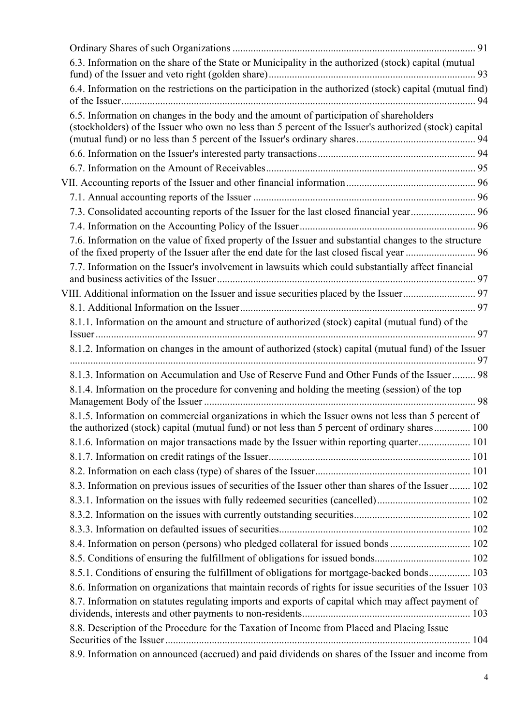| 6.3. Information on the share of the State or Municipality in the authorized (stock) capital (mutual                                                                                              |  |
|---------------------------------------------------------------------------------------------------------------------------------------------------------------------------------------------------|--|
|                                                                                                                                                                                                   |  |
| 6.4. Information on the restrictions on the participation in the authorized (stock) capital (mutual find)                                                                                         |  |
| 6.5. Information on changes in the body and the amount of participation of shareholders<br>(stockholders) of the Issuer who own no less than 5 percent of the Issuer's authorized (stock) capital |  |
|                                                                                                                                                                                                   |  |
|                                                                                                                                                                                                   |  |
|                                                                                                                                                                                                   |  |
|                                                                                                                                                                                                   |  |
|                                                                                                                                                                                                   |  |
|                                                                                                                                                                                                   |  |
| 7.6. Information on the value of fixed property of the Issuer and substantial changes to the structure                                                                                            |  |
| 7.7. Information on the Issuer's involvement in lawsuits which could substantially affect financial                                                                                               |  |
|                                                                                                                                                                                                   |  |
|                                                                                                                                                                                                   |  |
| 8.1.1. Information on the amount and structure of authorized (stock) capital (mutual fund) of the                                                                                                 |  |
| 8.1.2. Information on changes in the amount of authorized (stock) capital (mutual fund) of the Issuer                                                                                             |  |
| 8.1.3. Information on Accumulation and Use of Reserve Fund and Other Funds of the Issuer 98                                                                                                       |  |
| 8.1.4. Information on the procedure for convening and holding the meeting (session) of the top                                                                                                    |  |
| 8.1.5. Information on commercial organizations in which the Issuer owns not less than 5 percent of                                                                                                |  |
| the authorized (stock) capital (mutual fund) or not less than 5 percent of ordinary shares 100                                                                                                    |  |
| 8.1.6. Information on major transactions made by the Issuer within reporting quarter 101                                                                                                          |  |
|                                                                                                                                                                                                   |  |
|                                                                                                                                                                                                   |  |
| 8.3. Information on previous issues of securities of the Issuer other than shares of the Issuer  102                                                                                              |  |
|                                                                                                                                                                                                   |  |
|                                                                                                                                                                                                   |  |
|                                                                                                                                                                                                   |  |
| 8.4. Information on person (persons) who pledged collateral for issued bonds  102                                                                                                                 |  |
|                                                                                                                                                                                                   |  |
| 8.5.1. Conditions of ensuring the fulfillment of obligations for mortgage-backed bonds 103                                                                                                        |  |
| 8.6. Information on organizations that maintain records of rights for issue securities of the Issuer 103                                                                                          |  |
| 8.7. Information on statutes regulating imports and exports of capital which may affect payment of                                                                                                |  |
| 8.8. Description of the Procedure for the Taxation of Income from Placed and Placing Issue                                                                                                        |  |
| 8.9. Information on announced (accrued) and paid dividends on shares of the Issuer and income from                                                                                                |  |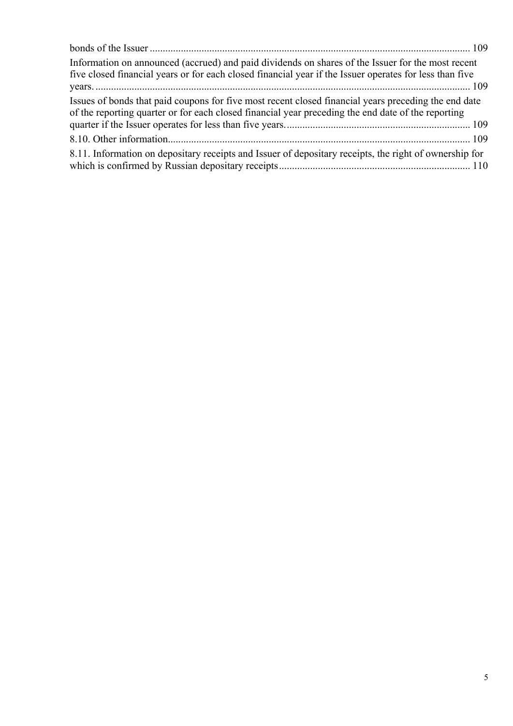| Information on announced (accrued) and paid dividends on shares of the Issuer for the most recent<br>five closed financial years or for each closed financial year if the Issuer operates for less than five |
|--------------------------------------------------------------------------------------------------------------------------------------------------------------------------------------------------------------|
| Issues of bonds that paid coupons for five most recent closed financial years preceding the end date<br>of the reporting quarter or for each closed financial year preceding the end date of the reporting   |
|                                                                                                                                                                                                              |
| 8.11. Information on depositary receipts and Issuer of depositary receipts, the right of ownership for                                                                                                       |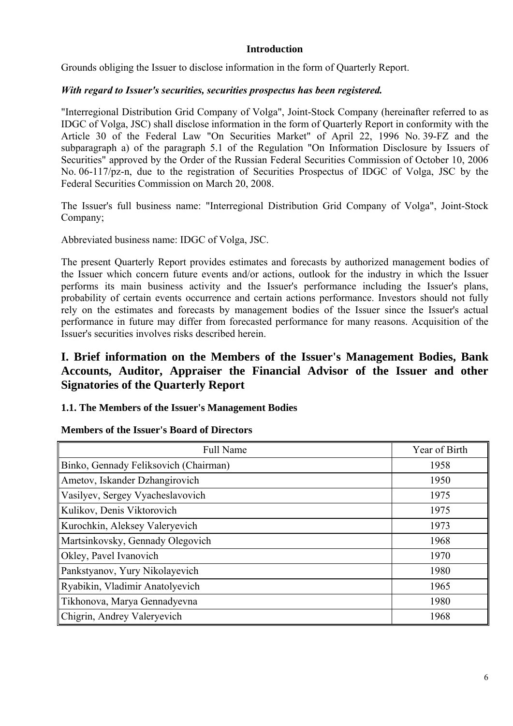# **Introduction**

Grounds obliging the Issuer to disclose information in the form of Quarterly Report.

## *With regard to Issuer's securities, securities prospectus has been registered.*

"Interregional Distribution Grid Company of Volga", Joint-Stock Company (hereinafter referred to as IDGC of Volga, JSC) shall disclose information in the form of Quarterly Report in conformity with the Article 30 of the Federal Law "On Securities Market" of April 22, 1996 No. 39-FZ and the subparagraph a) of the paragraph 5.1 of the Regulation "On Information Disclosure by Issuers of Securities" approved by the Order of the Russian Federal Securities Commission of October 10, 2006 No. 06-117/pz-n, due to the registration of Securities Prospectus of IDGC of Volga, JSC by the Federal Securities Commission on March 20, 2008.

The Issuer's full business name: "Interregional Distribution Grid Company of Volga", Joint-Stock Company;

Abbreviated business name: IDGC of Volga, JSC.

The present Quarterly Report provides estimates and forecasts by authorized management bodies of the Issuer which concern future events and/or actions, outlook for the industry in which the Issuer performs its main business activity and the Issuer's performance including the Issuer's plans, probability of certain events occurrence and certain actions performance. Investors should not fully rely on the estimates and forecasts by management bodies of the Issuer since the Issuer's actual performance in future may differ from forecasted performance for many reasons. Acquisition of the Issuer's securities involves risks described herein.

# **I. Brief information on the Members of the Issuer's Management Bodies, Bank Accounts, Auditor, Appraiser the Financial Advisor of the Issuer and other Signatories of the Quarterly Report**

# **1.1. The Members of the Issuer's Management Bodies**

# **Members of the Issuer's Board of Directors**

| <b>Full Name</b>                      | Year of Birth |
|---------------------------------------|---------------|
| Binko, Gennady Feliksovich (Chairman) | 1958          |
| Ametov, Iskander Dzhangirovich        | 1950          |
| Vasilyev, Sergey Vyacheslavovich      | 1975          |
| Kulikov, Denis Viktorovich            | 1975          |
| Kurochkin, Aleksey Valeryevich        | 1973          |
| Martsinkovsky, Gennady Olegovich      | 1968          |
| Okley, Pavel Ivanovich                | 1970          |
| Pankstyanov, Yury Nikolayevich        | 1980          |
| Ryabikin, Vladimir Anatolyevich       | 1965          |
| Tikhonova, Marya Gennadyevna          | 1980          |
| Chigrin, Andrey Valeryevich           | 1968          |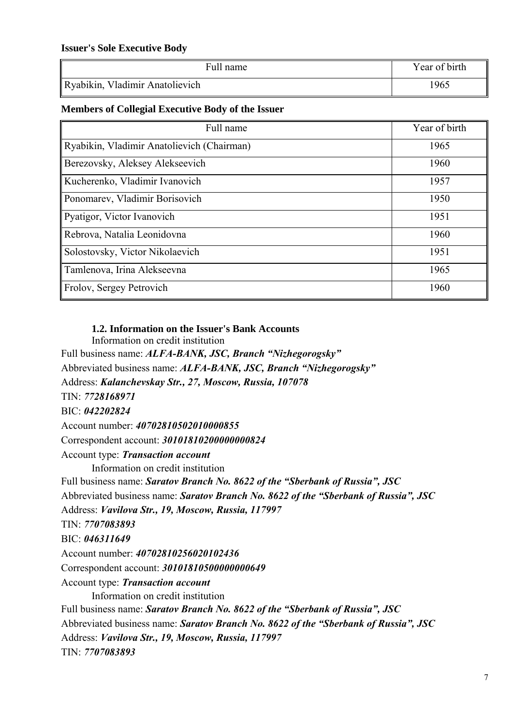### **Issuer's Sole Executive Body**

| Full name                       | Year of birth |
|---------------------------------|---------------|
| Ryabikin, Vladimir Anatolievich | 1965          |

# **Members of Collegial Executive Body of the Issuer**

| Full name                                  | Year of birth |
|--------------------------------------------|---------------|
| Ryabikin, Vladimir Anatolievich (Chairman) | 1965          |
| Berezovsky, Aleksey Alekseevich            | 1960          |
| Kucherenko, Vladimir Ivanovich             | 1957          |
| Ponomarev, Vladimir Borisovich             | 1950          |
| Pyatigor, Victor Ivanovich                 | 1951          |
| Rebrova, Natalia Leonidovna                | 1960          |
| Solostovsky, Victor Nikolaevich            | 1951          |
| Tamlenova, Irina Alekseevna                | 1965          |
| Frolov, Sergey Petrovich                   | 1960          |

## **1.2. Information on the Issuer's Bank Accounts**

Information on credit institution

Full business name: *ALFA-BANK, JSC, Branch "Nizhegorogsky"* Abbreviated business name: *ALFA-BANK, JSC, Branch "Nizhegorogsky"* Address: *Kalanchevskay Str., 27, Moscow, Russia, 107078* TIN: *7728168971* BIC: *042202824* Account number: *40702810502010000855* Correspondent account: *30101810200000000824* Account type: *Transaction account* Information on credit institution Full business name: *Saratov Branch No. 8622 of the "Sberbank of Russia", JSC* Abbreviated business name: *Saratov Branch No. 8622 of the "Sberbank of Russia", JSC* Address: *Vavilova Str., 19, Moscow, Russia, 117997* TIN: *7707083893*  BIC: *046311649* Account number: *40702810256020102436* Correspondent account: *30101810500000000649* Account type: *Transaction account* Information on credit institution Full business name: *Saratov Branch No. 8622 of the "Sberbank of Russia", JSC* Abbreviated business name: *Saratov Branch No. 8622 of the "Sberbank of Russia", JSC* Address: *Vavilova Str., 19, Moscow, Russia, 117997* TIN: *7707083893*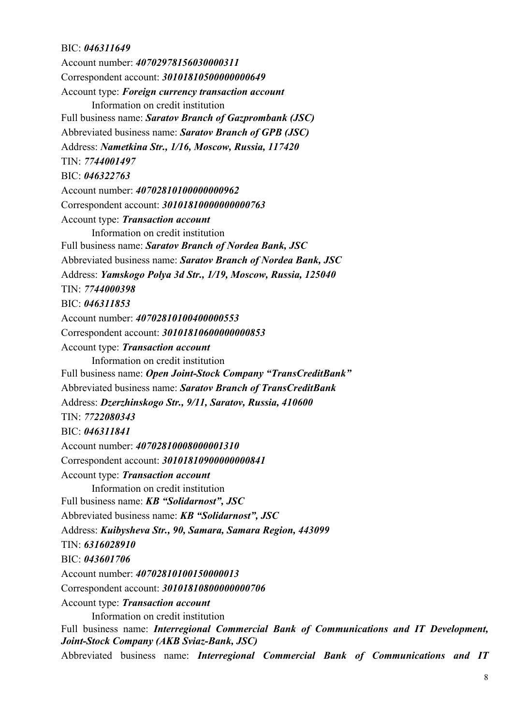# BIC: *046311649*

Account number: *40702978156030000311* Correspondent account: *30101810500000000649* Account type: *Foreign currency transaction account* Information on credit institution Full business name: *Saratov Branch of Gazprombank (JSC)* Abbreviated business name: *Saratov Branch of GPB (JSC)* Address: *Nametkina Str., 1/16, Moscow, Russia, 117420* TIN: *7744001497*  BIC: *046322763* Account number: *40702810100000000962*  Correspondent account: *30101810000000000763* Account type: *Transaction account* Information on credit institution Full business name: *Saratov Branch of Nordea Bank, JSC* Abbreviated business name: *Saratov Branch of Nordea Bank, JSC* Address: *Yamskogo Polya 3d Str., 1/19, Moscow, Russia, 125040*  TIN: *7744000398* BIC: *046311853* Account number: *40702810100400000553* Correspondent account: *30101810600000000853* Account type: *Transaction account* Information on credit institution Full business name: *Open Joint-Stock Company "TransCreditBank"* Abbreviated business name: *Saratov Branch of TransCreditBank* Address: *Dzerzhinskogo Str., 9/11, Saratov, Russia, 410600*  TIN: *7722080343* BIC: *046311841* Account number: *40702810008000001310* Correspondent account: *30101810900000000841* Account type: *Transaction account* Information on credit institution Full business name: *KB "Solidarnost", JSC*  Abbreviated business name: *KB "Solidarnost", JSC*  Address: *Kuibysheva Str., 90, Samara, Samara Region, 443099* TIN: *6316028910* BIC: *043601706* Account number: *40702810100150000013* Correspondent account: *30101810800000000706* Account type: *Transaction account* Information on credit institution Full business name: *Interregional Commercial Bank of Communications and IT Development, Joint-Stock Company (AKB Sviaz-Bank, JSC)*

Abbreviated business name: *Interregional Commercial Bank of Communications and IT*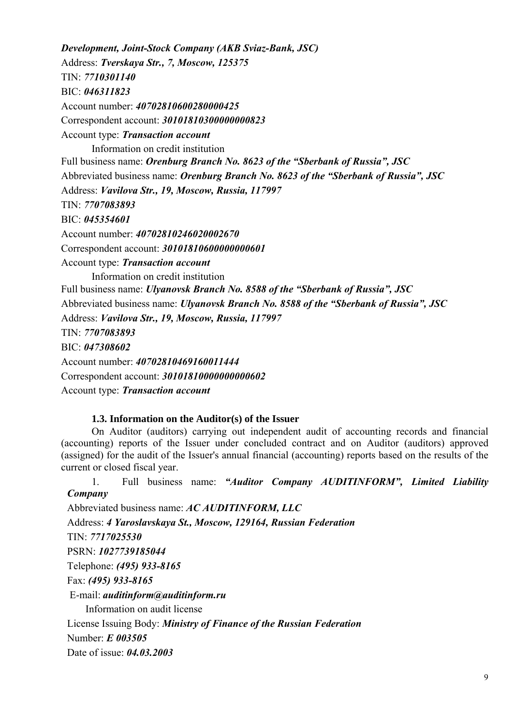*Development, Joint-Stock Company (AKB Sviaz-Bank, JSC)* Address: *Tverskaya Str., 7, Moscow, 125375* TIN: *7710301140* BIC: *046311823* Account number: *40702810600280000425* Correspondent account: *30101810300000000823* Account type: *Transaction account* Information on credit institution Full business name: *Orenburg Branch No. 8623 of the "Sberbank of Russia", JSC* Abbreviated business name: *Orenburg Branch No. 8623 of the "Sberbank of Russia", JSC* Address: *Vavilova Str., 19, Moscow, Russia, 117997* TIN: *7707083893* BIC: *045354601* Account number: *40702810246020002670* Correspondent account: *30101810600000000601* Account type: *Transaction account* Information on credit institution Full business name: *Ulyanovsk Branch No. 8588 of the "Sberbank of Russia", JSC* Abbreviated business name: *Ulyanovsk Branch No. 8588 of the "Sberbank of Russia", JSC* Address: *Vavilova Str., 19, Moscow, Russia, 117997* TIN: *7707083893* BIC: *047308602* Account number: *40702810469160011444* Correspondent account: *30101810000000000602* Account type: *Transaction account*

### **1.3. Information on the Auditor(s) of the Issuer**

On Auditor (auditors) carrying out independent audit of accounting records and financial (accounting) reports of the Issuer under concluded contract and on Auditor (auditors) approved (assigned) for the audit of the Issuer's annual financial (accounting) reports based on the results of the current or closed fiscal year.

1. Full business name: *"Auditor Company AUDITINFORM", Limited Liability Company* Abbreviated business name: *AC AUDITINFORM, LLC* Address: *4 Yaroslavskaya St., Moscow, 129164, Russian Federation*  TIN: *7717025530* PSRN: *1027739185044* Telephone: *(495) 933-8165* Fax: *(495) 933-8165* E-mail: *auditinform@auditinform.ru* Information on audit license License Issuing Body: *Ministry of Finance of the Russian Federation* Number: *Е 003505*

Date of issue: *04.03.2003*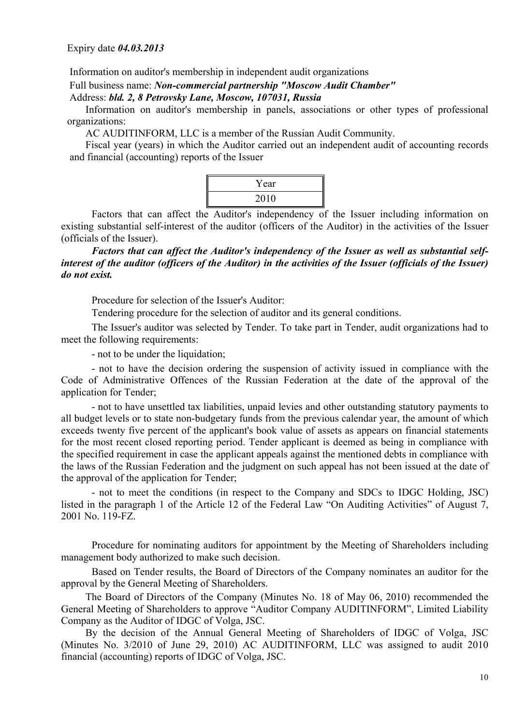Information on auditor's membership in independent audit organizations

#### Full business name: *Non-commercial partnership "Moscow Audit Chamber"*

Address: *bld. 2, 8 Petrovsky Lane, Moscow, 107031, Russia* 

Information on auditor's membership in panels, associations or other types of professional organizations:

AC AUDITINFORM, LLC is a member of the Russian Audit Community.

Fiscal year (years) in which the Auditor carried out an independent audit of accounting records and financial (accounting) reports of the Issuer



Factors that can affect the Auditor's independency of the Issuer including information on existing substantial self-interest of the auditor (officers of the Auditor) in the activities of the Issuer (officials of the Issuer).

*Factors that can affect the Auditor's independency of the Issuer as well as substantial selfinterest of the auditor (officers of the Auditor) in the activities of the Issuer (officials of the Issuer) do not exist.*

Procedure for selection of the Issuer's Auditor:

Tendering procedure for the selection of auditor and its general conditions.

The Issuer's auditor was selected by Tender. To take part in Tender, audit organizations had to meet the following requirements:

- not to be under the liquidation;

- not to have the decision ordering the suspension of activity issued in compliance with the Code of Administrative Offences of the Russian Federation at the date of the approval of the application for Tender;

- not to have unsettled tax liabilities, unpaid levies and other outstanding statutory payments to all budget levels or to state non-budgetary funds from the previous calendar year, the amount of which exceeds twenty five percent of the applicant's book value of assets as appears on financial statements for the most recent closed reporting period. Tender applicant is deemed as being in compliance with the specified requirement in case the applicant appeals against the mentioned debts in compliance with the laws of the Russian Federation and the judgment on such appeal has not been issued at the date of the approval of the application for Tender;

- not to meet the conditions (in respect to the Company and SDCs to IDGC Holding, JSC) listed in the paragraph 1 of the Article 12 of the Federal Law "On Auditing Activities" of August 7, 2001 No. 119-FZ.

Procedure for nominating auditors for appointment by the Meeting of Shareholders including management body authorized to make such decision.

Based on Tender results, the Board of Directors of the Company nominates an auditor for the approval by the General Meeting of Shareholders.

The Board of Directors of the Company (Minutes No. 18 of May 06, 2010) recommended the General Meeting of Shareholders to approve "Auditor Company AUDITINFORM", Limited Liability Company as the Auditor of IDGC of Volga, JSC.

By the decision of the Annual General Meeting of Shareholders of IDGC of Volga, JSC (Minutes No. 3/2010 of June 29, 2010) AC AUDITINFORM, LLC was assigned to audit 2010 financial (accounting) reports of IDGC of Volga, JSC.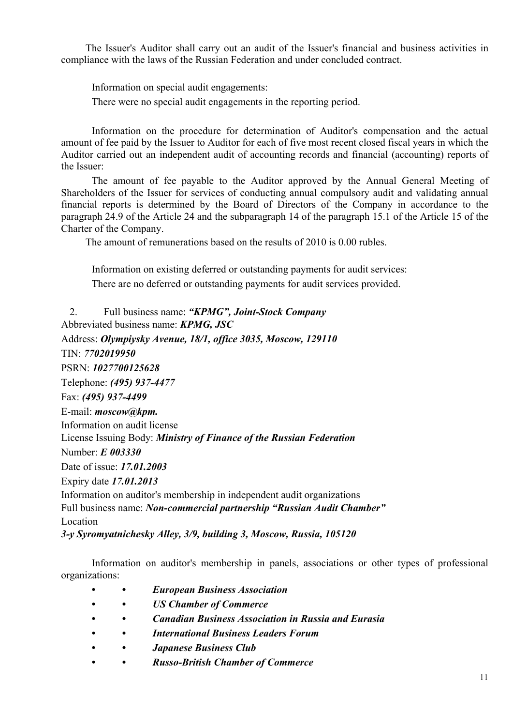The Issuer's Auditor shall carry out an audit of the Issuer's financial and business activities in compliance with the laws of the Russian Federation and under concluded contract.

Information on special audit engagements:

There were no special audit engagements in the reporting period.

Information on the procedure for determination of Auditor's compensation and the actual amount of fee paid by the Issuer to Auditor for each of five most recent closed fiscal years in which the Auditor carried out an independent audit of accounting records and financial (accounting) reports of the Issuer:

The amount of fee payable to the Auditor approved by the Annual General Meeting of Shareholders of the Issuer for services of conducting annual compulsory audit and validating annual financial reports is determined by the Board of Directors of the Company in accordance to the paragraph 24.9 of the Article 24 and the subparagraph 14 of the paragraph 15.1 of the Article 15 of the Charter of the Company.

The amount of remunerations based on the results of 2010 is 0.00 rubles.

Information on existing deferred or outstanding payments for audit services: There are no deferred or outstanding payments for audit services provided.

2. Full business name: *"KPMG", Joint-Stock Company* Abbreviated business name: *KPMG, JSC* Address: *Olympiysky Avenue, 18/1, office 3035, Moscow, 129110* TIN: *7702019950* PSRN: *1027700125628* Telephone: *(495) 937-4477* Fax: *(495) 937-4499* E-mail: *moscow@kpm.* Information on audit license License Issuing Body: *Ministry of Finance of the Russian Federation* Number: *Е 003330* Date of issue: *17.01.2003* Expiry date *17.01.2013* Information on auditor's membership in independent audit organizations Full business name: *Non-commercial partnership "Russian Audit Chamber"* Location *3-y Syromyatnichesky Alley, 3/9, building 3, Moscow, Russia, 105120* 

Information on auditor's membership in panels, associations or other types of professional organizations:

- *• European Business Association*
- *• US Chamber of Commerce*
- *• Canadian Business Association in Russia and Eurasia*
- *• International Business Leaders Forum*
- *• Japanese Business Club*
- *• Russo-British Chamber of Commerce*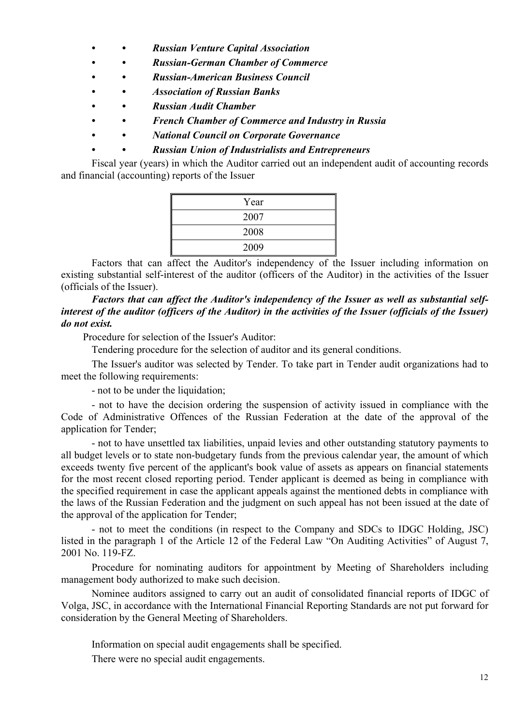- *• Russian Venture Capital Association*
- *Russian-German Chamber of Commerce*
- *• Russian-American Business Council*
- *• Association of Russian Banks*
- *• Russian Audit Chamber*
- *• French Chamber of Commerce and Industry in Russia*
- *• National Council on Corporate Governance* 
	- *• Russian Union of Industrialists and Entrepreneurs*

Fiscal year (years) in which the Auditor carried out an independent audit of accounting records and financial (accounting) reports of the Issuer

| Year |
|------|
| 2007 |
| 2008 |
| 2009 |

Factors that can affect the Auditor's independency of the Issuer including information on existing substantial self-interest of the auditor (officers of the Auditor) in the activities of the Issuer (officials of the Issuer).

*Factors that can affect the Auditor's independency of the Issuer as well as substantial selfinterest of the auditor (officers of the Auditor) in the activities of the Issuer (officials of the Issuer) do not exist.*

Procedure for selection of the Issuer's Auditor:

Tendering procedure for the selection of auditor and its general conditions.

The Issuer's auditor was selected by Tender. To take part in Tender audit organizations had to meet the following requirements:

- not to be under the liquidation;

- not to have the decision ordering the suspension of activity issued in compliance with the Code of Administrative Offences of the Russian Federation at the date of the approval of the application for Tender;

- not to have unsettled tax liabilities, unpaid levies and other outstanding statutory payments to all budget levels or to state non-budgetary funds from the previous calendar year, the amount of which exceeds twenty five percent of the applicant's book value of assets as appears on financial statements for the most recent closed reporting period. Tender applicant is deemed as being in compliance with the specified requirement in case the applicant appeals against the mentioned debts in compliance with the laws of the Russian Federation and the judgment on such appeal has not been issued at the date of the approval of the application for Tender;

- not to meet the conditions (in respect to the Company and SDCs to IDGC Holding, JSC) listed in the paragraph 1 of the Article 12 of the Federal Law "On Auditing Activities" of August 7, 2001 No. 119-FZ.

Procedure for nominating auditors for appointment by Meeting of Shareholders including management body authorized to make such decision.

Nominee auditors assigned to carry out an audit of consolidated financial reports of IDGC of Volga, JSC, in accordance with the International Financial Reporting Standards are not put forward for consideration by the General Meeting of Shareholders.

Information on special audit engagements shall be specified.

There were no special audit engagements.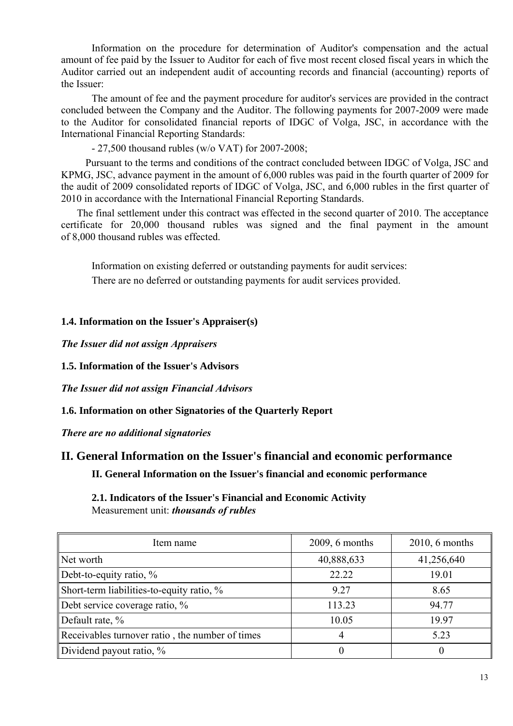Information on the procedure for determination of Auditor's compensation and the actual amount of fee paid by the Issuer to Auditor for each of five most recent closed fiscal years in which the Auditor carried out an independent audit of accounting records and financial (accounting) reports of the Issuer:

The amount of fee and the payment procedure for auditor's services are provided in the contract concluded between the Company and the Auditor. The following payments for 2007-2009 were made to the Auditor for consolidated financial reports of IDGC of Volga, JSC, in accordance with the International Financial Reporting Standards:

- 27,500 thousand rubles (w/o VAT) for 2007-2008;

Pursuant to the terms and conditions of the contract concluded between IDGC of Volga, JSC and KPMG, JSC, advance payment in the amount of 6,000 rubles was paid in the fourth quarter of 2009 for the audit of 2009 consolidated reports of IDGC of Volga, JSC, and 6,000 rubles in the first quarter of 2010 in accordance with the International Financial Reporting Standards.

The final settlement under this contract was effected in the second quarter of 2010. The acceptance certificate for 20,000 thousand rubles was signed and the final payment in the amount of 8,000 thousand rubles was effected.

Information on existing deferred or outstanding payments for audit services: There are no deferred or outstanding payments for audit services provided.

## **1.4. Information on the Issuer's Appraiser(s)**

*The Issuer did not assign Appraisers*

**1.5. Information of the Issuer's Advisors** 

*The Issuer did not assign Financial Advisors*

**1.6. Information on other Signatories of the Quarterly Report** 

*There are no additional signatories* 

# **II. General Information on the Issuer's financial and economic performance II. General Information on the Issuer's financial and economic performance**

**2.1. Indicators of the Issuer's Financial and Economic Activity**  Measurement unit: *thousands of rubles* 

| Item name                                       | $2009, 6$ months | $2010, 6$ months |
|-------------------------------------------------|------------------|------------------|
| Net worth                                       | 40,888,633       | 41,256,640       |
| Debt-to-equity ratio, $\%$                      | 22.22            | 19.01            |
| Short-term liabilities-to-equity ratio, %       | 9.27             | 8.65             |
| Debt service coverage ratio, %                  | 113.23           | 94.77            |
| Default rate, $%$                               | 10.05            | 19.97            |
| Receivables turnover ratio, the number of times | 4                | 5.23             |
| Dividend payout ratio, $\%$                     |                  | $\Omega$         |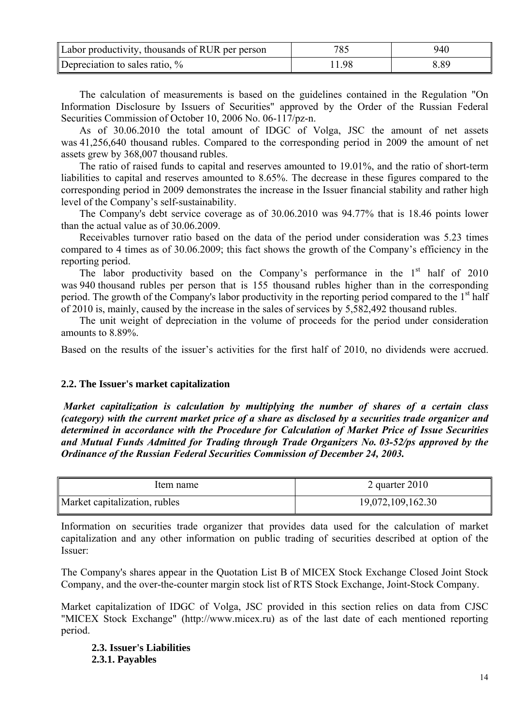| Labor productivity, thousands of RUR per person | 785  | 940  |
|-------------------------------------------------|------|------|
| Depreciation to sales ratio, %                  | 1.98 | 8.89 |

The calculation of measurements is based on the guidelines contained in the Regulation "On Information Disclosure by Issuers of Securities" approved by the Order of the Russian Federal Securities Commission of October 10, 2006 No. 06-117/pz-n.

As of 30.06.2010 the total amount of IDGC of Volga, JSC the amount of net assets was 41,256,640 thousand rubles. Compared to the corresponding period in 2009 the amount of net assets grew by 368,007 thousand rubles.

The ratio of raised funds to capital and reserves amounted to 19.01%, and the ratio of short-term liabilities to capital and reserves amounted to 8.65%. The decrease in these figures compared to the corresponding period in 2009 demonstrates the increase in the Issuer financial stability and rather high level of the Company's self-sustainability.

The Company's debt service coverage as of 30.06.2010 was 94.77% that is 18.46 points lower than the actual value as of 30.06.2009.

Receivables turnover ratio based on the data of the period under consideration was 5.23 times compared to 4 times as of 30.06.2009; this fact shows the growth of the Company's efficiency in the reporting period.

The labor productivity based on the Company's performance in the  $1<sup>st</sup>$  half of 2010 was 940 thousand rubles per person that is 155 thousand rubles higher than in the corresponding period. The growth of the Company's labor productivity in the reporting period compared to the 1<sup>st</sup> half of 2010 is, mainly, caused by the increase in the sales of services by 5,582,492 thousand rubles.

The unit weight of depreciation in the volume of proceeds for the period under consideration amounts to 8.89%.

Based on the results of the issuer's activities for the first half of 2010, no dividends were accrued.

### **2.2. The Issuer's market capitalization**

 *Market capitalization is calculation by multiplying the number of shares of a certain class (category) with the current market price of a share as disclosed by a securities trade organizer and determined in accordance with the Procedure for Calculation of Market Price of Issue Securities and Mutual Funds Admitted for Trading through Trade Organizers No. 03-52/ps approved by the Ordinance of the Russian Federal Securities Commission of December 24, 2003.* 

| Item name                     | 2 quarter $2010$  |
|-------------------------------|-------------------|
| Market capitalization, rubles | 19,072,109,162.30 |

Information on securities trade organizer that provides data used for the calculation of market capitalization and any other information on public trading of securities described at option of the Issuer:

The Company's shares appear in the Quotation List B of MICEX Stock Exchange Closed Joint Stock Company, and the over-the-counter margin stock list of RTS Stock Exchange, Joint-Stock Company.

Market capitalization of IDGC of Volga, JSC provided in this section relies on data from CJSC "MICEX Stock Exchange" (http://www.micex.ru) as of the last date of each mentioned reporting period.

**2.3. Issuer's Liabilities 2.3.1. Payables**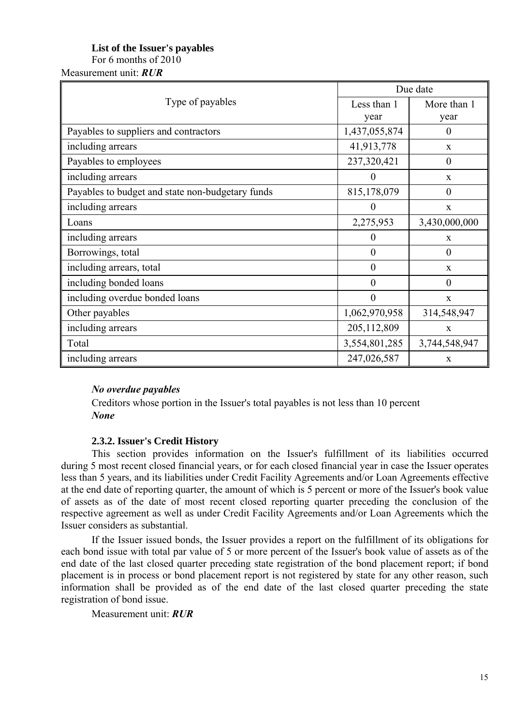# **List of the Issuer's payables**

For 6 months of 2010

Measurement unit: *RUR*

|                                                  | Due date         |                  |  |
|--------------------------------------------------|------------------|------------------|--|
| Type of payables                                 | Less than 1      | More than 1      |  |
|                                                  | year             | year             |  |
| Payables to suppliers and contractors            | 1,437,055,874    | $\theta$         |  |
| including arrears                                | 41,913,778       | X                |  |
| Payables to employees                            | 237,320,421      | $\boldsymbol{0}$ |  |
| including arrears                                | $\boldsymbol{0}$ | X                |  |
| Payables to budget and state non-budgetary funds | 815,178,079      | $\overline{0}$   |  |
| including arrears                                | $\overline{0}$   | $\mathbf X$      |  |
| Loans                                            | 2,275,953        | 3,430,000,000    |  |
| including arrears                                | $\boldsymbol{0}$ | X                |  |
| Borrowings, total                                | $\boldsymbol{0}$ | $\overline{0}$   |  |
| including arrears, total                         | $\mathbf{0}$     | X                |  |
| including bonded loans                           | $\overline{0}$   | $\overline{0}$   |  |
| including overdue bonded loans                   | $\overline{0}$   | X                |  |
| Other payables                                   | 1,062,970,958    | 314,548,947      |  |
| including arrears                                | 205,112,809      | X                |  |
| Total                                            | 3,554,801,285    | 3,744,548,947    |  |
| including arrears                                | 247,026,587      | X                |  |

# *No overdue payables*

Creditors whose portion in the Issuer's total payables is not less than 10 percent *None*

# **2.3.2. Issuer's Credit History**

This section provides information on the Issuer's fulfillment of its liabilities occurred during 5 most recent closed financial years, or for each closed financial year in case the Issuer operates less than 5 years, and its liabilities under Credit Facility Agreements and/or Loan Agreements effective at the end date of reporting quarter, the amount of which is 5 percent or more of the Issuer's book value of assets as of the date of most recent closed reporting quarter preceding the conclusion of the respective agreement as well as under Credit Facility Agreements and/or Loan Agreements which the Issuer considers as substantial.

If the Issuer issued bonds, the Issuer provides a report on the fulfillment of its obligations for each bond issue with total par value of 5 or more percent of the Issuer's book value of assets as of the end date of the last closed quarter preceding state registration of the bond placement report; if bond placement is in process or bond placement report is not registered by state for any other reason, such information shall be provided as of the end date of the last closed quarter preceding the state registration of bond issue.

Measurement unit: *RUR*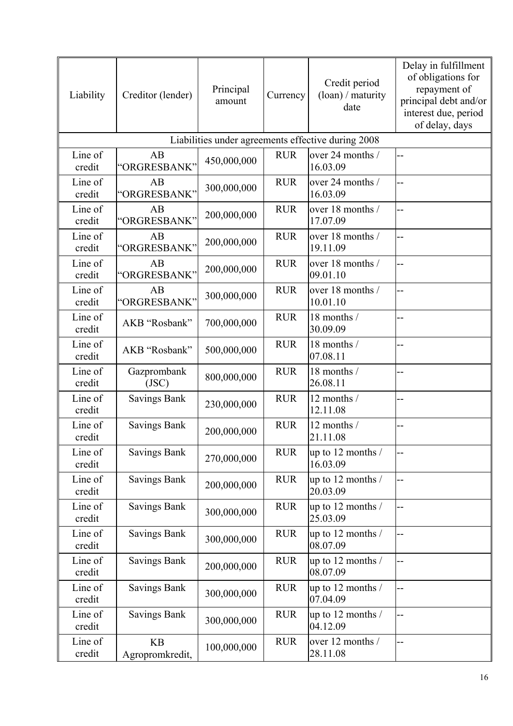| Liability         | Creditor (lender)            | Principal<br>amount | Currency   | Credit period<br>$\frac{1}{\tan}$ / maturity<br>date | Delay in fulfillment<br>of obligations for<br>repayment of<br>principal debt and/or<br>interest due, period<br>of delay, days |
|-------------------|------------------------------|---------------------|------------|------------------------------------------------------|-------------------------------------------------------------------------------------------------------------------------------|
|                   |                              |                     |            | Liabilities under agreements effective during 2008   |                                                                                                                               |
| Line of<br>credit | AB<br>"ORGRESBANK"           | 450,000,000         | <b>RUR</b> | over 24 months /<br>16.03.09                         |                                                                                                                               |
| Line of<br>credit | AB<br>"ORGRESBANK"           | 300,000,000         | <b>RUR</b> | over 24 months /<br>16.03.09                         |                                                                                                                               |
| Line of<br>credit | AB<br>"ORGRESBANK"           | 200,000,000         | <b>RUR</b> | over 18 months /<br>17.07.09                         |                                                                                                                               |
| Line of<br>credit | AB<br>"ORGRESBANK"           | 200,000,000         | <b>RUR</b> | over 18 months /<br>19.11.09                         | $-$                                                                                                                           |
| Line of<br>credit | AB<br>"ORGRESBANK"           | 200,000,000         | <b>RUR</b> | over 18 months /<br>09.01.10                         | --                                                                                                                            |
| Line of<br>credit | AB<br>"ORGRESBANK"           | 300,000,000         | <b>RUR</b> | over 18 months /<br>10.01.10                         | --                                                                                                                            |
| Line of<br>credit | AKB "Rosbank"                | 700,000,000         | <b>RUR</b> | 18 months /<br>30.09.09                              |                                                                                                                               |
| Line of<br>credit | AKB "Rosbank"                | 500,000,000         | <b>RUR</b> | 18 months /<br>07.08.11                              |                                                                                                                               |
| Line of<br>credit | Gazprombank<br>(JSC)         | 800,000,000         | <b>RUR</b> | 18 months /<br>26.08.11                              | --                                                                                                                            |
| Line of<br>credit | <b>Savings Bank</b>          | 230,000,000         | <b>RUR</b> | 12 months /<br>12.11.08                              |                                                                                                                               |
| Line of<br>credit | <b>Savings Bank</b>          | 200,000,000         | <b>RUR</b> | 12 months /<br>21.11.08                              |                                                                                                                               |
| Line of<br>credit | <b>Savings Bank</b>          | 270,000,000         | <b>RUR</b> | up to 12 months /<br>16.03.09                        |                                                                                                                               |
| Line of<br>credit | <b>Savings Bank</b>          | 200,000,000         | <b>RUR</b> | up to 12 months /<br>20.03.09                        |                                                                                                                               |
| Line of<br>credit | <b>Savings Bank</b>          | 300,000,000         | <b>RUR</b> | up to 12 months /<br>25.03.09                        | --                                                                                                                            |
| Line of<br>credit | <b>Savings Bank</b>          | 300,000,000         | <b>RUR</b> | up to 12 months /<br>08.07.09                        |                                                                                                                               |
| Line of<br>credit | <b>Savings Bank</b>          | 200,000,000         | <b>RUR</b> | up to 12 months /<br>08.07.09                        |                                                                                                                               |
| Line of<br>credit | <b>Savings Bank</b>          | 300,000,000         | <b>RUR</b> | up to 12 months /<br>07.04.09                        |                                                                                                                               |
| Line of<br>credit | <b>Savings Bank</b>          | 300,000,000         | <b>RUR</b> | up to 12 months /<br>04.12.09                        |                                                                                                                               |
| Line of<br>credit | <b>KB</b><br>Agropromkredit, | 100,000,000         | <b>RUR</b> | over 12 months /<br>28.11.08                         |                                                                                                                               |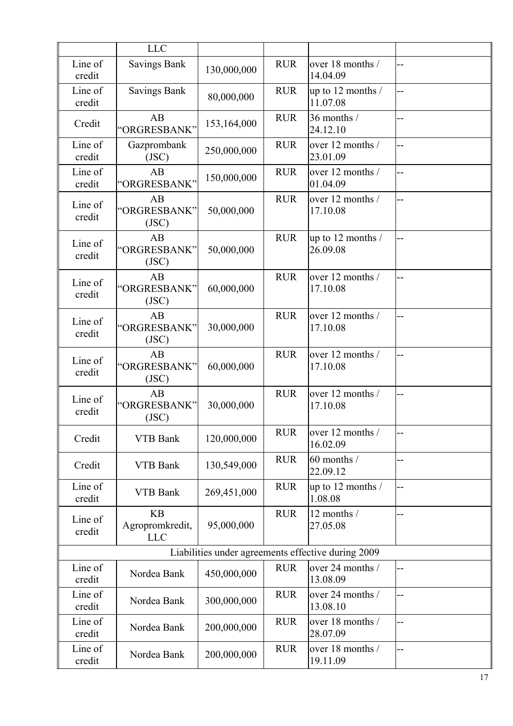|                   | <b>LLC</b>                                 |             |            |                                                    |                |
|-------------------|--------------------------------------------|-------------|------------|----------------------------------------------------|----------------|
| Line of<br>credit | <b>Savings Bank</b>                        | 130,000,000 | <b>RUR</b> | over 18 months /<br>14.04.09                       | --             |
| Line of<br>credit | <b>Savings Bank</b>                        | 80,000,000  | <b>RUR</b> | up to 12 months /<br>11.07.08                      | --             |
| Credit            | AB<br>"ORGRESBANK"                         | 153,164,000 | <b>RUR</b> | 36 months /<br>24.12.10                            | --             |
| Line of<br>credit | Gazprombank<br>(JSC)                       | 250,000,000 | <b>RUR</b> | over 12 months /<br>23.01.09                       | $-$            |
| Line of<br>credit | AB<br>"ORGRESBANK"                         | 150,000,000 | <b>RUR</b> | over 12 months /<br>01.04.09                       | --             |
| Line of<br>credit | AB<br>"ORGRESBANK"<br>(JSC)                | 50,000,000  | <b>RUR</b> | over 12 months /<br>17.10.08                       | --             |
| Line of<br>credit | AB<br>"ORGRESBANK"<br>(JSC)                | 50,000,000  | <b>RUR</b> | up to 12 months /<br>26.09.08                      | $\ddotsc$      |
| Line of<br>credit | AB<br>"ORGRESBANK"<br>(JSC)                | 60,000,000  | <b>RUR</b> | over 12 months /<br>17.10.08                       | --             |
| Line of<br>credit | AB<br>"ORGRESBANK"<br>(JSC)                | 30,000,000  | <b>RUR</b> | over 12 months /<br>17.10.08                       | --             |
| Line of<br>credit | AB<br>"ORGRESBANK"<br>(JSC)                | 60,000,000  | <b>RUR</b> | over 12 months /<br>17.10.08                       | $\overline{a}$ |
| Line of<br>credit | AB<br>"ORGRESBANK"<br>(JSC)                | 30,000,000  | <b>RUR</b> | over 12 months /<br>17.10.08                       | $\overline{a}$ |
| Credit            | <b>VTB Bank</b>                            | 120,000,000 | <b>RUR</b> | over 12 months /<br>16.02.09                       | --             |
| Credit            | <b>VTB Bank</b>                            | 130,549,000 | <b>RUR</b> | 60 months /<br>22.09.12                            | --             |
| Line of<br>credit | <b>VTB Bank</b>                            | 269,451,000 | <b>RUR</b> | up to 12 months /<br>1.08.08                       | $\overline{a}$ |
| Line of<br>credit | <b>KB</b><br>Agropromkredit,<br><b>LLC</b> | 95,000,000  | <b>RUR</b> | 12 months /<br>27.05.08                            | --             |
|                   |                                            |             |            | Liabilities under agreements effective during 2009 |                |
| Line of<br>credit | Nordea Bank                                | 450,000,000 | <b>RUR</b> | over 24 months /<br>13.08.09                       | --             |
| Line of<br>credit | Nordea Bank                                | 300,000,000 | <b>RUR</b> | over 24 months /<br>13.08.10                       | $-$            |
| Line of<br>credit | Nordea Bank                                | 200,000,000 | <b>RUR</b> | over 18 months /<br>28.07.09                       | --             |
| Line of<br>credit | Nordea Bank                                | 200,000,000 | <b>RUR</b> | over 18 months /<br>19.11.09                       | --             |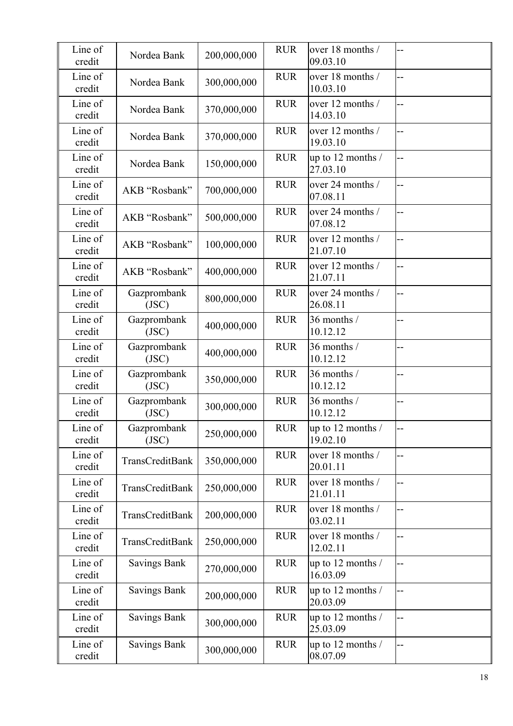| Line of<br>credit | Nordea Bank          | 200,000,000 | <b>RUR</b> | over 18 months /<br>09.03.10  | $-$ |
|-------------------|----------------------|-------------|------------|-------------------------------|-----|
| Line of<br>credit | Nordea Bank          | 300,000,000 | <b>RUR</b> | over 18 months /<br>10.03.10  | $-$ |
| Line of<br>credit | Nordea Bank          | 370,000,000 | <b>RUR</b> | over 12 months /<br>14.03.10  | --  |
| Line of<br>credit | Nordea Bank          | 370,000,000 | <b>RUR</b> | over 12 months /<br>19.03.10  | --  |
| Line of<br>credit | Nordea Bank          | 150,000,000 | <b>RUR</b> | up to 12 months /<br>27.03.10 | ц,  |
| Line of<br>credit | AKB "Rosbank"        | 700,000,000 | <b>RUR</b> | over 24 months /<br>07.08.11  | --  |
| Line of<br>credit | AKB "Rosbank"        | 500,000,000 | <b>RUR</b> | over 24 months /<br>07.08.12  | --  |
| Line of<br>credit | AKB "Rosbank"        | 100,000,000 | <b>RUR</b> | over 12 months /<br>21.07.10  | --  |
| Line of<br>credit | AKB "Rosbank"        | 400,000,000 | <b>RUR</b> | over 12 months /<br>21.07.11  |     |
| Line of<br>credit | Gazprombank<br>(JSC) | 800,000,000 | <b>RUR</b> | over 24 months /<br>26.08.11  |     |
| Line of<br>credit | Gazprombank<br>(JSC) | 400,000,000 | <b>RUR</b> | 36 months /<br>10.12.12       | --  |
| Line of<br>credit | Gazprombank<br>(JSC) | 400,000,000 | <b>RUR</b> | 36 months /<br>10.12.12       | $-$ |
| Line of<br>credit | Gazprombank<br>(JSC) | 350,000,000 | <b>RUR</b> | 36 months /<br>10.12.12       |     |
| Line of<br>credit | Gazprombank<br>(JSC) | 300,000,000 | <b>RUR</b> | 36 months /<br>10.12.12       | --  |
| Line of<br>credit | Gazprombank<br>(JSC) | 250,000,000 | <b>RUR</b> | up to 12 months /<br>19.02.10 |     |
| Line of<br>credit | TransCreditBank      | 350,000,000 | <b>RUR</b> | over 18 months /<br>20.01.11  | --  |
| Line of<br>credit | TransCreditBank      | 250,000,000 | <b>RUR</b> | over 18 months /<br>21.01.11  | --  |
| Line of<br>credit | TransCreditBank      | 200,000,000 | <b>RUR</b> | over 18 months /<br>03.02.11  | $-$ |
| Line of<br>credit | TransCreditBank      | 250,000,000 | <b>RUR</b> | over 18 months /<br>12.02.11  | $-$ |
| Line of<br>credit | <b>Savings Bank</b>  | 270,000,000 | <b>RUR</b> | up to 12 months /<br>16.03.09 | --  |
| Line of<br>credit | <b>Savings Bank</b>  | 200,000,000 | <b>RUR</b> | up to 12 months /<br>20.03.09 | --  |
| Line of<br>credit | <b>Savings Bank</b>  | 300,000,000 | <b>RUR</b> | up to 12 months /<br>25.03.09 | --  |
| Line of<br>credit | <b>Savings Bank</b>  | 300,000,000 | <b>RUR</b> | up to 12 months /<br>08.07.09 | --  |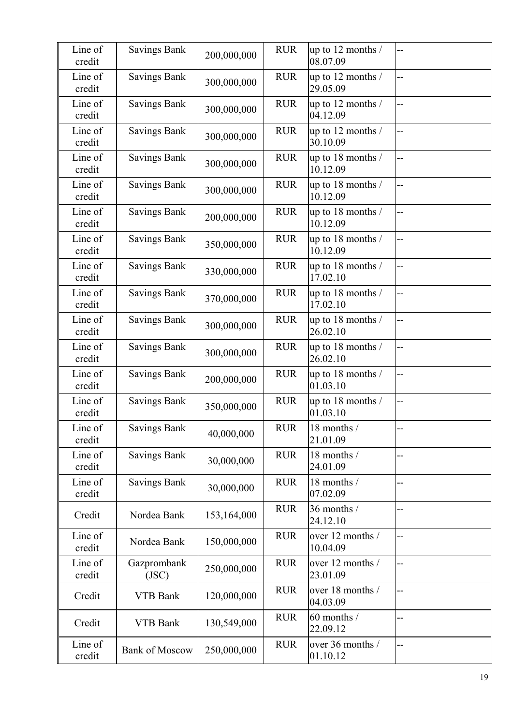| Line of<br>credit | <b>Savings Bank</b>   | 200,000,000 | <b>RUR</b> | up to 12 months /<br>08.07.09 | $-$ |
|-------------------|-----------------------|-------------|------------|-------------------------------|-----|
| Line of<br>credit | <b>Savings Bank</b>   | 300,000,000 | <b>RUR</b> | up to 12 months /<br>29.05.09 | ц,  |
| Line of<br>credit | <b>Savings Bank</b>   | 300,000,000 | <b>RUR</b> | up to 12 months /<br>04.12.09 | $-$ |
| Line of<br>credit | <b>Savings Bank</b>   | 300,000,000 | <b>RUR</b> | up to 12 months /<br>30.10.09 | --  |
| Line of<br>credit | <b>Savings Bank</b>   | 300,000,000 | <b>RUR</b> | up to 18 months /<br>10.12.09 |     |
| Line of<br>credit | <b>Savings Bank</b>   | 300,000,000 | <b>RUR</b> | up to 18 months /<br>10.12.09 | $-$ |
| Line of<br>credit | <b>Savings Bank</b>   | 200,000,000 | <b>RUR</b> | up to 18 months /<br>10.12.09 | --  |
| Line of<br>credit | <b>Savings Bank</b>   | 350,000,000 | <b>RUR</b> | up to 18 months /<br>10.12.09 | --  |
| Line of<br>credit | <b>Savings Bank</b>   | 330,000,000 | <b>RUR</b> | up to 18 months /<br>17.02.10 | --  |
| Line of<br>credit | <b>Savings Bank</b>   | 370,000,000 | <b>RUR</b> | up to 18 months /<br>17.02.10 | $-$ |
| Line of<br>credit | <b>Savings Bank</b>   | 300,000,000 | <b>RUR</b> | up to 18 months /<br>26.02.10 | --  |
| Line of<br>credit | <b>Savings Bank</b>   | 300,000,000 | <b>RUR</b> | up to 18 months /<br>26.02.10 | --  |
| Line of<br>credit | <b>Savings Bank</b>   | 200,000,000 | <b>RUR</b> | up to 18 months /<br>01.03.10 | --  |
| Line of<br>credit | <b>Savings Bank</b>   | 350,000,000 | <b>RUR</b> | up to 18 months /<br>01.03.10 | --  |
| Line of<br>credit | <b>Savings Bank</b>   | 40,000,000  | <b>RUR</b> | 18 months /<br>21.01.09       |     |
| Line of<br>credit | <b>Savings Bank</b>   | 30,000,000  | <b>RUR</b> | 18 months /<br>24.01.09       | --  |
| Line of<br>credit | <b>Savings Bank</b>   | 30,000,000  | <b>RUR</b> | 18 months /<br>07.02.09       | --  |
| Credit            | Nordea Bank           | 153,164,000 | <b>RUR</b> | 36 months /<br>24.12.10       |     |
| Line of<br>credit | Nordea Bank           | 150,000,000 | <b>RUR</b> | over 12 months /<br>10.04.09  | --  |
| Line of<br>credit | Gazprombank<br>(JSC)  | 250,000,000 | <b>RUR</b> | over 12 months /<br>23.01.09  | --  |
| Credit            | <b>VTB Bank</b>       | 120,000,000 | <b>RUR</b> | over 18 months /<br>04.03.09  | --  |
| Credit            | <b>VTB Bank</b>       | 130,549,000 | <b>RUR</b> | 60 months /<br>22.09.12       | --  |
| Line of<br>credit | <b>Bank of Moscow</b> | 250,000,000 | <b>RUR</b> | over 36 months /<br>01.10.12  | --  |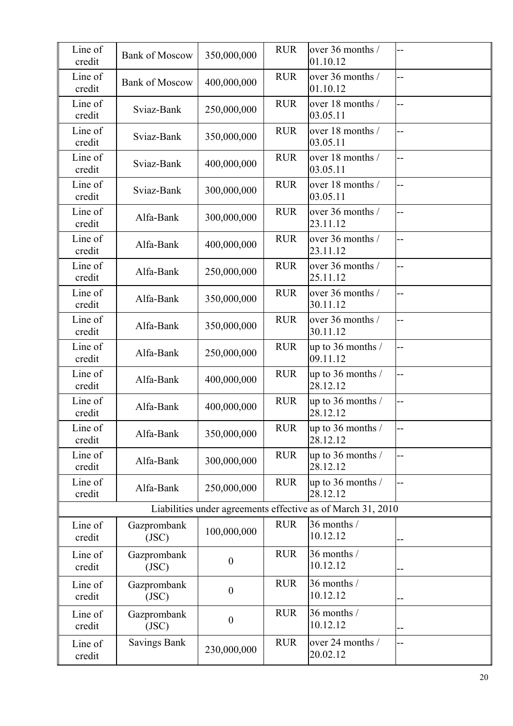| Line of<br>credit | <b>Bank of Moscow</b> | 350,000,000      | <b>RUR</b> | over 36 months /<br>01.10.12                                |     |
|-------------------|-----------------------|------------------|------------|-------------------------------------------------------------|-----|
| Line of<br>credit | <b>Bank of Moscow</b> | 400,000,000      | <b>RUR</b> | over 36 months /<br>01.10.12                                | $-$ |
| Line of<br>credit | Sviaz-Bank            | 250,000,000      | <b>RUR</b> | over 18 months /<br>03.05.11                                | --  |
| Line of<br>credit | Sviaz-Bank            | 350,000,000      | <b>RUR</b> | over 18 months /<br>03.05.11                                | --  |
| Line of<br>credit | Sviaz-Bank            | 400,000,000      | <b>RUR</b> | over 18 months /<br>03.05.11                                | н.  |
| Line of<br>credit | Sviaz-Bank            | 300,000,000      | <b>RUR</b> | over 18 months /<br>03.05.11                                | н.  |
| Line of<br>credit | Alfa-Bank             | 300,000,000      | <b>RUR</b> | over 36 months /<br>23.11.12                                | Ц.  |
| Line of<br>credit | Alfa-Bank             | 400,000,000      | <b>RUR</b> | over 36 months /<br>23.11.12                                | $-$ |
| Line of<br>credit | Alfa-Bank             | 250,000,000      | <b>RUR</b> | over 36 months /<br>25.11.12                                |     |
| Line of<br>credit | Alfa-Bank             | 350,000,000      | <b>RUR</b> | over 36 months /<br>30.11.12                                |     |
| Line of<br>credit | Alfa-Bank             | 350,000,000      | <b>RUR</b> | over 36 months /<br>30.11.12                                | $-$ |
| Line of<br>credit | Alfa-Bank             | 250,000,000      | <b>RUR</b> | up to 36 months /<br>09.11.12                               | --  |
| Line of<br>credit | Alfa-Bank             | 400,000,000      | <b>RUR</b> | up to 36 months /<br>28.12.12                               | --  |
| Line of<br>credit | Alfa-Bank             | 400,000,000      | <b>RUR</b> | up to 36 months /<br>28.12.12                               | --  |
| Line of<br>credit | Alfa-Bank             | 350,000,000      | <b>RUR</b> | up to 36 months /<br>28.12.12                               |     |
| Line of<br>credit | Alfa-Bank             | 300,000,000      | <b>RUR</b> | up to 36 months /<br>28.12.12                               | --  |
| Line of<br>credit | Alfa-Bank             | 250,000,000      | <b>RUR</b> | up to 36 months /<br>28.12.12                               | --  |
|                   |                       |                  |            | Liabilities under agreements effective as of March 31, 2010 |     |
| Line of<br>credit | Gazprombank<br>(JSC)  | 100,000,000      | <b>RUR</b> | 36 months /<br>10.12.12                                     |     |
| Line of<br>credit | Gazprombank<br>(JSC)  | $\boldsymbol{0}$ | <b>RUR</b> | 36 months /<br>10.12.12                                     |     |
| Line of<br>credit | Gazprombank<br>(JSC)  | $\boldsymbol{0}$ | <b>RUR</b> | 36 months /<br>10.12.12                                     |     |
| Line of<br>credit | Gazprombank<br>(JSC)  | $\boldsymbol{0}$ | <b>RUR</b> | 36 months /<br>10.12.12                                     |     |
| Line of<br>credit | <b>Savings Bank</b>   | 230,000,000      | <b>RUR</b> | over 24 months /<br>20.02.12                                | --  |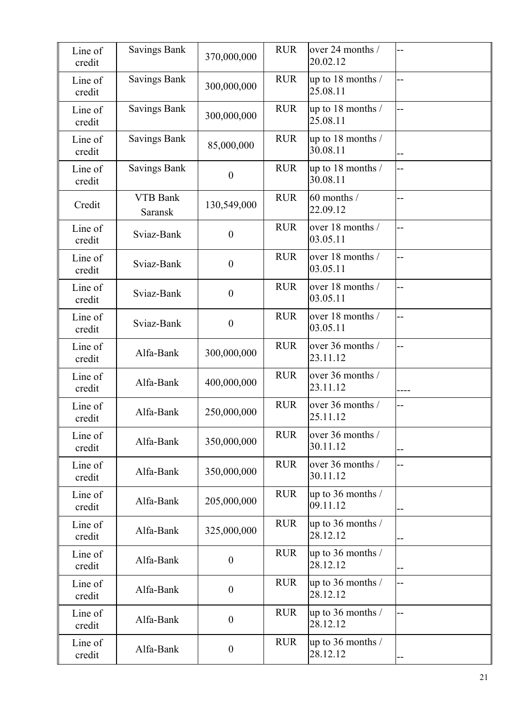| Line of<br>credit | <b>Savings Bank</b>               | 370,000,000      | <b>RUR</b> | over 24 months /<br>20.02.12    |    |
|-------------------|-----------------------------------|------------------|------------|---------------------------------|----|
| Line of<br>credit | <b>Savings Bank</b>               | 300,000,000      | <b>RUR</b> | up to 18 months /<br>25.08.11   | -- |
| Line of<br>credit | <b>Savings Bank</b>               | 300,000,000      | <b>RUR</b> | up to 18 months /<br>25.08.11   | -- |
| Line of<br>credit | <b>Savings Bank</b>               | 85,000,000       | <b>RUR</b> | up to 18 months /<br>30.08.11   |    |
| Line of<br>credit | <b>Savings Bank</b>               | $\boldsymbol{0}$ | <b>RUR</b> | up to 18 months /<br>30.08.11   | -- |
| Credit            | <b>VTB Bank</b><br><b>Saransk</b> | 130,549,000      | <b>RUR</b> | 60 months /<br>22.09.12         | -- |
| Line of<br>credit | Sviaz-Bank                        | $\boldsymbol{0}$ | <b>RUR</b> | over 18 months /<br>03.05.11    | -- |
| Line of<br>credit | Sviaz-Bank                        | $\boldsymbol{0}$ | <b>RUR</b> | over 18 months /<br>03.05.11    | -- |
| Line of<br>credit | Sviaz-Bank                        | $\boldsymbol{0}$ | <b>RUR</b> | over 18 months /<br>03.05.11    | -- |
| Line of<br>credit | Sviaz-Bank                        | $\boldsymbol{0}$ | <b>RUR</b> | over 18 months /<br>03.05.11    | -- |
| Line of<br>credit | Alfa-Bank                         | 300,000,000      | <b>RUR</b> | over 36 months /<br>23.11.12    | -- |
| Line of<br>credit | Alfa-Bank                         | 400,000,000      | <b>RUR</b> | over 36 months /<br>23.11.12    |    |
| Line of<br>credit | Alfa-Bank                         | 250,000,000      | <b>RUR</b> | over 36 months /<br>25.11.12    | -- |
| Line of<br>credit | Alfa-Bank                         | 350,000,000      | <b>RUR</b> | over 36 months /<br>30.11.12    | -- |
| Line of<br>credit | Alfa-Bank                         | 350,000,000      | <b>RUR</b> | over 36 months /<br>30.11.12    | -- |
| Line of<br>credit | Alfa-Bank                         | 205,000,000      | <b>RUR</b> | up to 36 months /<br>09.11.12   |    |
| Line of<br>credit | Alfa-Bank                         | 325,000,000      | <b>RUR</b> | up to 36 months /<br>28.12.12   | -- |
| Line of<br>credit | Alfa-Bank                         | $\boldsymbol{0}$ | <b>RUR</b> | up to 36 months /<br>28.12.12   | -- |
| Line of<br>credit | Alfa-Bank                         | $\boldsymbol{0}$ | <b>RUR</b> | up to 36 months /<br>28.12.12   | -- |
| Line of<br>credit | Alfa-Bank                         | $\boldsymbol{0}$ | <b>RUR</b> | up to 36 months $/$<br>28.12.12 | -- |
| Line of<br>credit | Alfa-Bank                         | $\boldsymbol{0}$ | <b>RUR</b> | up to 36 months /<br>28.12.12   | -- |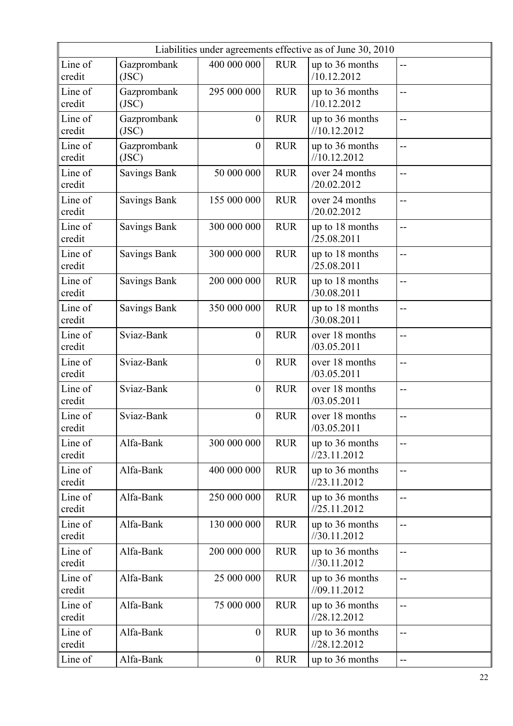|                   | Liabilities under agreements effective as of June 30, 2010 |                  |            |                                 |     |
|-------------------|------------------------------------------------------------|------------------|------------|---------------------------------|-----|
| Line of<br>credit | Gazprombank<br>(JSC)                                       | 400 000 000      | <b>RUR</b> | up to 36 months<br>/10.12.2012  | $-$ |
| Line of<br>credit | Gazprombank<br>(JSC)                                       | 295 000 000      | <b>RUR</b> | up to 36 months<br>/10.12.2012  | $-$ |
| Line of<br>credit | Gazprombank<br>(JSC)                                       | $\boldsymbol{0}$ | <b>RUR</b> | up to 36 months<br>//10.12.2012 | $-$ |
| Line of<br>credit | Gazprombank<br>(JSC)                                       | $\boldsymbol{0}$ | <b>RUR</b> | up to 36 months<br>//10.12.2012 | $-$ |
| Line of<br>credit | <b>Savings Bank</b>                                        | 50 000 000       | <b>RUR</b> | over 24 months<br>/20.02.2012   | --  |
| Line of<br>credit | <b>Savings Bank</b>                                        | 155 000 000      | <b>RUR</b> | over 24 months<br>/20.02.2012   | $-$ |
| Line of<br>credit | <b>Savings Bank</b>                                        | 300 000 000      | <b>RUR</b> | up to 18 months<br>/25.08.2011  | --  |
| Line of<br>credit | <b>Savings Bank</b>                                        | 300 000 000      | <b>RUR</b> | up to 18 months<br>/25.08.2011  | --  |
| Line of<br>credit | <b>Savings Bank</b>                                        | 200 000 000      | <b>RUR</b> | up to 18 months<br>/30.08.2011  | --  |
| Line of<br>credit | <b>Savings Bank</b>                                        | 350 000 000      | <b>RUR</b> | up to 18 months<br>/30.08.2011  | $-$ |
| Line of<br>credit | Sviaz-Bank                                                 | $\boldsymbol{0}$ | <b>RUR</b> | over 18 months<br>/03.05.2011   | --  |
| Line of<br>credit | Sviaz-Bank                                                 | $\boldsymbol{0}$ | <b>RUR</b> | over 18 months<br>/03.05.2011   | --  |
| Line of<br>credit | Sviaz-Bank                                                 | $\boldsymbol{0}$ | <b>RUR</b> | over 18 months<br>/03.05.2011   | $-$ |
| Line of<br>credit | Sviaz-Bank                                                 | $\boldsymbol{0}$ | <b>RUR</b> | over 18 months<br>/03.05.2011   | $-$ |
| Line of<br>credit | Alfa-Bank                                                  | 300 000 000      | <b>RUR</b> | up to 36 months<br>1/23.11.2012 | --  |
| Line of<br>credit | Alfa-Bank                                                  | 400 000 000      | <b>RUR</b> | up to 36 months<br>1/23.11.2012 | $-$ |
| Line of<br>credit | Alfa-Bank                                                  | 250 000 000      | <b>RUR</b> | up to 36 months<br>1/25.11.2012 | --  |
| Line of<br>credit | Alfa-Bank                                                  | 130 000 000      | <b>RUR</b> | up to 36 months<br>1/30.11.2012 | $-$ |
| Line of<br>credit | Alfa-Bank                                                  | 200 000 000      | <b>RUR</b> | up to 36 months<br>//30.11.2012 | $-$ |
| Line of<br>credit | Alfa-Bank                                                  | 25 000 000       | <b>RUR</b> | up to 36 months<br>1/09.11.2012 | --  |
| Line of<br>credit | Alfa-Bank                                                  | 75 000 000       | <b>RUR</b> | up to 36 months<br>1/28.12.2012 | $-$ |
| Line of<br>credit | Alfa-Bank                                                  | $\boldsymbol{0}$ | <b>RUR</b> | up to 36 months<br>1/28.12.2012 | --  |
| Line of           | Alfa-Bank                                                  | $\boldsymbol{0}$ | <b>RUR</b> | up to 36 months                 | --  |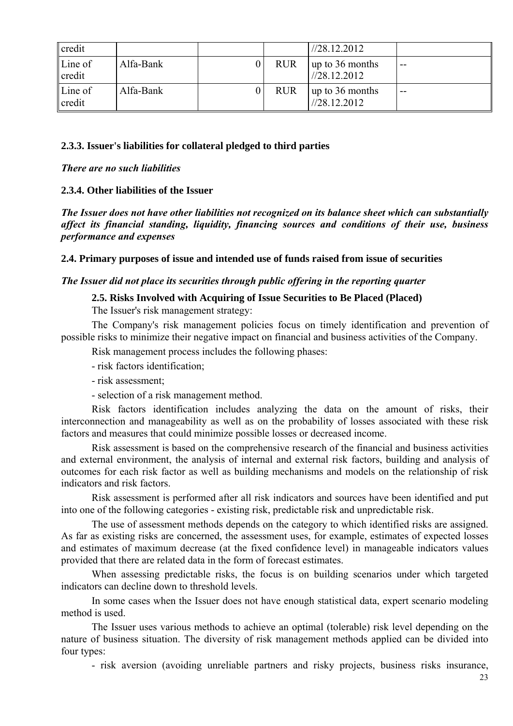| credit                            |           |            | 1/28.12.2012                    |       |
|-----------------------------------|-----------|------------|---------------------------------|-------|
| $\mathsf{Line}$ of<br>$\ $ credit | Alfa-Bank | <b>RUR</b> | up to 36 months<br>1/28.12.2012 | $- -$ |
| $\mathsf{Line}$ of<br>lcredit     | Alfa-Bank | <b>RUR</b> | up to 36 months<br>1/28.12.2012 | $- -$ |

## **2.3.3. Issuer's liabilities for collateral pledged to third parties**

*There are no such liabilities*

# **2.3.4. Other liabilities of the Issuer**

*The Issuer does not have other liabilities not recognized on its balance sheet which can substantially affect its financial standing, liquidity, financing sources and conditions of their use, business performance and expenses*

**2.4. Primary purposes of issue and intended use of funds raised from issue of securities** 

## *The Issuer did not place its securities through public offering in the reporting quarter*

# **2.5. Risks Involved with Acquiring of Issue Securities to Be Placed (Placed)**

The Issuer's risk management strategy:

The Company's risk management policies focus on timely identification and prevention of possible risks to minimize their negative impact on financial and business activities of the Company.

Risk management process includes the following phases:

- risk factors identification;

- risk assessment;

- selection of a risk management method.

Risk factors identification includes analyzing the data on the amount of risks, their interconnection and manageability as well as on the probability of losses associated with these risk factors and measures that could minimize possible losses or decreased income.

Risk assessment is based on the comprehensive research of the financial and business activities and external environment, the analysis of internal and external risk factors, building and analysis of outcomes for each risk factor as well as building mechanisms and models on the relationship of risk indicators and risk factors.

Risk assessment is performed after all risk indicators and sources have been identified and put into one of the following categories - existing risk, predictable risk and unpredictable risk.

The use of assessment methods depends on the category to which identified risks are assigned. As far as existing risks are concerned, the assessment uses, for example, estimates of expected losses and estimates of maximum decrease (at the fixed confidence level) in manageable indicators values provided that there are related data in the form of forecast estimates.

When assessing predictable risks, the focus is on building scenarios under which targeted indicators can decline down to threshold levels.

In some cases when the Issuer does not have enough statistical data, expert scenario modeling method is used.

The Issuer uses various methods to achieve an optimal (tolerable) risk level depending on the nature of business situation. The diversity of risk management methods applied can be divided into four types:

- risk aversion (avoiding unreliable partners and risky projects, business risks insurance,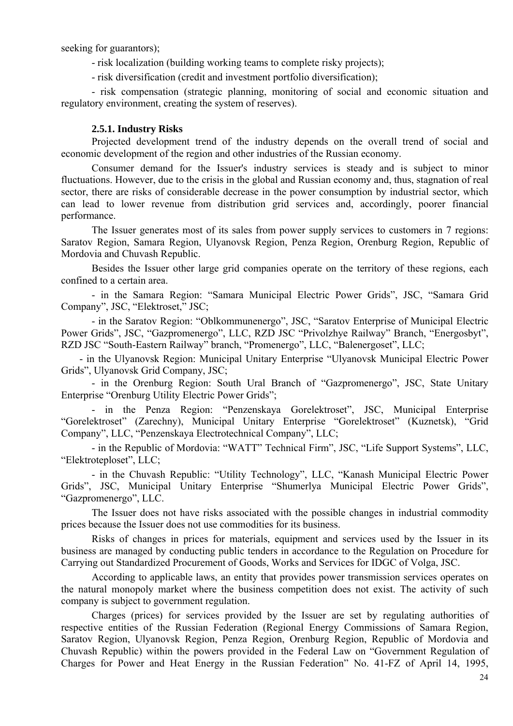seeking for guarantors);

- risk localization (building working teams to complete risky projects);

- risk diversification (credit and investment portfolio diversification);

- risk compensation (strategic planning, monitoring of social and economic situation and regulatory environment, creating the system of reserves).

#### **2.5.1. Industry Risks**

Projected development trend of the industry depends on the overall trend of social and economic development of the region and other industries of the Russian economy.

Consumer demand for the Issuer's industry services is steady and is subject to minor fluctuations. However, due to the crisis in the global and Russian economy and, thus, stagnation of real sector, there are risks of considerable decrease in the power consumption by industrial sector, which can lead to lower revenue from distribution grid services and, accordingly, poorer financial performance.

The Issuer generates most of its sales from power supply services to customers in 7 regions: Saratov Region, Samara Region, Ulyanovsk Region, Penza Region, Orenburg Region, Republic of Mordovia and Chuvash Republic.

Besides the Issuer other large grid companies operate on the territory of these regions, each confined to a certain area.

- in the Samara Region: "Samara Municipal Electric Power Grids", JSC, "Samara Grid Company", JSC, "Elektroset," JSC;

- in the Saratov Region: "Oblkommunenergo", JSC, "Saratov Enterprise of Municipal Electric Power Grids", JSC, "Gazpromenergo", LLC, RZD JSC "Privolzhye Railway" Branch, "Energosbyt", RZD JSC "South-Eastern Railway" branch, "Promenergo", LLC, "Balenergoset", LLC;

- in the Ulyanovsk Region: Municipal Unitary Enterprise "Ulyanovsk Municipal Electric Power Grids", Ulyanovsk Grid Company, JSC;

- in the Orenburg Region: South Ural Branch of "Gazpromenergo", JSC, State Unitary Enterprise "Orenburg Utility Electric Power Grids";

- in the Penza Region: "Penzenskaya Gorelektroset", JSC, Municipal Enterprise "Gorelektroset" (Zarechny), Municipal Unitary Enterprise "Gorelektroset" (Kuznetsk), "Grid Company", LLC, "Penzenskaya Electrotechnical Company", LLC;

- in the Republic of Mordovia: "WATT" Technical Firm", JSC, "Life Support Systems", LLC, "Elektroteploset", LLC;

- in the Chuvash Republic: "Utility Technology", LLC, "Kanash Municipal Electric Power Grids", JSC, Municipal Unitary Enterprise "Shumerlya Municipal Electric Power Grids", "Gazpromenergo", LLC.

The Issuer does not have risks associated with the possible changes in industrial commodity prices because the Issuer does not use commodities for its business.

Risks of changes in prices for materials, equipment and services used by the Issuer in its business are managed by conducting public tenders in accordance to the Regulation on Procedure for Carrying out Standardized Procurement of Goods, Works and Services for IDGC of Volga, JSC.

According to applicable laws, an entity that provides power transmission services operates on the natural monopoly market where the business competition does not exist. The activity of such company is subject to government regulation.

Charges (prices) for services provided by the Issuer are set by regulating authorities of respective entities of the Russian Federation (Regional Energy Commissions of Samara Region, Saratov Region, Ulyanovsk Region, Penza Region, Orenburg Region, Republic of Mordovia and Chuvash Republic) within the powers provided in the Federal Law on "Government Regulation of Charges for Power and Heat Energy in the Russian Federation" No. 41-FZ of April 14, 1995,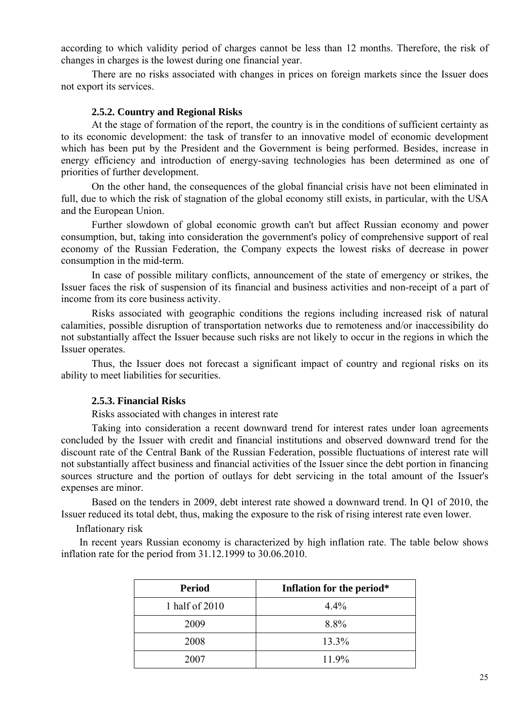according to which validity period of charges cannot be less than 12 months. Therefore, the risk of changes in charges is the lowest during one financial year.

There are no risks associated with changes in prices on foreign markets since the Issuer does not export its services.

#### **2.5.2. Country and Regional Risks**

At the stage of formation of the report, the country is in the conditions of sufficient certainty as to its economic development: the task of transfer to an innovative model of economic development which has been put by the President and the Government is being performed. Besides, increase in energy efficiency and introduction of energy-saving technologies has been determined as one of priorities of further development.

On the other hand, the consequences of the global financial crisis have not been eliminated in full, due to which the risk of stagnation of the global economy still exists, in particular, with the USA and the European Union.

Further slowdown of global economic growth can't but affect Russian economy and power consumption, but, taking into consideration the government's policy of comprehensive support of real economy of the Russian Federation, the Company expects the lowest risks of decrease in power consumption in the mid-term.

In case of possible military conflicts, announcement of the state of emergency or strikes, the Issuer faces the risk of suspension of its financial and business activities and non-receipt of a part of income from its core business activity.

Risks associated with geographic conditions the regions including increased risk of natural calamities, possible disruption of transportation networks due to remoteness and/or inaccessibility do not substantially affect the Issuer because such risks are not likely to occur in the regions in which the Issuer operates.

Thus, the Issuer does not forecast a significant impact of country and regional risks on its ability to meet liabilities for securities.

#### **2.5.3. Financial Risks**

Risks associated with changes in interest rate

Taking into consideration a recent downward trend for interest rates under loan agreements concluded by the Issuer with credit and financial institutions and observed downward trend for the discount rate of the Central Bank of the Russian Federation, possible fluctuations of interest rate will not substantially affect business and financial activities of the Issuer since the debt portion in financing sources structure and the portion of outlays for debt servicing in the total amount of the Issuer's expenses are minor.

Based on the tenders in 2009, debt interest rate showed a downward trend. In Q1 of 2010, the Issuer reduced its total debt, thus, making the exposure to the risk of rising interest rate even lower.

Inflationary risk

In recent years Russian economy is characterized by high inflation rate. The table below shows inflation rate for the period from 31.12.1999 to 30.06.2010.

| <b>Period</b>  | Inflation for the period* |
|----------------|---------------------------|
| 1 half of 2010 | 4.4%                      |
| 2009           | 8.8%                      |
| 2008           | 13.3%                     |
| 2007           | 11.9%                     |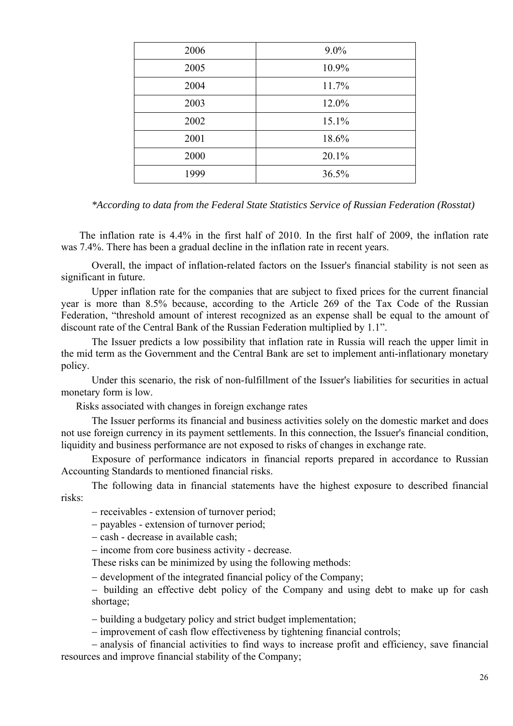| $9.0\%$<br>2006<br>10.9%<br>2005<br>2004<br>11.7%<br>12.0%<br>2003<br>2002<br>15.1%<br>18.6%<br>2001<br>20.1%<br>2000<br>1999<br>36.5% |  |
|----------------------------------------------------------------------------------------------------------------------------------------|--|
|                                                                                                                                        |  |
|                                                                                                                                        |  |
|                                                                                                                                        |  |
|                                                                                                                                        |  |
|                                                                                                                                        |  |
|                                                                                                                                        |  |
|                                                                                                                                        |  |
|                                                                                                                                        |  |

*\*According to data from the Federal State Statistics Service of Russian Federation (Rosstat)* 

The inflation rate is 4.4% in the first half of 2010. In the first half of 2009, the inflation rate was 7.4%. There has been a gradual decline in the inflation rate in recent years.

Overall, the impact of inflation-related factors on the Issuer's financial stability is not seen as significant in future.

Upper inflation rate for the companies that are subject to fixed prices for the current financial year is more than 8.5% because, according to the Article 269 of the Tax Code of the Russian Federation, "threshold amount of interest recognized as an expense shall be equal to the amount of discount rate of the Central Bank of the Russian Federation multiplied by 1.1".

The Issuer predicts a low possibility that inflation rate in Russia will reach the upper limit in the mid term as the Government and the Central Bank are set to implement anti-inflationary monetary policy.

Under this scenario, the risk of non-fulfillment of the Issuer's liabilities for securities in actual monetary form is low.

Risks associated with changes in foreign exchange rates

The Issuer performs its financial and business activities solely on the domestic market and does not use foreign currency in its payment settlements. In this connection, the Issuer's financial condition, liquidity and business performance are not exposed to risks of changes in exchange rate.

Exposure of performance indicators in financial reports prepared in accordance to Russian Accounting Standards to mentioned financial risks.

The following data in financial statements have the highest exposure to described financial risks:

- receivables - extension of turnover period;

- payables - extension of turnover period;

 $-\cosh$  - decrease in available cash;

income from core business activity - decrease.

These risks can be minimized by using the following methods:

– development of the integrated financial policy of the Company;

- building an effective debt policy of the Company and using debt to make up for cash shortage;

building a budgetary policy and strict budget implementation;

- improvement of cash flow effectiveness by tightening financial controls;

 analysis of financial activities to find ways to increase profit and efficiency, save financial resources and improve financial stability of the Company;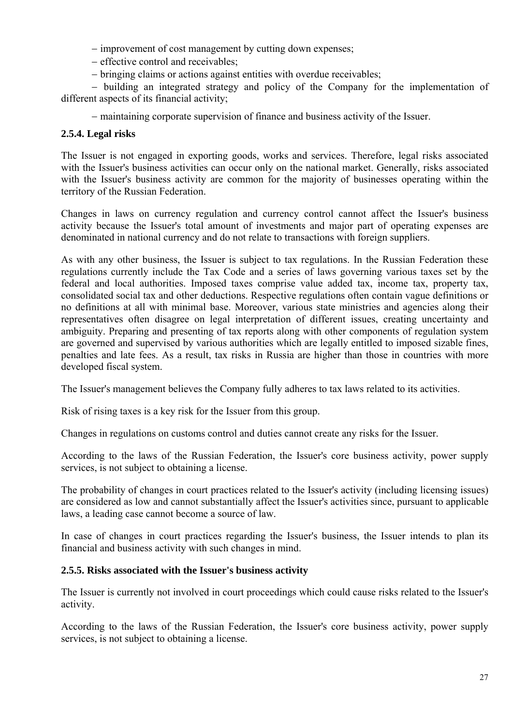- improvement of cost management by cutting down expenses;

- effective control and receivables;
- bringing claims or actions against entities with overdue receivables;

 building an integrated strategy and policy of the Company for the implementation of different aspects of its financial activity;

maintaining corporate supervision of finance and business activity of the Issuer.

# **2.5.4. Legal risks**

The Issuer is not engaged in exporting goods, works and services. Therefore, legal risks associated with the Issuer's business activities can occur only on the national market. Generally, risks associated with the Issuer's business activity are common for the majority of businesses operating within the territory of the Russian Federation.

Changes in laws on currency regulation and currency control cannot affect the Issuer's business activity because the Issuer's total amount of investments and major part of operating expenses are denominated in national currency and do not relate to transactions with foreign suppliers.

As with any other business, the Issuer is subject to tax regulations. In the Russian Federation these regulations currently include the Tax Code and a series of laws governing various taxes set by the federal and local authorities. Imposed taxes comprise value added tax, income tax, property tax, consolidated social tax and other deductions. Respective regulations often contain vague definitions or no definitions at all with minimal base. Moreover, various state ministries and agencies along their representatives often disagree on legal interpretation of different issues, creating uncertainty and ambiguity. Preparing and presenting of tax reports along with other components of regulation system are governed and supervised by various authorities which are legally entitled to imposed sizable fines, penalties and late fees. As a result, tax risks in Russia are higher than those in countries with more developed fiscal system.

The Issuer's management believes the Company fully adheres to tax laws related to its activities.

Risk of rising taxes is a key risk for the Issuer from this group.

Changes in regulations on customs control and duties cannot create any risks for the Issuer.

According to the laws of the Russian Federation, the Issuer's core business activity, power supply services, is not subject to obtaining a license.

The probability of changes in court practices related to the Issuer's activity (including licensing issues) are considered as low and cannot substantially affect the Issuer's activities since, pursuant to applicable laws, a leading case cannot become a source of law.

In case of changes in court practices regarding the Issuer's business, the Issuer intends to plan its financial and business activity with such changes in mind.

# **2.5.5. Risks associated with the Issuer's business activity**

The Issuer is currently not involved in court proceedings which could cause risks related to the Issuer's activity.

According to the laws of the Russian Federation, the Issuer's core business activity, power supply services, is not subject to obtaining a license.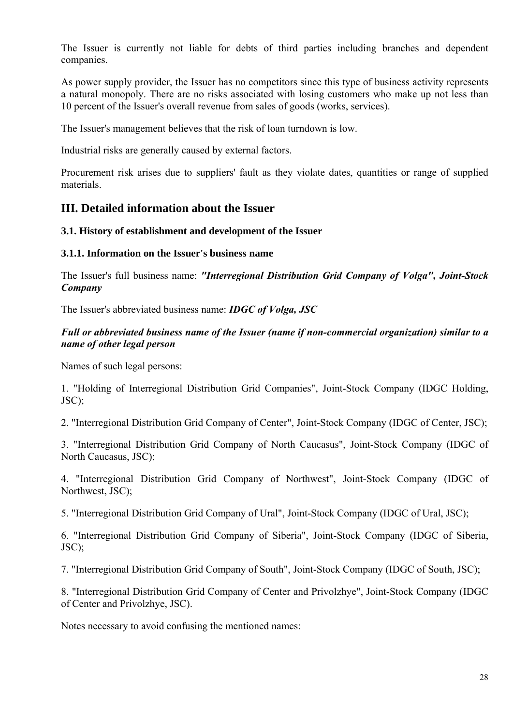The Issuer is currently not liable for debts of third parties including branches and dependent companies.

As power supply provider, the Issuer has no competitors since this type of business activity represents a natural monopoly. There are no risks associated with losing customers who make up not less than 10 percent of the Issuer's overall revenue from sales of goods (works, services).

The Issuer's management believes that the risk of loan turndown is low.

Industrial risks are generally caused by external factors.

Procurement risk arises due to suppliers' fault as they violate dates, quantities or range of supplied materials.

# **III. Detailed information about the Issuer**

# **3.1. History of establishment and development of the Issuer**

## **3.1.1. Information on the Issuer's business name**

The Issuer's full business name: *"Interregional Distribution Grid Company of Volga", Joint-Stock Company*

The Issuer's abbreviated business name: *IDGC of Volga, JSC*

# *Full or abbreviated business name of the Issuer (name if non-commercial organization) similar to a name of other legal person*

Names of such legal persons:

1. "Holding of Interregional Distribution Grid Companies", Joint-Stock Company (IDGC Holding, JSC);

2. "Interregional Distribution Grid Company of Center", Joint-Stock Company (IDGC of Center, JSC);

3. "Interregional Distribution Grid Company of North Caucasus", Joint-Stock Company (IDGC of North Caucasus, JSC);

4. "Interregional Distribution Grid Company of Northwest", Joint-Stock Company (IDGC of Northwest, JSC);

5. "Interregional Distribution Grid Company of Ural", Joint-Stock Company (IDGC of Ural, JSC);

6. "Interregional Distribution Grid Company of Siberia", Joint-Stock Company (IDGC of Siberia, JSC);

7. "Interregional Distribution Grid Company of South", Joint-Stock Company (IDGC of South, JSC);

8. "Interregional Distribution Grid Company of Center and Privolzhye", Joint-Stock Company (IDGC of Center and Privolzhye, JSC).

Notes necessary to avoid confusing the mentioned names: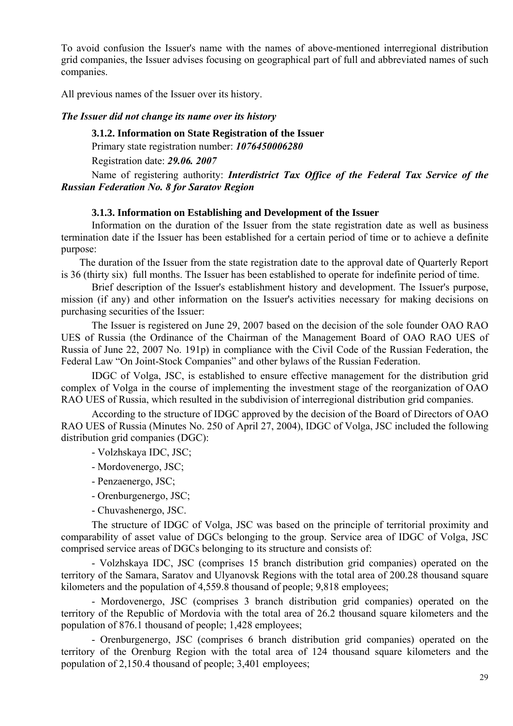To avoid confusion the Issuer's name with the names of above-mentioned interregional distribution grid companies, the Issuer advises focusing on geographical part of full and abbreviated names of such companies.

All previous names of the Issuer over its history.

#### *The Issuer did not change its name over its history*

**3.1.2. Information on State Registration of the Issuer** 

Primary state registration number: *1076450006280*

Registration date: *29.06. 2007*

Name of registering authority: *Interdistrict Tax Office of the Federal Tax Service of the Russian Federation No. 8 for Saratov Region*

#### **3.1.3. Information on Establishing and Development of the Issuer**

Information on the duration of the Issuer from the state registration date as well as business termination date if the Issuer has been established for a certain period of time or to achieve a definite purpose:

The duration of the Issuer from the state registration date to the approval date of Quarterly Report is 36 (thirty six) full months. The Issuer has been established to operate for indefinite period of time.

Brief description of the Issuer's establishment history and development. The Issuer's purpose, mission (if any) and other information on the Issuer's activities necessary for making decisions on purchasing securities of the Issuer:

The Issuer is registered on June 29, 2007 based on the decision of the sole founder OAO RAO UES of Russia (the Ordinance of the Chairman of the Management Board of OAO RAO UES of Russia of June 22, 2007 No. 191p) in compliance with the Civil Code of the Russian Federation, the Federal Law "On Joint-Stock Companies" and other bylaws of the Russian Federation.

IDGC of Volga, JSC, is established to ensure effective management for the distribution grid complex of Volga in the course of implementing the investment stage of the reorganization of OAO RAO UES of Russia, which resulted in the subdivision of interregional distribution grid companies.

According to the structure of IDGC approved by the decision of the Board of Directors of OAO RAO UES of Russia (Minutes No. 250 of April 27, 2004), IDGC of Volga, JSC included the following distribution grid companies (DGC):

- Volzhskaya IDC, JSC;

- Mordovenergo, JSC;
- Penzaenergo, JSC;
- Orenburgenergo, JSC;
- Chuvashenergo, JSC.

The structure of IDGC of Volga, JSC was based on the principle of territorial proximity and comparability of asset value of DGCs belonging to the group. Service area of IDGC of Volga, JSC comprised service areas of DGCs belonging to its structure and consists of:

- Volzhskaya IDC, JSC (comprises 15 branch distribution grid companies) operated on the territory of the Samara, Saratov and Ulyanovsk Regions with the total area of 200.28 thousand square kilometers and the population of 4,559.8 thousand of people; 9,818 employees;

- Mordovenergo, JSC (comprises 3 branch distribution grid companies) operated on the territory of the Republic of Mordovia with the total area of 26.2 thousand square kilometers and the population of 876.1 thousand of people; 1,428 employees;

- Orenburgenergo, JSC (comprises 6 branch distribution grid companies) operated on the territory of the Orenburg Region with the total area of 124 thousand square kilometers and the population of 2,150.4 thousand of people; 3,401 employees;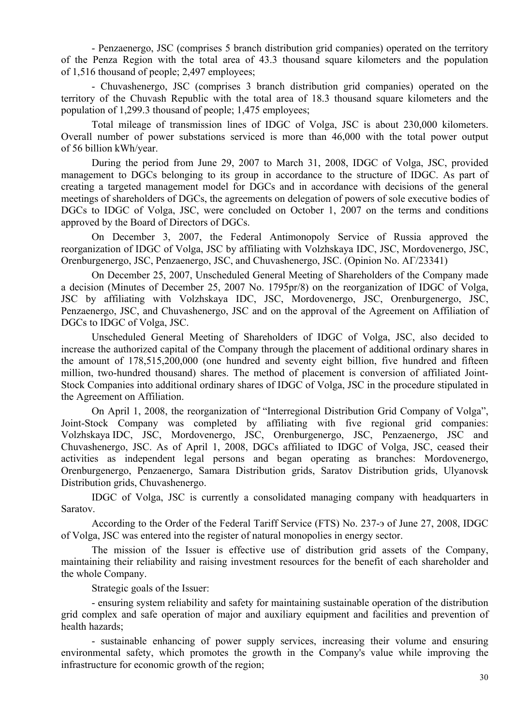- Penzaenergo, JSC (comprises 5 branch distribution grid companies) operated on the territory of the Penza Region with the total area of 43.3 thousand square kilometers and the population of 1,516 thousand of people; 2,497 employees;

- Chuvashenergo, JSC (comprises 3 branch distribution grid companies) operated on the territory of the Chuvash Republic with the total area of 18.3 thousand square kilometers and the population of 1,299.3 thousand of people; 1,475 employees;

Total mileage of transmission lines of IDGC of Volga, JSC is about 230,000 kilometers. Overall number of power substations serviced is more than 46,000 with the total power output of 56 billion kWh/year.

During the period from June 29, 2007 to March 31, 2008, IDGC of Volga, JSC, provided management to DGCs belonging to its group in accordance to the structure of IDGC. As part of creating a targeted management model for DGCs and in accordance with decisions of the general meetings of shareholders of DGCs, the agreements on delegation of powers of sole executive bodies of DGCs to IDGC of Volga, JSC, were concluded on October 1, 2007 on the terms and conditions approved by the Board of Directors of DGCs.

On December 3, 2007, the Federal Antimonopoly Service of Russia approved the reorganization of IDGC of Volga, JSC by affiliating with Volzhskaya IDC, JSC, Mordovenergo, JSC, Orenburgenergo, JSC, Penzaenergo, JSC, and Chuvashenergo, JSC. (Opinion No. AГ/23341)

On December 25, 2007, Unscheduled General Meeting of Shareholders of the Company made a decision (Minutes of December 25, 2007 No. 1795pr/8) on the reorganization of IDGC of Volga, JSC by affiliating with Volzhskaya IDC, JSC, Mordovenergo, JSC, Orenburgenergo, JSC, Penzaenergo, JSC, and Chuvashenergo, JSC and on the approval of the Agreement on Affiliation of DGCs to IDGC of Volga, JSC.

Unscheduled General Meeting of Shareholders of IDGC of Volga, JSC, also decided to increase the authorized capital of the Company through the placement of additional ordinary shares in the amount of 178,515,200,000 (one hundred and seventy eight billion, five hundred and fifteen million, two-hundred thousand) shares. The method of placement is conversion of affiliated Joint-Stock Companies into additional ordinary shares of IDGC of Volga, JSC in the procedure stipulated in the Agreement on Affiliation.

On April 1, 2008, the reorganization of "Interregional Distribution Grid Company of Volga", Joint-Stock Company was completed by affiliating with five regional grid companies: Volzhskaya IDC, JSC, Mordovenergo, JSC, Orenburgenergo, JSC, Penzaenergo, JSC and Chuvashenergo, JSC. As of April 1, 2008, DGCs affiliated to IDGC of Volga, JSC, ceased their activities as independent legal persons and began operating as branches: Mordovenergo, Orenburgenergo, Penzaenergo, Samara Distribution grids, Saratov Distribution grids, Ulyanovsk Distribution grids, Chuvashenergo.

IDGC of Volga, JSC is currently a consolidated managing company with headquarters in Saratov.

According to the Order of the Federal Tariff Service (FTS) No. 237-э of June 27, 2008, IDGC of Volga, JSC was entered into the register of natural monopolies in energy sector.

The mission of the Issuer is effective use of distribution grid assets of the Company, maintaining their reliability and raising investment resources for the benefit of each shareholder and the whole Company.

Strategic goals of the Issuer:

- ensuring system reliability and safety for maintaining sustainable operation of the distribution grid complex and safe operation of major and auxiliary equipment and facilities and prevention of health hazards;

- sustainable enhancing of power supply services, increasing their volume and ensuring environmental safety, which promotes the growth in the Company's value while improving the infrastructure for economic growth of the region;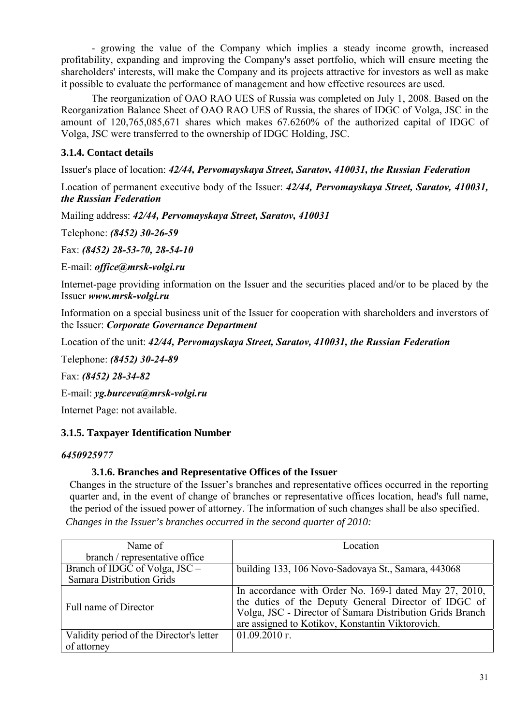- growing the value of the Company which implies a steady income growth, increased profitability, expanding and improving the Company's asset portfolio, which will ensure meeting the shareholders' interests, will make the Company and its projects attractive for investors as well as make it possible to evaluate the performance of management and how effective resources are used.

The reorganization of OAO RAO UES of Russia was completed on July 1, 2008. Based on the Reorganization Balance Sheet of OAO RAO UES of Russia, the shares of IDGC of Volga, JSC in the amount of 120,765,085,671 shares which makes 67.6260% of the authorized capital of IDGC of Volga, JSC were transferred to the ownership of IDGC Holding, JSC.

# **3.1.4. Contact details**

Issuer's place of location: *42/44, Pervomayskaya Street, Saratov, 410031, the Russian Federation*

Location of permanent executive body of the Issuer: *42/44, Pervomayskaya Street, Saratov, 410031, the Russian Federation* 

Mailing address: *42/44, Pervomayskaya Street, Saratov, 410031*

Telephone: *(8452) 30-26-59*

Fax: *(8452) 28-53-70, 28-54-10*

E-mail: *office@mrsk-volgi.ru*

Internet-page providing information on the Issuer and the securities placed and/or to be placed by the Issuer *www.mrsk-volgi.ru*

Information on a special business unit of the Issuer for cooperation with shareholders and inverstors of the Issuer: *Corporate Governance Department* 

Location of the unit: *42/44, Pervomayskaya Street, Saratov, 410031, the Russian Federation*

Telephone: *(8452) 30-24-89*

Fax: *(8452) 28-34-82*

E-mail: *yg.burceva@mrsk-volgi.ru*

Internet Page: not available.

# **3.1.5. Taxpayer Identification Number**

### *6450925977*

# **3.1.6. Branches and Representative Offices of the Issuer**

Changes in the structure of the Issuer's branches and representative offices occurred in the reporting quarter and, in the event of change of branches or representative offices location, head's full name, the period of the issued power of attorney. The information of such changes shall be also specified. *Changes in the Issuer's branches occurred in the second quarter of 2010:* 

| Name of                                  | Location                                                                                                                                                                                                                        |
|------------------------------------------|---------------------------------------------------------------------------------------------------------------------------------------------------------------------------------------------------------------------------------|
| branch / representative office           |                                                                                                                                                                                                                                 |
| Branch of IDGC of Volga, JSC –           | building 133, 106 Novo-Sadovaya St., Samara, 443068                                                                                                                                                                             |
| <b>Samara Distribution Grids</b>         |                                                                                                                                                                                                                                 |
| Full name of Director                    | In accordance with Order No. 169-1 dated May 27, 2010,<br>the duties of the Deputy General Director of IDGC of<br>Volga, JSC - Director of Samara Distribution Grids Branch<br>are assigned to Kotikov, Konstantin Viktorovich. |
| Validity period of the Director's letter | $01.09.2010$ r.                                                                                                                                                                                                                 |
| of attorney                              |                                                                                                                                                                                                                                 |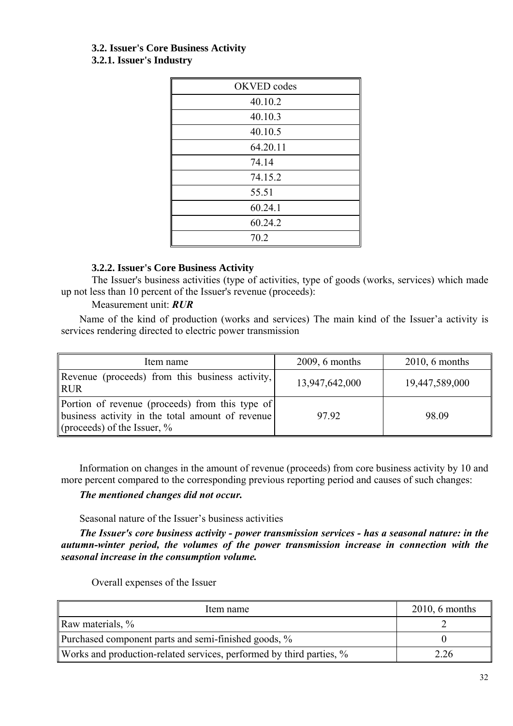### **3.2. Issuer's Core Business Activity 3.2.1. Issuer's Industry**

| OKVED codes |
|-------------|
| 40.10.2     |
| 40.10.3     |
| 40.10.5     |
| 64.20.11    |
| 74.14       |
| 74.15.2     |
| 55.51       |
| 60.24.1     |
| 60.24.2     |
| 70.2        |
|             |

# **3.2.2. Issuer's Core Business Activity**

The Issuer's business activities (type of activities, type of goods (works, services) which made up not less than 10 percent of the Issuer's revenue (proceeds):

# Measurement unit: *RUR*

Name of the kind of production (works and services) The main kind of the Issuer'a activity is services rendering directed to electric power transmission

| Item name                                                                                                                             | $2009, 6$ months | $2010, 6$ months |
|---------------------------------------------------------------------------------------------------------------------------------------|------------------|------------------|
| Revenue (proceeds) from this business activity,<br><b>RUR</b>                                                                         | 13,947,642,000   | 19,447,589,000   |
| Portion of revenue (proceeds) from this type of<br>business activity in the total amount of revenue<br>(proceeds) of the Issuer, $\%$ | 97.92            | 98.09            |

Information on changes in the amount of revenue (proceeds) from core business activity by 10 and more percent compared to the corresponding previous reporting period and causes of such changes:

# *The mentioned changes did not occur.*

# Seasonal nature of the Issuer's business activities

*The Issuer's core business activity - power transmission services - has a seasonal nature: in the autumn-winter period, the volumes of the power transmission increase in connection with the seasonal increase in the consumption volume.*

Overall expenses of the Issuer

| Item name                                                            | $2010, 6$ months |
|----------------------------------------------------------------------|------------------|
| Raw materials, $\%$                                                  |                  |
| Purchased component parts and semi-finished goods, %                 |                  |
| Works and production-related services, performed by third parties, % | 2.26             |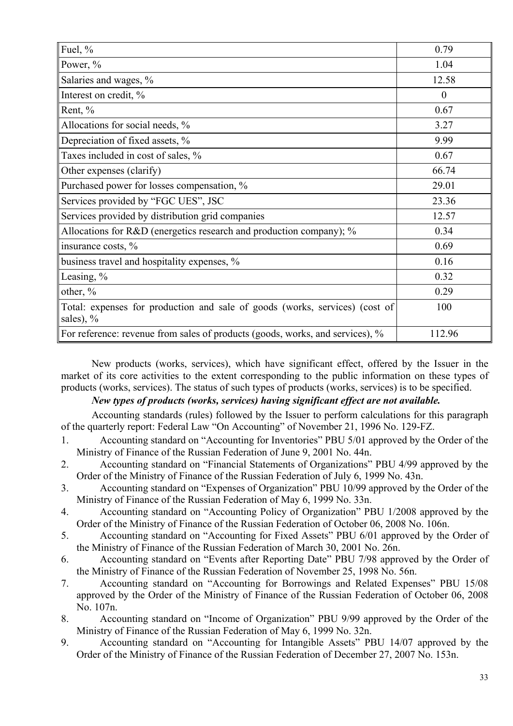| Fuel, $%$                                                                                  | 0.79     |
|--------------------------------------------------------------------------------------------|----------|
| Power, %                                                                                   | 1.04     |
| Salaries and wages, %                                                                      | 12.58    |
| Interest on credit, %                                                                      | $\theta$ |
| Rent, %                                                                                    | 0.67     |
| Allocations for social needs, %                                                            | 3.27     |
| Depreciation of fixed assets, %                                                            | 9.99     |
| Taxes included in cost of sales, %                                                         | 0.67     |
| Other expenses (clarify)                                                                   | 66.74    |
| Purchased power for losses compensation, %                                                 | 29.01    |
| Services provided by "FGC UES", JSC                                                        | 23.36    |
| Services provided by distribution grid companies                                           | 12.57    |
| Allocations for R&D (energetics research and production company); %                        | 0.34     |
| insurance costs, %                                                                         | 0.69     |
| business travel and hospitality expenses, %                                                | 0.16     |
| Leasing, $%$                                                                               | 0.32     |
| other, %                                                                                   | 0.29     |
| Total: expenses for production and sale of goods (works, services) (cost of<br>sales), $%$ | 100      |
| For reference: revenue from sales of products (goods, works, and services), %              | 112.96   |

New products (works, services), which have significant effect, offered by the Issuer in the market of its core activities to the extent corresponding to the public information on these types of products (works, services). The status of such types of products (works, services) is to be specified.

# *New types of products (works, services) having significant effect are not available.*

Accounting standards (rules) followed by the Issuer to perform calculations for this paragraph of the quarterly report: Federal Law "On Accounting" of November 21, 1996 No. 129-FZ.

- 1. Accounting standard on "Accounting for Inventories" PBU 5/01 approved by the Order of the Ministry of Finance of the Russian Federation of June 9, 2001 No. 44n.
- 2. Accounting standard on "Financial Statements of Organizations" PBU 4/99 approved by the Order of the Ministry of Finance of the Russian Federation of July 6, 1999 No. 43n.
- 3. Accounting standard on "Expenses of Organization" PBU 10/99 approved by the Order of the Ministry of Finance of the Russian Federation of May 6, 1999 No. 33n.
- 4. Accounting standard on "Accounting Policy of Organization" PBU 1/2008 approved by the Order of the Ministry of Finance of the Russian Federation of October 06, 2008 No. 106n.
- 5. Accounting standard on "Accounting for Fixed Assets" PBU 6/01 approved by the Order of the Ministry of Finance of the Russian Federation of March 30, 2001 No. 26n.
- 6. Accounting standard on "Events after Reporting Date" PBU 7/98 approved by the Order of the Ministry of Finance of the Russian Federation of November 25, 1998 No. 56n.
- 7. Accounting standard on "Accounting for Borrowings and Related Expenses" PBU 15/08 approved by the Order of the Ministry of Finance of the Russian Federation of October 06, 2008 No. 107n.
- 8. Accounting standard on "Income of Organization" PBU 9/99 approved by the Order of the Ministry of Finance of the Russian Federation of May 6, 1999 No. 32n.
- 9. Accounting standard on "Accounting for Intangible Assets" PBU 14/07 approved by the Order of the Ministry of Finance of the Russian Federation of December 27, 2007 No. 153n.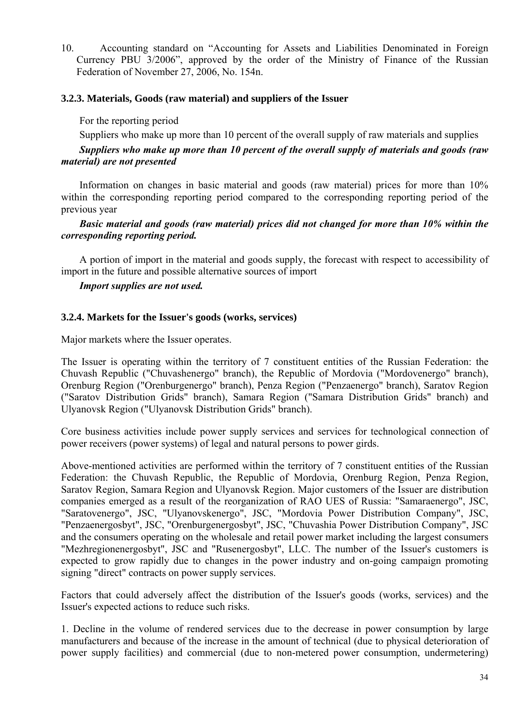10. Accounting standard on "Accounting for Assets and Liabilities Denominated in Foreign Currency PBU 3/2006", approved by the order of the Ministry of Finance of the Russian Federation of November 27, 2006, No. 154n.

## **3.2.3. Materials, Goods (raw material) and suppliers of the Issuer**

For the reporting period

Suppliers who make up more than 10 percent of the overall supply of raw materials and supplies

# *Suppliers who make up more than 10 percent of the overall supply of materials and goods (raw material) are not presented*

Information on changes in basic material and goods (raw material) prices for more than 10% within the corresponding reporting period compared to the corresponding reporting period of the previous year

# *Basic material and goods (raw material) prices did not changed for more than 10% within the corresponding reporting period.*

A portion of import in the material and goods supply, the forecast with respect to accessibility of import in the future and possible alternative sources of import

## *Import supplies are not used.*

## **3.2.4. Markets for the Issuer's goods (works, services)**

Major markets where the Issuer operates.

The Issuer is operating within the territory of 7 constituent entities of the Russian Federation: the Chuvash Republic ("Chuvashenergo" branch), the Republic of Mordovia ("Mordovenergo" branch), Orenburg Region ("Orenburgenergo" branch), Penza Region ("Penzaenergo" branch), Saratov Region ("Saratov Distribution Grids" branch), Samara Region ("Samara Distribution Grids" branch) and Ulyanovsk Region ("Ulyanovsk Distribution Grids" branch).

Core business activities include power supply services and services for technological connection of power receivers (power systems) of legal and natural persons to power girds.

Above-mentioned activities are performed within the territory of 7 constituent entities of the Russian Federation: the Chuvash Republic, the Republic of Mordovia, Orenburg Region, Penza Region, Saratov Region, Samara Region and Ulyanovsk Region. Major customers of the Issuer are distribution companies emerged as a result of the reorganization of RAO UES of Russia: "Samaraenergo", JSC, "Saratovenergo", JSC, "Ulyanovskenergo", JSC, "Mordovia Power Distribution Company", JSC, "Penzaenergosbyt", JSC, "Orenburgenergosbyt", JSC, "Chuvashia Power Distribution Company", JSC and the consumers operating on the wholesale and retail power market including the largest consumers "Mezhregionenergosbyt", JSC and "Rusenergosbyt", LLC. The number of the Issuer's customers is expected to grow rapidly due to changes in the power industry and on-going campaign promoting signing "direct" contracts on power supply services.

Factors that could adversely affect the distribution of the Issuer's goods (works, services) and the Issuer's expected actions to reduce such risks.

1. Decline in the volume of rendered services due to the decrease in power consumption by large manufacturers and because of the increase in the amount of technical (due to physical deterioration of power supply facilities) and commercial (due to non-metered power consumption, undermetering)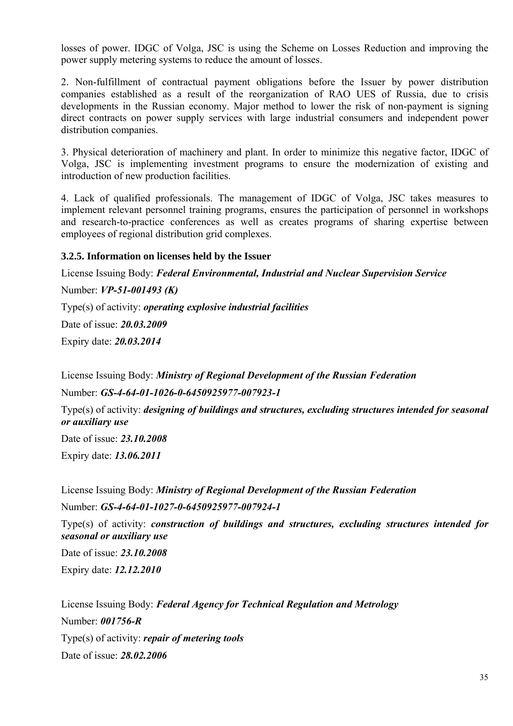losses of power. IDGC of Volga, JSC is using the Scheme on Losses Reduction and improving the power supply metering systems to reduce the amount of losses.

2. Non-fulfillment of contractual payment obligations before the Issuer by power distribution companies established as a result of the reorganization of RAO UES of Russia, due to crisis developments in the Russian economy. Major method to lower the risk of non-payment is signing direct contracts on power supply services with large industrial consumers and independent power distribution companies.

3. Physical deterioration of machinery and plant. In order to minimize this negative factor, IDGC of Volga, JSC is implementing investment programs to ensure the modernization of existing and introduction of new production facilities.

4. Lack of qualified professionals. The management of IDGC of Volga, JSC takes measures to implement relevant personnel training programs, ensures the participation of personnel in workshops and research-to-practice conferences as well as creates programs of sharing expertise between employees of regional distribution grid complexes.

# **3.2.5. Information on licenses held by the Issuer**

License Issuing Body: *Federal Environmental, Industrial and Nuclear Supervision Service*  Number: *VP-51-001493 (K)* Type(s) of activity: *operating explosive industrial facilities* Date of issue: *20.03.2009* Expiry date: *20.03.2014*

License Issuing Body: *Ministry of Regional Development of the Russian Federation*

Number: *GS-4-64-01-1026-0-6450925977-007923-1*

Type(s) of activity: *designing of buildings and structures, excluding structures intended for seasonal or auxiliary use*

Date of issue: *23.10.2008*

Expiry date: *13.06.2011*

License Issuing Body: *Ministry of Regional Development of the Russian Federation* Number: *GS-4-64-01-1027-0-6450925977-007924-1*

Type(s) of activity: *construction of buildings and structures, excluding structures intended for seasonal or auxiliary use*

Date of issue: *23.10.2008* Expiry date: *12.12.2010*

License Issuing Body: *Federal Agency for Technical Regulation and Metrology* Number: *001756-R* Type(s) of activity: *repair of metering tools* Date of issue: *28.02.2006*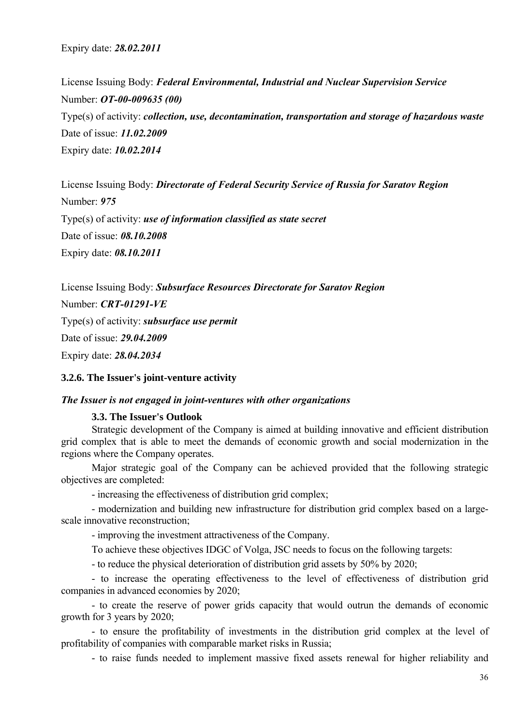Expiry date: *28.02.2011*

License Issuing Body: *Federal Environmental, Industrial and Nuclear Supervision Service*  Number: *OT-00-009635 (00)* Type(s) of activity: *collection, use, decontamination, transportation and storage of hazardous waste* Date of issue: *11.02.2009* Expiry date: *10.02.2014*

License Issuing Body: *Directorate of Federal Security Service of Russia for Saratov Region*  Number: *975* Type(s) of activity: *use of information classified as state secret*  Date of issue: *08.10.2008* Expiry date: *08.10.2011*

License Issuing Body: *Subsurface Resources Directorate for Saratov Region*  Number: *CRT-01291-VE* Type(s) of activity: *subsurface use permit*  Date of issue: *29.04.2009* Expiry date: *28.04.2034* 

#### **3.2.6. The Issuer's joint-venture activity**

#### *The Issuer is not engaged in joint-ventures with other organizations*

#### **3.3. The Issuer's Outlook**

Strategic development of the Company is aimed at building innovative and efficient distribution grid complex that is able to meet the demands of economic growth and social modernization in the regions where the Company operates.

Major strategic goal of the Company can be achieved provided that the following strategic objectives are completed:

- increasing the effectiveness of distribution grid complex;

- modernization and building new infrastructure for distribution grid complex based on a largescale innovative reconstruction;

- improving the investment attractiveness of the Company.

To achieve these objectives IDGC of Volga, JSC needs to focus on the following targets:

- to reduce the physical deterioration of distribution grid assets by 50% by 2020;

- to increase the operating effectiveness to the level of effectiveness of distribution grid companies in advanced economies by 2020;

- to create the reserve of power grids capacity that would outrun the demands of economic growth for 3 years by 2020;

- to ensure the profitability of investments in the distribution grid complex at the level of profitability of companies with comparable market risks in Russia;

- to raise funds needed to implement massive fixed assets renewal for higher reliability and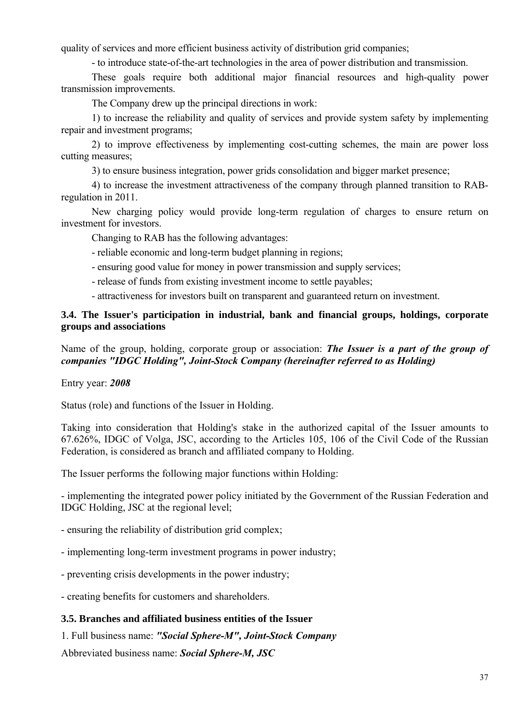quality of services and more efficient business activity of distribution grid companies;

- to introduce state-of-the-art technologies in the area of power distribution and transmission.

These goals require both additional major financial resources and high-quality power transmission improvements.

The Company drew up the principal directions in work:

1) to increase the reliability and quality of services and provide system safety by implementing repair and investment programs;

2) to improve effectiveness by implementing cost-cutting schemes, the main are power loss cutting measures;

3) to ensure business integration, power grids consolidation and bigger market presence;

4) to increase the investment attractiveness of the company through planned transition to RABregulation in 2011.

New charging policy would provide long-term regulation of charges to ensure return on investment for investors.

Changing to RAB has the following advantages:

- reliable economic and long-term budget planning in regions;
- ensuring good value for money in power transmission and supply services;
- release of funds from existing investment income to settle payables;

- attractiveness for investors built on transparent and guaranteed return on investment.

## **3.4. The Issuer's participation in industrial, bank and financial groups, holdings, corporate groups and associations**

Name of the group, holding, corporate group or association: *The Issuer is a part of the group of companies "IDGC Holding", Joint-Stock Company (hereinafter referred to as Holding)*

Entry year: *2008*

Status (role) and functions of the Issuer in Holding.

Taking into consideration that Holding's stake in the authorized capital of the Issuer amounts to 67.626%, IDGC of Volga, JSC, according to the Articles 105, 106 of the Civil Code of the Russian Federation, is considered as branch and affiliated company to Holding.

The Issuer performs the following major functions within Holding:

- implementing the integrated power policy initiated by the Government of the Russian Federation and IDGC Holding, JSC at the regional level;

- ensuring the reliability of distribution grid complex;
- implementing long-term investment programs in power industry;
- preventing crisis developments in the power industry;

- creating benefits for customers and shareholders.

## **3.5. Branches and affiliated business entities of the Issuer**

1. Full business name: *"Social Sphere-M", Joint-Stock Company*

Abbreviated business name: *Social Sphere-M, JSC*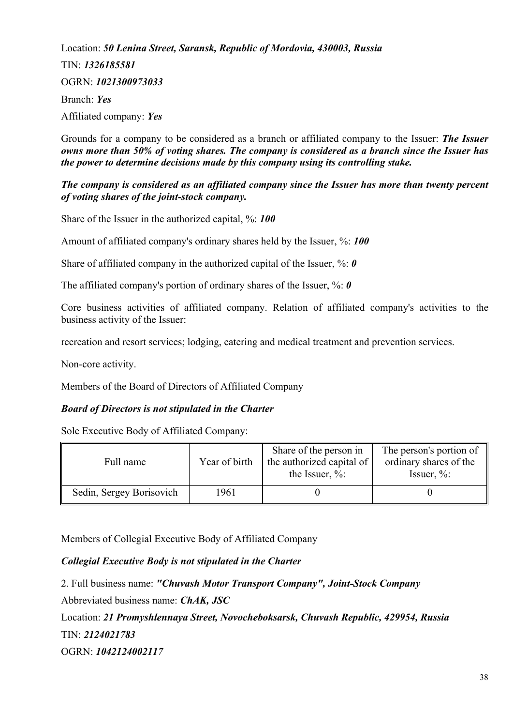Location: *50 Lenina Street, Saransk, Republic of Mordovia, 430003, Russia*  TIN: *1326185581* OGRN: *1021300973033* Branch: *Yes* Affiliated company: *Yes*

Grounds for a company to be considered as a branch or affiliated company to the Issuer: *The Issuer owns more than 50% of voting shares. The company is considered as a branch since the Issuer has the power to determine decisions made by this company using its controlling stake.* 

### *The company is considered as an affiliated company since the Issuer has more than twenty percent of voting shares of the joint-stock company.*

Share of the Issuer in the authorized capital, %: *100*

Amount of affiliated company's ordinary shares held by the Issuer, %: *100*

Share of affiliated company in the authorized capital of the Issuer, %: *0*

The affiliated company's portion of ordinary shares of the Issuer, %: *0*

Core business activities of affiliated company. Relation of affiliated company's activities to the business activity of the Issuer:

recreation and resort services; lodging, catering and medical treatment and prevention services.

Non-core activity.

Members of the Board of Directors of Affiliated Company

### *Board of Directors is not stipulated in the Charter*

Sole Executive Body of Affiliated Company:

| Full name                | Year of birth | Share of the person in<br>the authorized capital of<br>the Issuer, $\%$ : | The person's portion of<br>ordinary shares of the<br>Issuer, $\%$ : |
|--------------------------|---------------|---------------------------------------------------------------------------|---------------------------------------------------------------------|
| Sedin, Sergey Borisovich | 1961          |                                                                           |                                                                     |

Members of Collegial Executive Body of Affiliated Company

## *Collegial Executive Body is not stipulated in the Charter*

2. Full business name: *"Chuvash Motor Transport Company", Joint-Stock Company* Abbreviated business name: *ChAK, JSC* Location: *21 Promyshlennaya Street, Novocheboksarsk, Chuvash Republic, 429954, Russia*  TIN: *2124021783* OGRN: *1042124002117*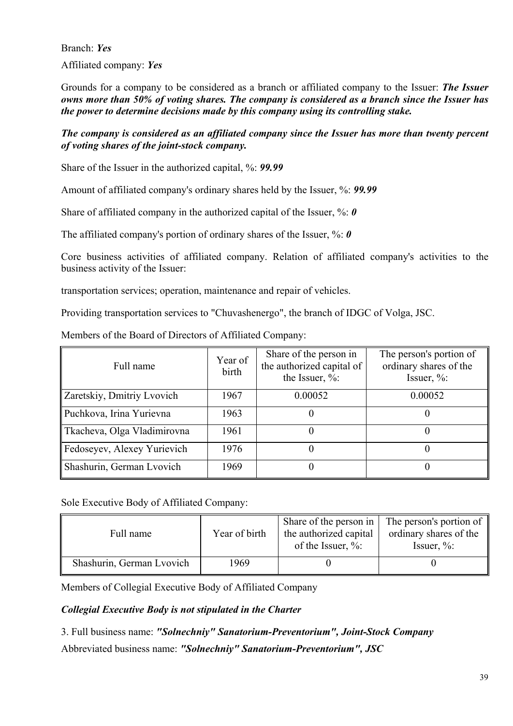Branch: *Yes* Affiliated company: *Yes*

Grounds for a company to be considered as a branch or affiliated company to the Issuer: *The Issuer owns more than 50% of voting shares. The company is considered as a branch since the Issuer has the power to determine decisions made by this company using its controlling stake.* 

## *The company is considered as an affiliated company since the Issuer has more than twenty percent of voting shares of the joint-stock company.*

Share of the Issuer in the authorized capital, %: *99.99*

Amount of affiliated company's ordinary shares held by the Issuer, %: *99.99*

Share of affiliated company in the authorized capital of the Issuer, %: 0

The affiliated company's portion of ordinary shares of the Issuer, %: *0*

Core business activities of affiliated company. Relation of affiliated company's activities to the business activity of the Issuer:

transportation services; operation, maintenance and repair of vehicles.

Providing transportation services to "Chuvashenergo", the branch of IDGC of Volga, JSC.

| Full name                   | Year of<br>birth | Share of the person in<br>the authorized capital of<br>the Issuer, $\%$ : | The person's portion of<br>ordinary shares of the<br>Issuer, $\%$ : |
|-----------------------------|------------------|---------------------------------------------------------------------------|---------------------------------------------------------------------|
| Zaretskiy, Dmitriy Lvovich  | 1967             | 0.00052                                                                   | 0.00052                                                             |
| Puchkova, Irina Yurievna    | 1963             |                                                                           |                                                                     |
| Tkacheva, Olga Vladimirovna | 1961             |                                                                           |                                                                     |
| Fedoseyev, Alexey Yurievich | 1976             |                                                                           |                                                                     |
| Shashurin, German Lvovich   | 1969             |                                                                           |                                                                     |

Members of the Board of Directors of Affiliated Company:

Sole Executive Body of Affiliated Company:

| Full name                 | Year of birth | Share of the person in<br>the authorized capital<br>of the Issuer, $\%$ : | The person's portion of<br>ordinary shares of the<br>Issuer, $\%$ : |
|---------------------------|---------------|---------------------------------------------------------------------------|---------------------------------------------------------------------|
| Shashurin, German Lvovich | 1969          |                                                                           |                                                                     |

Members of Collegial Executive Body of Affiliated Company

## *Collegial Executive Body is not stipulated in the Charter*

3. Full business name: *"Solnechniy" Sanatorium-Preventorium", Joint-Stock Company*  Abbreviated business name: *"Solnechniy" Sanatorium-Preventorium", JSC*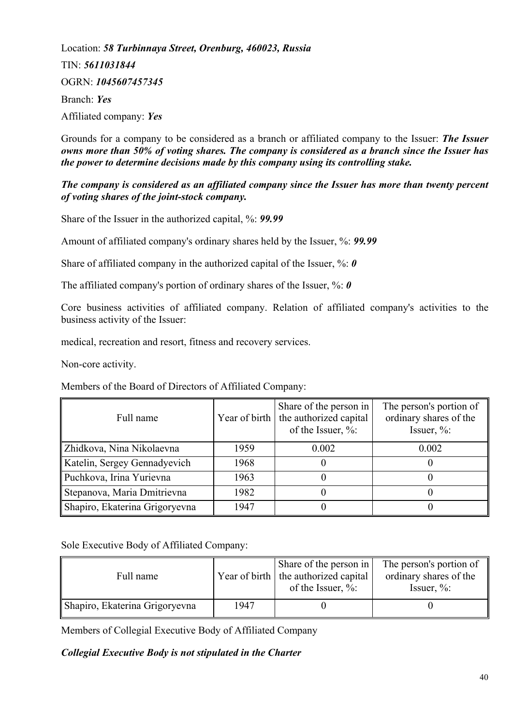Location: *58 Turbinnaya Street, Orenburg, 460023, Russia*  TIN: *5611031844* OGRN: *1045607457345* Branch: *Yes* Affiliated company: *Yes*

Grounds for a company to be considered as a branch or affiliated company to the Issuer: *The Issuer owns more than 50% of voting shares. The company is considered as a branch since the Issuer has the power to determine decisions made by this company using its controlling stake.* 

### *The company is considered as an affiliated company since the Issuer has more than twenty percent of voting shares of the joint-stock company.*

Share of the Issuer in the authorized capital, %: *99.99*

Amount of affiliated company's ordinary shares held by the Issuer, %: *99.99*

Share of affiliated company in the authorized capital of the Issuer, %: *0*

The affiliated company's portion of ordinary shares of the Issuer, %: *0*

Core business activities of affiliated company. Relation of affiliated company's activities to the business activity of the Issuer:

medical, recreation and resort, fitness and recovery services.

Non-core activity.

Members of the Board of Directors of Affiliated Company:

| Full name                      |      | Share of the person in<br>Year of birth   the authorized capital<br>of the Issuer, %: | The person's portion of<br>ordinary shares of the<br>Issuer, $\%$ : |
|--------------------------------|------|---------------------------------------------------------------------------------------|---------------------------------------------------------------------|
| Zhidkova, Nina Nikolaevna      | 1959 | 0.002                                                                                 | 0.002                                                               |
| Katelin, Sergey Gennadyevich   | 1968 |                                                                                       |                                                                     |
| Puchkova, Irina Yurievna       | 1963 |                                                                                       |                                                                     |
| Stepanova, Maria Dmitrievna    | 1982 |                                                                                       |                                                                     |
| Shapiro, Ekaterina Grigoryevna | 1947 |                                                                                       |                                                                     |

Sole Executive Body of Affiliated Company:

| Full name                      |      | Share of the person in<br>Year of birth   the authorized capital<br>of the Issuer, $\%$ : | The person's portion of<br>ordinary shares of the<br>Issuer, $\%$ : |
|--------------------------------|------|-------------------------------------------------------------------------------------------|---------------------------------------------------------------------|
| Shapiro, Ekaterina Grigoryevna | 1947 |                                                                                           |                                                                     |

Members of Collegial Executive Body of Affiliated Company

### *Collegial Executive Body is not stipulated in the Charter*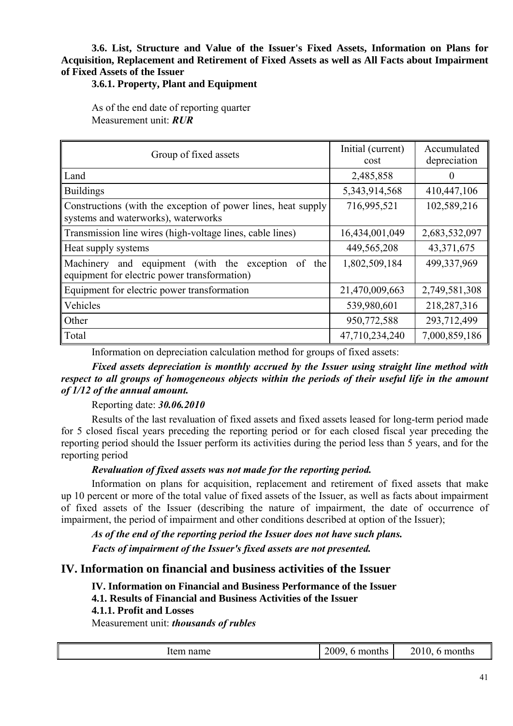## **3.6. List, Structure and Value of the Issuer's Fixed Assets, Information on Plans for Acquisition, Replacement and Retirement of Fixed Assets as well as All Facts about Impairment of Fixed Assets of the Issuer**

### **3.6.1. Property, Plant and Equipment**

As of the end date of reporting quarter Measurement unit: *RUR*

| Group of fixed assets                                                                                       | Initial (current)<br>cost | Accumulated<br>depreciation |
|-------------------------------------------------------------------------------------------------------------|---------------------------|-----------------------------|
| Land                                                                                                        | 2,485,858                 | $\theta$                    |
| <b>Buildings</b>                                                                                            | 5,343,914,568             | 410,447,106                 |
| Constructions (with the exception of power lines, heat supply<br>systems and waterworks), waterworks        | 716,995,521               | 102,589,216                 |
| Transmission line wires (high-voltage lines, cable lines)                                                   | 16,434,001,049            | 2,683,532,097               |
| Heat supply systems                                                                                         | 449,565,208               | 43,371,675                  |
| equipment (with the exception<br>Machinery and<br>of<br>the<br>equipment for electric power transformation) | 1,802,509,184             | 499,337,969                 |
| Equipment for electric power transformation                                                                 | 21,470,009,663            | 2,749,581,308               |
| Vehicles                                                                                                    | 539,980,601               | 218,287,316                 |
| Other                                                                                                       | 950,772,588               | 293,712,499                 |
| Total                                                                                                       | 47,710,234,240            | 7,000,859,186               |

Information on depreciation calculation method for groups of fixed assets:

*Fixed assets depreciation is monthly accrued by the Issuer using straight line method with respect to all groups of homogeneous objects within the periods of their useful life in the amount of 1/12 of the annual amount.*

### Reporting date: *30.06.2010*

Results of the last revaluation of fixed assets and fixed assets leased for long-term period made for 5 closed fiscal years preceding the reporting period or for each closed fiscal year preceding the reporting period should the Issuer perform its activities during the period less than 5 years, and for the reporting period

## *Revaluation of fixed assets was not made for the reporting period.*

Information on plans for acquisition, replacement and retirement of fixed assets that make up 10 percent or more of the total value of fixed assets of the Issuer, as well as facts about impairment of fixed assets of the Issuer (describing the nature of impairment, the date of occurrence of impairment, the period of impairment and other conditions described at option of the Issuer);

*As of the end of the reporting period the Issuer does not have such plans. Facts of impairment of the Issuer's fixed assets are not presented.*

## **IV. Information on financial and business activities of the Issuer**

**IV. Information on Financial and Business Performance of the Issuer 4.1. Results of Financial and Business Activities of the Issuer 4.1.1. Profit and Losses**  Measurement unit: *thousands of rubles*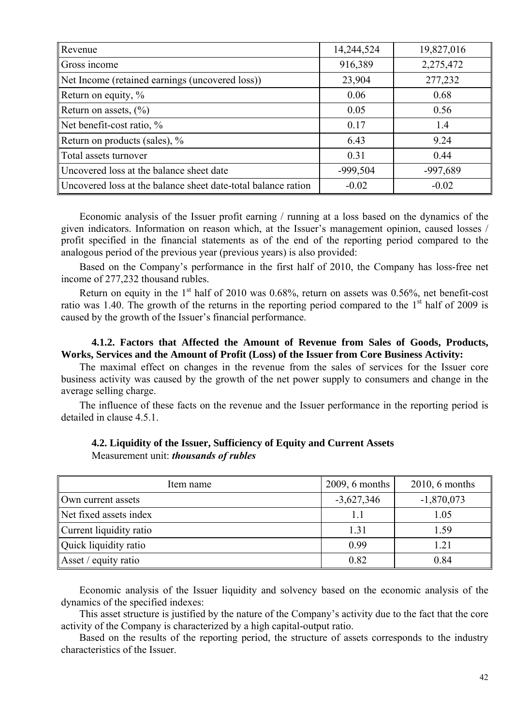| Revenue                                                       | 14,244,524 | 19,827,016 |
|---------------------------------------------------------------|------------|------------|
| Gross income                                                  | 916,389    | 2,275,472  |
| Net Income (retained earnings (uncovered loss))               | 23,904     | 277,232    |
| Return on equity, %                                           | 0.06       | 0.68       |
| Return on assets, $(\% )$                                     | 0.05       | 0.56       |
| Net benefit-cost ratio, %                                     | 0.17       | 1.4        |
| Return on products (sales), %                                 | 6.43       | 9.24       |
| Total assets turnover                                         | 0.31       | 0.44       |
| Uncovered loss at the balance sheet date                      | $-999,504$ | -997,689   |
| Uncovered loss at the balance sheet date-total balance ration | $-0.02$    | $-0.02$    |

Economic analysis of the Issuer profit earning / running at a loss based on the dynamics of the given indicators. Information on reason which, at the Issuer's management opinion, caused losses / profit specified in the financial statements as of the end of the reporting period compared to the analogous period of the previous year (previous years) is also provided:

Based on the Company's performance in the first half of 2010, the Company has loss-free net income of 277,232 thousand rubles.

Return on equity in the  $1<sup>st</sup>$  half of 2010 was 0.68%, return on assets was 0.56%, net benefit-cost ratio was 1.40. The growth of the returns in the reporting period compared to the  $1<sup>st</sup>$  half of 2009 is caused by the growth of the Issuer's financial performance.

### **4.1.2. Factors that Affected the Amount of Revenue from Sales of Goods, Products, Works, Services and the Amount of Profit (Loss) of the Issuer from Core Business Activity:**

The maximal effect on changes in the revenue from the sales of services for the Issuer core business activity was caused by the growth of the net power supply to consumers and change in the average selling charge.

The influence of these facts on the revenue and the Issuer performance in the reporting period is detailed in clause 4.5.1.

| Item name               | $2009, 6$ months | $2010, 6$ months |
|-------------------------|------------------|------------------|
| Own current assets      | $-3,627,346$     | $-1,870,073$     |
| Net fixed assets index  |                  | 1.05             |
| Current liquidity ratio | 1.31             | 1.59             |
| Quick liquidity ratio   | 0.99             | 1.21             |
| Asset / equity ratio    | 0.82             | 0.84             |

### **4.2. Liquidity of the Issuer, Sufficiency of Equity and Current Assets**  Measurement unit: *thousands of rubles*

Economic analysis of the Issuer liquidity and solvency based on the economic analysis of the dynamics of the specified indexes:

This asset structure is justified by the nature of the Company's activity due to the fact that the core activity of the Company is characterized by a high capital-output ratio.

Based on the results of the reporting period, the structure of assets corresponds to the industry characteristics of the Issuer.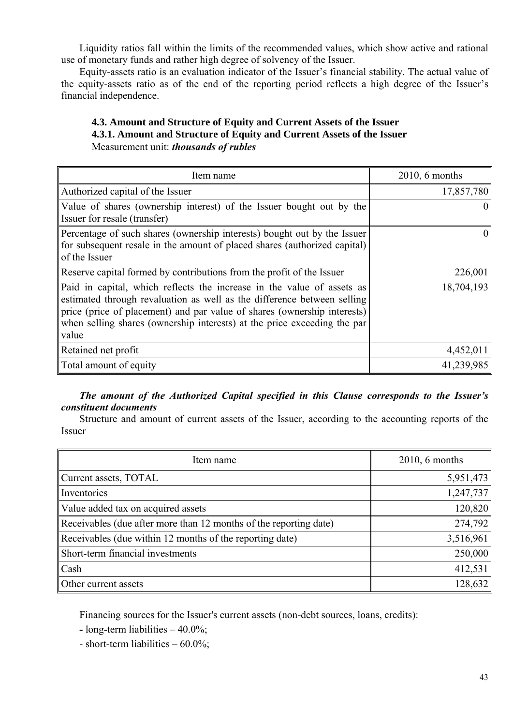Liquidity ratios fall within the limits of the recommended values, which show active and rational use of monetary funds and rather high degree of solvency of the Issuer.

Equity-assets ratio is an evaluation indicator of the Issuer's financial stability. The actual value of the equity-assets ratio as of the end of the reporting period reflects a high degree of the Issuer's financial independence.

## **4.3. Amount and Structure of Equity and Current Assets of the Issuer 4.3.1. Amount and Structure of Equity and Current Assets of the Issuer**  Measurement unit: *thousands of rubles*

| Item name                                                                                                                                                                                                                                                                                                          | $2010, 6$ months |
|--------------------------------------------------------------------------------------------------------------------------------------------------------------------------------------------------------------------------------------------------------------------------------------------------------------------|------------------|
| Authorized capital of the Issuer                                                                                                                                                                                                                                                                                   | 17,857,780       |
| Value of shares (ownership interest) of the Issuer bought out by the<br>Issuer for resale (transfer)                                                                                                                                                                                                               |                  |
| Percentage of such shares (ownership interests) bought out by the Issuer<br>for subsequent resale in the amount of placed shares (authorized capital)<br>of the Issuer                                                                                                                                             | $\theta$         |
| Reserve capital formed by contributions from the profit of the Issuer                                                                                                                                                                                                                                              | 226,001          |
| Paid in capital, which reflects the increase in the value of assets as<br>estimated through revaluation as well as the difference between selling<br>price (price of placement) and par value of shares (ownership interests)<br>when selling shares (ownership interests) at the price exceeding the par<br>value | 18,704,193       |
| Retained net profit                                                                                                                                                                                                                                                                                                | 4,452,011        |
| Total amount of equity                                                                                                                                                                                                                                                                                             | 41,239,985       |

## *The amount of the Authorized Capital specified in this Clause corresponds to the Issuer's constituent documents*

Structure and amount of current assets of the Issuer, according to the accounting reports of the Issuer

| Item name                                                         | $2010, 6$ months |
|-------------------------------------------------------------------|------------------|
| Current assets, TOTAL                                             | 5,951,473        |
| Inventories                                                       | 1,247,737        |
| Value added tax on acquired assets                                | 120,820          |
| Receivables (due after more than 12 months of the reporting date) | 274,792          |
| Receivables (due within 12 months of the reporting date)          | 3,516,961        |
| Short-term financial investments                                  | 250,000          |
| Cash                                                              | 412,531          |
| Other current assets                                              | 128,632          |

Financing sources for the Issuer's current assets (non-debt sources, loans, credits):

*-* long-term liabilities – 40.0%;

- short-term liabilities – 60.0%;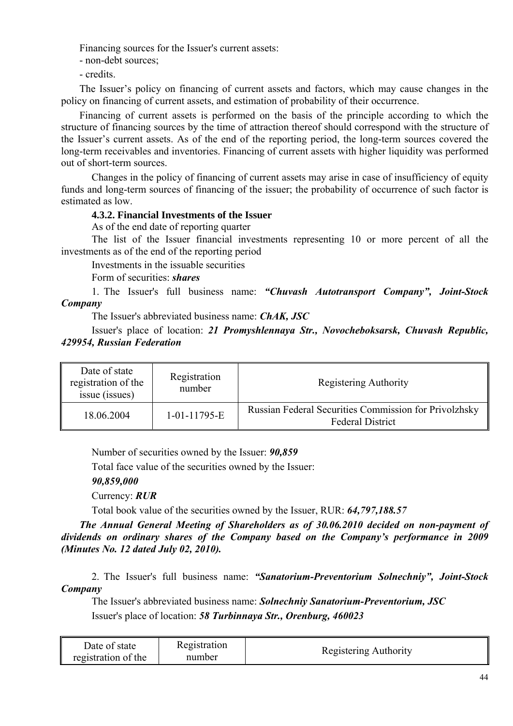Financing sources for the Issuer's current assets:

- non-debt sources;

- credits.

The Issuer's policy on financing of current assets and factors, which may cause changes in the policy on financing of current assets, and estimation of probability of their occurrence.

Financing of current assets is performed on the basis of the principle according to which the structure of financing sources by the time of attraction thereof should correspond with the structure of the Issuer's current assets. As of the end of the reporting period, the long-term sources covered the long-term receivables and inventories. Financing of current assets with higher liquidity was performed out of short-term sources.

Changes in the policy of financing of current assets may arise in case of insufficiency of equity funds and long-term sources of financing of the issuer; the probability of occurrence of such factor is estimated as low.

### **4.3.2. Financial Investments of the Issuer**

As of the end date of reporting quarter

The list of the Issuer financial investments representing 10 or more percent of all the investments as of the end of the reporting period

Investments in the issuable securities

Form of securities: *shares*

1. The Issuer's full business name: *"Chuvash Autotransport Company", Joint-Stock Company*

The Issuer's abbreviated business name: *ChAK, JSC* 

Issuer's place of location: *21 Promyshlennaya Str., Novocheboksarsk, Chuvash Republic, 429954, Russian Federation* 

| Date of state<br>registration of the<br>issue (issues) | Registration<br>number | Registering Authority                                                            |
|--------------------------------------------------------|------------------------|----------------------------------------------------------------------------------|
| 18.06.2004                                             | 1-01-11795-E           | Russian Federal Securities Commission for Privolzhsky<br><b>Federal District</b> |

Number of securities owned by the Issuer: *90,859*

Total face value of the securities owned by the Issuer:

*90,859,000*

Currency: *RUR*

Total book value of the securities owned by the Issuer, RUR: *64,797,188.57*

*The Annual General Meeting of Shareholders as of 30.06.2010 decided on non-payment of dividends on ordinary shares of the Company based on the Company's performance in 2009 (Minutes No. 12 dated July 02, 2010).*

2. The Issuer's full business name: *"Sanatorium-Preventorium Solnechniy", Joint-Stock Company*

The Issuer's abbreviated business name: *Solnechniy Sanatorium-Preventorium, JSC*  Issuer's place of location: *58 Turbinnaya Str., Orenburg, 460023* 

| Date of state       | Registration | Registering Authority |
|---------------------|--------------|-----------------------|
| registration of the | number       |                       |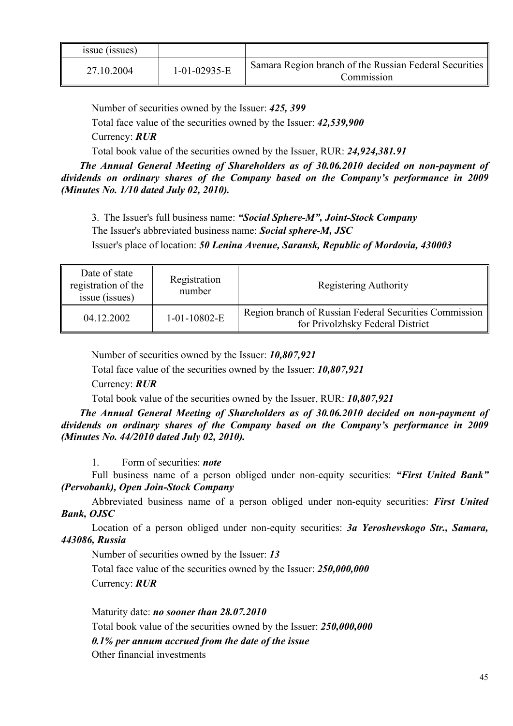| issue (issues) |                |                                                                      |
|----------------|----------------|----------------------------------------------------------------------|
| 27.10.2004     | $1-01-02935-E$ | Samara Region branch of the Russian Federal Securities<br>Commission |

Number of securities owned by the Issuer: *425, 399*

Total face value of the securities owned by the Issuer: *42,539,900*

Currency: *RUR*

Total book value of the securities owned by the Issuer, RUR: *24,924,381.91*

*The Annual General Meeting of Shareholders as of 30.06.2010 decided on non-payment of dividends on ordinary shares of the Company based on the Company's performance in 2009 (Minutes No. 1/10 dated July 02, 2010).*

3. The Issuer's full business name: *"Social Sphere-M", Joint-Stock Company* The Issuer's abbreviated business name: *Social sphere-M, JSC*

Issuer's place of location: *50 Lenina Avenue, Saransk, Republic of Mordovia, 430003*

| Date of state<br>registration of the<br>issue (issues) | Registration<br>number | Registering Authority                                                                      |
|--------------------------------------------------------|------------------------|--------------------------------------------------------------------------------------------|
| 04.12.2002                                             | $1-01-10802-E$         | Region branch of Russian Federal Securities Commission<br>for Privolzhsky Federal District |

Number of securities owned by the Issuer: *10,807,921*

Total face value of the securities owned by the Issuer: *10,807,921*

Currency: *RUR*

Total book value of the securities owned by the Issuer, RUR: *10,807,921*

*The Annual General Meeting of Shareholders as of 30.06.2010 decided on non-payment of dividends on ordinary shares of the Company based on the Company's performance in 2009 (Minutes No. 44/2010 dated July 02, 2010).*

1. Form of securities: *note*

Full business name of a person obliged under non-equity securities: *"First United Bank" (Pervobank), Open Join-Stock Company*

Abbreviated business name of a person obliged under non-equity securities: *First United Bank, OJSC*

Location of a person obliged under non-equity securities: *3a Yeroshevskogo Str., Samara, 443086, Russia*

Number of securities owned by the Issuer: *13*

Total face value of the securities owned by the Issuer: *250,000,000* Currency: *RUR*

Maturity date: *no sooner than 28.07.2010*

Total book value of the securities owned by the Issuer: *250,000,000*

*0.1% per annum accrued from the date of the issue*

Other financial investments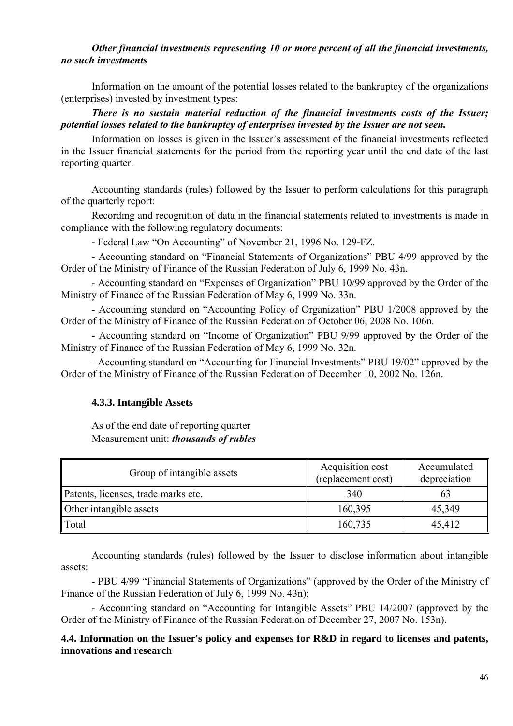### *Other financial investments representing 10 or more percent of all the financial investments, no such investments*

Information on the amount of the potential losses related to the bankruptcy of the organizations (enterprises) invested by investment types:

*There is no sustain material reduction of the financial investments costs of the Issuer; potential losses related to the bankruptcy of enterprises invested by the Issuer are not seen.*

Information on losses is given in the Issuer's assessment of the financial investments reflected in the Issuer financial statements for the period from the reporting year until the end date of the last reporting quarter.

Accounting standards (rules) followed by the Issuer to perform calculations for this paragraph of the quarterly report:

Recording and recognition of data in the financial statements related to investments is made in compliance with the following regulatory documents:

- Federal Law "On Accounting" of November 21, 1996 No. 129-FZ.

- Accounting standard on "Financial Statements of Organizations" PBU 4/99 approved by the Order of the Ministry of Finance of the Russian Federation of July 6, 1999 No. 43n.

- Accounting standard on "Expenses of Organization" PBU 10/99 approved by the Order of the Ministry of Finance of the Russian Federation of May 6, 1999 No. 33n.

- Accounting standard on "Accounting Policy of Organization" PBU 1/2008 approved by the Order of the Ministry of Finance of the Russian Federation of October 06, 2008 No. 106n.

- Accounting standard on "Income of Organization" PBU 9/99 approved by the Order of the Ministry of Finance of the Russian Federation of May 6, 1999 No. 32n.

- Accounting standard on "Accounting for Financial Investments" PBU 19/02" approved by the Order of the Ministry of Finance of the Russian Federation of December 10, 2002 No. 126n.

## **4.3.3. Intangible Assets**

As of the end date of reporting quarter Measurement unit: *thousands of rubles*

| Group of intangible assets          | Acquisition cost<br>(replacement cost) | Accumulated<br>depreciation |
|-------------------------------------|----------------------------------------|-----------------------------|
| Patents, licenses, trade marks etc. | 340                                    |                             |
| Other intangible assets             | 160,395                                | 45,349                      |
| $\ $ Total                          | 160,735                                | 45,412                      |

Accounting standards (rules) followed by the Issuer to disclose information about intangible assets:

- PBU 4/99 "Financial Statements of Organizations" (approved by the Order of the Ministry of Finance of the Russian Federation of July 6, 1999 No. 43n);

- Accounting standard on "Accounting for Intangible Assets" PBU 14/2007 (approved by the Order of the Ministry of Finance of the Russian Federation of December 27, 2007 No. 153n).

### **4.4. Information on the Issuer's policy and expenses for R&D in regard to licenses and patents, innovations and research**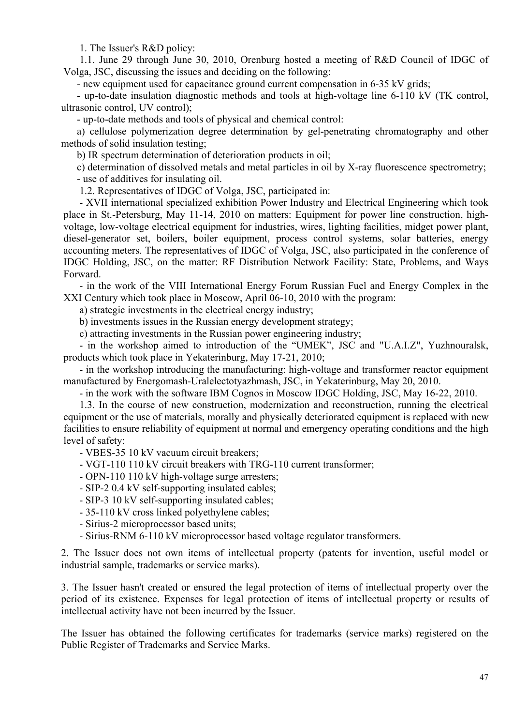1. The Issuer's R&D policy:

1.1. June 29 through June 30, 2010, Orenburg hosted a meeting of R&D Council of IDGC of Volga, JSC, discussing the issues and deciding on the following:

- new equipment used for capacitance ground current compensation in 6-35 kV grids;

- up-to-date insulation diagnostic methods and tools at high-voltage line 6-110 kV (TK control, ultrasonic control, UV control);

- up-to-date methods and tools of physical and chemical control:

a) cellulose polymerization degree determination by gel-penetrating chromatography and other methods of solid insulation testing;

b) IR spectrum determination of deterioration products in oil;

c) determination of dissolved metals and metal particles in oil by X-ray fluorescence spectrometry; - use of additives for insulating oil.

1.2. Representatives of IDGC of Volga, JSC, participated in:

- ΧVΙΙ international specialized exhibition Power Industry and Electrical Engineering which took place in St.-Petersburg, May 11-14, 2010 on matters: Equipment for power line construction, highvoltage, low-voltage electrical equipment for industries, wires, lighting facilities, midget power plant, diesel-generator set, boilers, boiler equipment, process control systems, solar batteries, energy accounting meters. The representatives of IDGC of Volga, JSC, also participated in the conference of IDGC Holding, JSC, on the matter: RF Distribution Network Facility: State, Problems, and Ways Forward.

- in the work of the VIII International Energy Forum Russian Fuel and Energy Complex in the XXI Century which took place in Moscow, April 06-10, 2010 with the program:

a) strategic investments in the electrical energy industry;

b) investments issues in the Russian energy development strategy;

c) attracting investments in the Russian power engineering industry;

- in the workshop aimed to introduction of the "UMEK", JSC and "U.A.I.Z", Yuzhnouralsk, products which took place in Yekaterinburg, May 17-21, 2010;

- in the workshop introducing the manufacturing: high-voltage and transformer reactor equipment manufactured by Energomash-Uralelectotyazhmash, JSC, in Yekaterinburg, May 20, 2010.

- in the work with the software IBM Cognos in Moscow IDGC Holding, JSC, May 16-22, 2010.

1.3. In the course of new construction, modernization and reconstruction, running the electrical equipment or the use of materials, morally and physically deteriorated equipment is replaced with new facilities to ensure reliability of equipment at normal and emergency operating conditions and the high level of safety:

- VBES-35 10 kV vacuum circuit breakers;

- VGT-110 110 kV circuit breakers with TRG-110 current transformer;

- OPN-110 110 kV high-voltage surge arresters;

- SIP-2 0.4 kV self-supporting insulated cables;

- SIP-3 10 kV self-supporting insulated cables;

- 35-110 kV cross linked polyethylene cables;

- Sirius-2 microprocessor based units;

- Sirius-RNM 6-110 kV microprocessor based voltage regulator transformers.

2. The Issuer does not own items of intellectual property (patents for invention, useful model or industrial sample, trademarks or service marks).

3. The Issuer hasn't created or ensured the legal protection of items of intellectual property over the period of its existence. Expenses for legal protection of items of intellectual property or results of intellectual activity have not been incurred by the Issuer.

The Issuer has obtained the following certificates for trademarks (service marks) registered on the Public Register of Trademarks and Service Marks.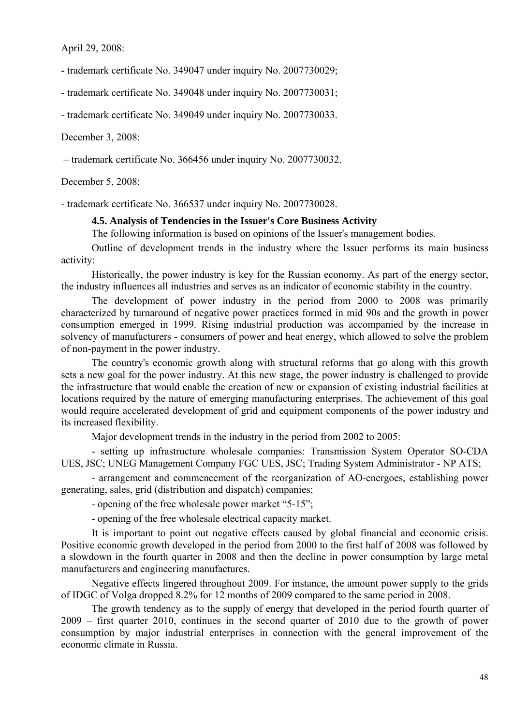April 29, 2008:

- trademark certificate No. 349047 under inquiry No. 2007730029;

- trademark certificate No. 349048 under inquiry No. 2007730031;

- trademark certificate No. 349049 under inquiry No. 2007730033.

December 3, 2008:

– trademark certificate No. 366456 under inquiry No. 2007730032.

December 5, 2008:

- trademark certificate No. 366537 under inquiry No. 2007730028.

#### **4.5. Analysis of Tendencies in the Issuer's Core Business Activity**

The following information is based on opinions of the Issuer's management bodies.

Outline of development trends in the industry where the Issuer performs its main business activity:

Historically, the power industry is key for the Russian economy. As part of the energy sector, the industry influences all industries and serves as an indicator of economic stability in the country.

The development of power industry in the period from 2000 to 2008 was primarily characterized by turnaround of negative power practices formed in mid 90s and the growth in power consumption emerged in 1999. Rising industrial production was accompanied by the increase in solvency of manufacturers - consumers of power and heat energy, which allowed to solve the problem of non-payment in the power industry.

The country's economic growth along with structural reforms that go along with this growth sets a new goal for the power industry. At this new stage, the power industry is challenged to provide the infrastructure that would enable the creation of new or expansion of existing industrial facilities at locations required by the nature of emerging manufacturing enterprises. The achievement of this goal would require accelerated development of grid and equipment components of the power industry and its increased flexibility.

Major development trends in the industry in the period from 2002 to 2005:

- setting up infrastructure wholesale companies: Transmission System Operator SO-CDA UES, JSC; UNEG Management Company FGC UES, JSC; Trading System Administrator - NP ATS;

- arrangement and commencement of the reorganization of AO-energoes, establishing power generating, sales, grid (distribution and dispatch) companies;

- opening of the free wholesale power market "5-15";

- opening of the free wholesale electrical capacity market.

It is important to point out negative effects caused by global financial and economic crisis. Positive economic growth developed in the period from 2000 to the first half of 2008 was followed by a slowdown in the fourth quarter in 2008 and then the decline in power consumption by large metal manufacturers and engineering manufactures.

Negative effects lingered throughout 2009. For instance, the amount power supply to the grids of IDGC of Volga dropped 8.2% for 12 months of 2009 compared to the same period in 2008.

 The growth tendency as to the supply of energy that developed in the period fourth quarter of 2009 – first quarter 2010, continues in the second quarter of 2010 due to the growth of power consumption by major industrial enterprises in connection with the general improvement of the economic climate in Russia.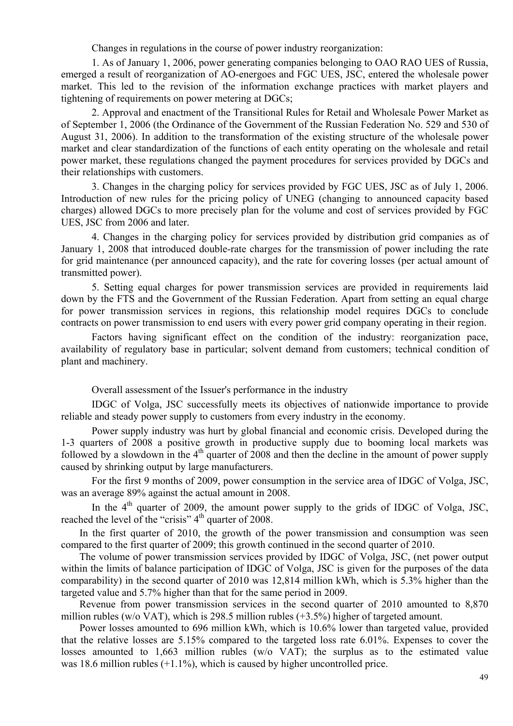Changes in regulations in the course of power industry reorganization:

1. As of January 1, 2006, power generating companies belonging to OAO RAO UES of Russia, emerged a result of reorganization of AO-energoes and FGC UES, JSC, entered the wholesale power market. This led to the revision of the information exchange practices with market players and tightening of requirements on power metering at DGCs;

2. Approval and enactment of the Transitional Rules for Retail and Wholesale Power Market as of September 1, 2006 (the Ordinance of the Government of the Russian Federation No. 529 and 530 of August 31, 2006). In addition to the transformation of the existing structure of the wholesale power market and clear standardization of the functions of each entity operating on the wholesale and retail power market, these regulations changed the payment procedures for services provided by DGCs and their relationships with customers.

3. Changes in the charging policy for services provided by FGC UES, JSC as of July 1, 2006. Introduction of new rules for the pricing policy of UNEG (changing to announced capacity based charges) allowed DGCs to more precisely plan for the volume and cost of services provided by FGC UES, JSC from 2006 and later.

4. Changes in the charging policy for services provided by distribution grid companies as of January 1, 2008 that introduced double-rate charges for the transmission of power including the rate for grid maintenance (per announced capacity), and the rate for covering losses (per actual amount of transmitted power).

5. Setting equal charges for power transmission services are provided in requirements laid down by the FTS and the Government of the Russian Federation. Apart from setting an equal charge for power transmission services in regions, this relationship model requires DGCs to conclude contracts on power transmission to end users with every power grid company operating in their region.

Factors having significant effect on the condition of the industry: reorganization pace, availability of regulatory base in particular; solvent demand from customers; technical condition of plant and machinery.

Overall assessment of the Issuer's performance in the industry

IDGC of Volga, JSC successfully meets its objectives of nationwide importance to provide reliable and steady power supply to customers from every industry in the economy.

Power supply industry was hurt by global financial and economic crisis. Developed during the 1-3 quarters of 2008 a positive growth in productive supply due to booming local markets was followed by a slowdown in the  $4<sup>th</sup>$  quarter of 2008 and then the decline in the amount of power supply caused by shrinking output by large manufacturers.

For the first 9 months of 2009, power consumption in the service area of IDGC of Volga, JSC, was an average 89% against the actual amount in 2008.

In the  $4<sup>th</sup>$  quarter of 2009, the amount power supply to the grids of IDGC of Volga, JSC, reached the level of the "crisis"  $4<sup>th</sup>$  quarter of 2008.

In the first quarter of 2010, the growth of the power transmission and consumption was seen compared to the first quarter of 2009; this growth continued in the second quarter of 2010.

The volume of power transmission services provided by IDGC of Volga, JSC, (net power output within the limits of balance participation of IDGC of Volga, JSC is given for the purposes of the data comparability) in the second quarter of 2010 was 12,814 million kWh, which is 5.3% higher than the targeted value and 5.7% higher than that for the same period in 2009.

Revenue from power transmission services in the second quarter of 2010 amounted to 8,870 million rubles (w/o VAT), which is 298.5 million rubles (+3.5%) higher of targeted amount.

Power losses amounted to 696 million kWh, which is 10.6% lower than targeted value, provided that the relative losses are 5.15% compared to the targeted loss rate 6.01%. Expenses to cover the losses amounted to 1,663 million rubles (w/o VAT); the surplus as to the estimated value was 18.6 million rubles (+1.1%), which is caused by higher uncontrolled price.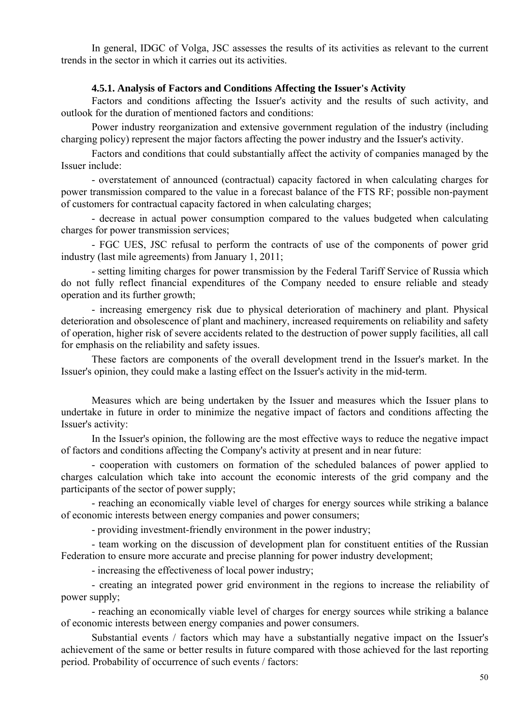In general, IDGC of Volga, JSC assesses the results of its activities as relevant to the current trends in the sector in which it carries out its activities.

#### **4.5.1. Analysis of Factors and Conditions Affecting the Issuer's Activity**

Factors and conditions affecting the Issuer's activity and the results of such activity, and outlook for the duration of mentioned factors and conditions:

Power industry reorganization and extensive government regulation of the industry (including charging policy) represent the major factors affecting the power industry and the Issuer's activity.

Factors and conditions that could substantially affect the activity of companies managed by the Issuer include:

- overstatement of announced (contractual) capacity factored in when calculating charges for power transmission compared to the value in a forecast balance of the FTS RF; possible non-payment of customers for contractual capacity factored in when calculating charges;

- decrease in actual power consumption compared to the values budgeted when calculating charges for power transmission services;

- FGC UES, JSC refusal to perform the contracts of use of the components of power grid industry (last mile agreements) from January 1, 2011;

- setting limiting charges for power transmission by the Federal Tariff Service of Russia which do not fully reflect financial expenditures of the Company needed to ensure reliable and steady operation and its further growth;

- increasing emergency risk due to physical deterioration of machinery and plant. Physical deterioration and obsolescence of plant and machinery, increased requirements on reliability and safety of operation, higher risk of severe accidents related to the destruction of power supply facilities, all call for emphasis on the reliability and safety issues.

These factors are components of the overall development trend in the Issuer's market. In the Issuer's opinion, they could make a lasting effect on the Issuer's activity in the mid-term.

Measures which are being undertaken by the Issuer and measures which the Issuer plans to undertake in future in order to minimize the negative impact of factors and conditions affecting the Issuer's activity:

In the Issuer's opinion, the following are the most effective ways to reduce the negative impact of factors and conditions affecting the Company's activity at present and in near future:

- cooperation with customers on formation of the scheduled balances of power applied to charges calculation which take into account the economic interests of the grid company and the participants of the sector of power supply;

- reaching an economically viable level of charges for energy sources while striking a balance of economic interests between energy companies and power consumers;

- providing investment-friendly environment in the power industry;

- team working on the discussion of development plan for constituent entities of the Russian Federation to ensure more accurate and precise planning for power industry development;

- increasing the effectiveness of local power industry;

- creating an integrated power grid environment in the regions to increase the reliability of power supply;

- reaching an economically viable level of charges for energy sources while striking a balance of economic interests between energy companies and power consumers.

Substantial events / factors which may have a substantially negative impact on the Issuer's achievement of the same or better results in future compared with those achieved for the last reporting period. Probability of occurrence of such events / factors: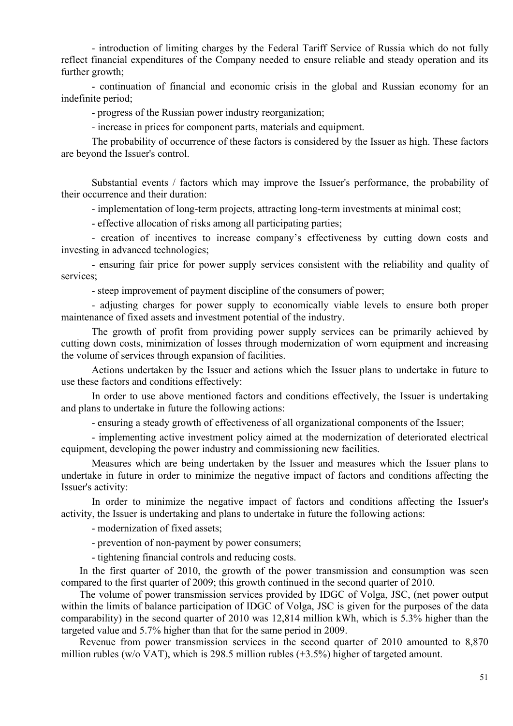- introduction of limiting charges by the Federal Tariff Service of Russia which do not fully reflect financial expenditures of the Company needed to ensure reliable and steady operation and its further growth;

- continuation of financial and economic crisis in the global and Russian economy for an indefinite period;

- progress of the Russian power industry reorganization;

- increase in prices for component parts, materials and equipment.

The probability of occurrence of these factors is considered by the Issuer as high. These factors are beyond the Issuer's control.

Substantial events / factors which may improve the Issuer's performance, the probability of their occurrence and their duration:

- implementation of long-term projects, attracting long-term investments at minimal cost;

- effective allocation of risks among all participating parties;

- creation of incentives to increase company's effectiveness by cutting down costs and investing in advanced technologies;

- ensuring fair price for power supply services consistent with the reliability and quality of services;

- steep improvement of payment discipline of the consumers of power;

- adjusting charges for power supply to economically viable levels to ensure both proper maintenance of fixed assets and investment potential of the industry.

The growth of profit from providing power supply services can be primarily achieved by cutting down costs, minimization of losses through modernization of worn equipment and increasing the volume of services through expansion of facilities.

Actions undertaken by the Issuer and actions which the Issuer plans to undertake in future to use these factors and conditions effectively:

In order to use above mentioned factors and conditions effectively, the Issuer is undertaking and plans to undertake in future the following actions:

- ensuring a steady growth of effectiveness of all organizational components of the Issuer;

- implementing active investment policy aimed at the modernization of deteriorated electrical equipment, developing the power industry and commissioning new facilities.

Measures which are being undertaken by the Issuer and measures which the Issuer plans to undertake in future in order to minimize the negative impact of factors and conditions affecting the Issuer's activity:

In order to minimize the negative impact of factors and conditions affecting the Issuer's activity, the Issuer is undertaking and plans to undertake in future the following actions:

- modernization of fixed assets;

- prevention of non-payment by power consumers;

- tightening financial controls and reducing costs.

In the first quarter of 2010, the growth of the power transmission and consumption was seen compared to the first quarter of 2009; this growth continued in the second quarter of 2010.

The volume of power transmission services provided by IDGC of Volga, JSC, (net power output within the limits of balance participation of IDGC of Volga, JSC is given for the purposes of the data comparability) in the second quarter of 2010 was 12,814 million kWh, which is 5.3% higher than the targeted value and 5.7% higher than that for the same period in 2009.

Revenue from power transmission services in the second quarter of 2010 amounted to 8,870 million rubles (w/o VAT), which is 298.5 million rubles (+3.5%) higher of targeted amount.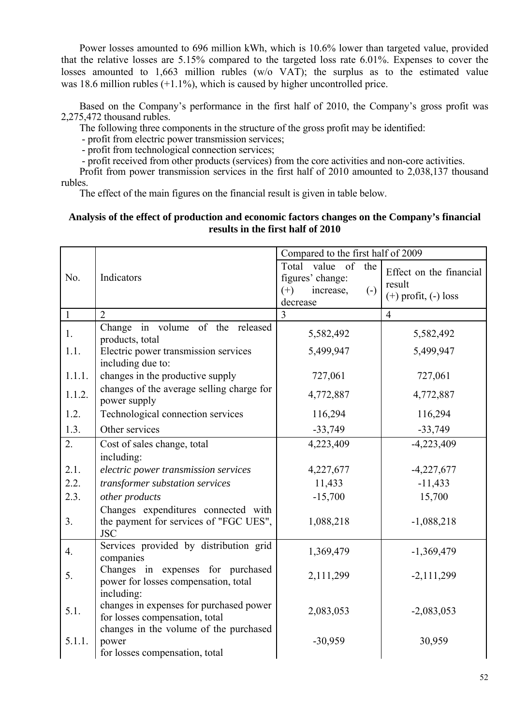Power losses amounted to 696 million kWh, which is 10.6% lower than targeted value, provided that the relative losses are 5.15% compared to the targeted loss rate 6.01%. Expenses to cover the losses amounted to 1,663 million rubles (w/o VAT); the surplus as to the estimated value was 18.6 million rubles (+1.1%), which is caused by higher uncontrolled price.

Based on the Company's performance in the first half of 2010, the Company's gross profit was 2,275,472 thousand rubles.

The following three components in the structure of the gross profit may be identified:

- profit from electric power transmission services;

- profit from technological connection services;

- profit received from other products (services) from the core activities and non-core activities.

Profit from power transmission services in the first half of 2010 amounted to 2,038,137 thousand rubles.

The effect of the main figures on the financial result is given in table below.

### **Analysis of the effect of production and economic factors changes on the Company's financial results in the first half of 2010**

|                |                                                                                             | Compared to the first half of 2009                                                               |                                                               |
|----------------|---------------------------------------------------------------------------------------------|--------------------------------------------------------------------------------------------------|---------------------------------------------------------------|
| No.            | Indicators                                                                                  | value of the<br>Total<br>figures' change:<br>$(+)$<br>increase,<br>$\left( -\right)$<br>decrease | Effect on the financial<br>result<br>$(+)$ profit, $(-)$ loss |
| $\mathbf{1}$   | $\overline{2}$                                                                              | 3                                                                                                | $\overline{4}$                                                |
| 1.             | Change in volume of the released<br>products, total                                         | 5,582,492                                                                                        | 5,582,492                                                     |
| 1.1.           | Electric power transmission services<br>including due to:                                   | 5,499,947                                                                                        | 5,499,947                                                     |
| 1.1.1.         | changes in the productive supply                                                            | 727,061                                                                                          | 727,061                                                       |
| 1.1.2.         | changes of the average selling charge for<br>power supply                                   | 4,772,887                                                                                        | 4,772,887                                                     |
| 1.2.           | Technological connection services                                                           | 116,294                                                                                          | 116,294                                                       |
| 1.3.           | Other services                                                                              | $-33,749$                                                                                        | $-33,749$                                                     |
| 2.             | Cost of sales change, total<br>including:                                                   | 4,223,409                                                                                        | $-4,223,409$                                                  |
| 2.1.           | electric power transmission services                                                        | 4,227,677                                                                                        | $-4,227,677$                                                  |
| 2.2.           | transformer substation services                                                             | 11,433                                                                                           | $-11,433$                                                     |
| 2.3.           | other products                                                                              | $-15,700$                                                                                        | 15,700                                                        |
| 3 <sub>1</sub> | Changes expenditures connected with<br>the payment for services of "FGC UES",<br><b>JSC</b> | 1,088,218                                                                                        | $-1,088,218$                                                  |
| 4.             | Services provided by distribution grid<br>companies                                         | 1,369,479                                                                                        | $-1,369,479$                                                  |
| 5.             | Changes in expenses for purchased<br>power for losses compensation, total                   | 2,111,299                                                                                        | $-2,111,299$                                                  |
| 5.1.           | including:<br>changes in expenses for purchased power<br>for losses compensation, total     | 2,083,053                                                                                        | $-2,083,053$                                                  |
| 5.1.1.         | changes in the volume of the purchased<br>power<br>for losses compensation, total           | $-30,959$                                                                                        | 30,959                                                        |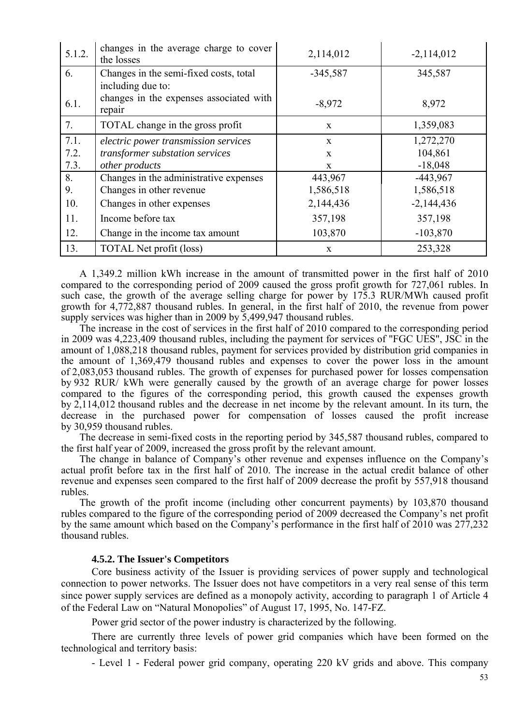| 5.1.2. | changes in the average charge to cover<br>the losses | 2,114,012    | $-2,114,012$ |
|--------|------------------------------------------------------|--------------|--------------|
| 6.     | Changes in the semi-fixed costs, total               | $-345,587$   | 345,587      |
|        | including due to:                                    |              |              |
| 6.1.   | changes in the expenses associated with<br>repair    | $-8,972$     | 8,972        |
| 7.     | TOTAL change in the gross profit                     | $\mathbf{X}$ | 1,359,083    |
| 7.1.   | electric power transmission services                 | $\mathbf{x}$ | 1,272,270    |
| 7.2.   | transformer substation services                      | $\mathbf{x}$ | 104,861      |
| 7.3.   | other products                                       | X            | $-18,048$    |
| 8.     | Changes in the administrative expenses               | 443,967      | $-443,967$   |
| 9.     | Changes in other revenue                             | 1,586,518    | 1,586,518    |
| 10.    | Changes in other expenses                            | 2,144,436    | $-2,144,436$ |
| 11.    | Income before tax                                    | 357,198      | 357,198      |
| 12.    | Change in the income tax amount                      | 103,870      | $-103,870$   |
| 13.    | <b>TOTAL Net profit (loss)</b>                       | $\mathbf{x}$ | 253,328      |

A 1,349.2 million kWh increase in the amount of transmitted power in the first half of 2010 compared to the corresponding period of 2009 caused the gross profit growth for 727,061 rubles. In such case, the growth of the average selling charge for power by 175.3 RUR/MWh caused profit growth for 4,772,887 thousand rubles. In general, in the first half of 2010, the revenue from power supply services was higher than in 2009 by 5,499,947 thousand rubles.

The increase in the cost of services in the first half of 2010 compared to the corresponding period in 2009 was 4,223,409 thousand rubles, including the payment for services of "FGC UES", JSC in the amount of 1,088,218 thousand rubles, payment for services provided by distribution grid companies in the amount of 1,369,479 thousand rubles and expenses to cover the power loss in the amount of 2,083,053 thousand rubles. The growth of expenses for purchased power for losses compensation by 932 RUR/ kWh were generally caused by the growth of an average charge for power losses compared to the figures of the corresponding period, this growth caused the expenses growth by 2,114,012 thousand rubles and the decrease in net income by the relevant amount. In its turn, the decrease in the purchased power for compensation of losses caused the profit increase by 30,959 thousand rubles.

The decrease in semi-fixed costs in the reporting period by 345,587 thousand rubles, compared to the first half year of 2009, increased the gross profit by the relevant amount.

The change in balance of Company's other revenue and expenses influence on the Company's actual profit before tax in the first half of 2010. The increase in the actual credit balance of other revenue and expenses seen compared to the first half of 2009 decrease the profit by 557,918 thousand rubles.

The growth of the profit income (including other concurrent payments) by 103,870 thousand rubles compared to the figure of the corresponding period of 2009 decreased the Company's net profit by the same amount which based on the Company's performance in the first half of 2010 was 277,232 thousand rubles.

#### **4.5.2. The Issuer's Competitors**

Core business activity of the Issuer is providing services of power supply and technological connection to power networks. The Issuer does not have competitors in a very real sense of this term since power supply services are defined as a monopoly activity, according to paragraph 1 of Article 4 of the Federal Law on "Natural Monopolies" of August 17, 1995, No. 147-FZ.

Power grid sector of the power industry is characterized by the following.

There are currently three levels of power grid companies which have been formed on the technological and territory basis:

- Level 1 - Federal power grid company, operating 220 kV grids and above. This company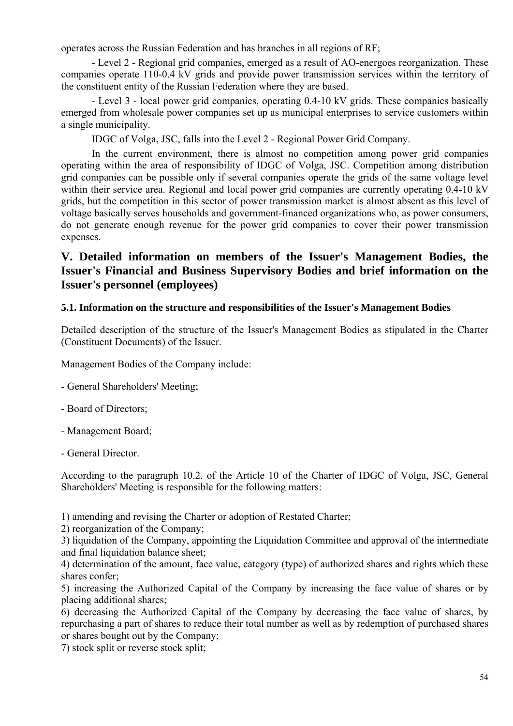operates across the Russian Federation and has branches in all regions of RF;

- Level 2 - Regional grid companies, emerged as a result of AO-energoes reorganization. These companies operate 110-0.4 kV grids and provide power transmission services within the territory of the constituent entity of the Russian Federation where they are based.

- Level 3 - local power grid companies, operating 0.4-10 kV grids. These companies basically emerged from wholesale power companies set up as municipal enterprises to service customers within a single municipality.

IDGC of Volga, JSC, falls into the Level 2 - Regional Power Grid Company.

In the current environment, there is almost no competition among power grid companies operating within the area of responsibility of IDGC of Volga, JSC. Competition among distribution grid companies can be possible only if several companies operate the grids of the same voltage level within their service area. Regional and local power grid companies are currently operating 0.4-10 kV grids, but the competition in this sector of power transmission market is almost absent as this level of voltage basically serves households and government-financed organizations who, as power consumers, do not generate enough revenue for the power grid companies to cover their power transmission expenses.

# **V. Detailed information on members of the Issuer's Management Bodies, the Issuer's Financial and Business Supervisory Bodies and brief information on the Issuer's personnel (employees)**

### **5.1. Information on the structure and responsibilities of the Issuer's Management Bodies**

Detailed description of the structure of the Issuer's Management Bodies as stipulated in the Charter (Constituent Documents) of the Issuer.

Management Bodies of the Company include:

- General Shareholders' Meeting;
- Board of Directors;
- Management Board;
- General Director.

According to the paragraph 10.2. of the Article 10 of the Charter of IDGC of Volga, JSC, General Shareholders' Meeting is responsible for the following matters:

1) amending and revising the Charter or adoption of Restated Charter;

2) reorganization of the Company;

3) liquidation of the Company, appointing the Liquidation Committee and approval of the intermediate and final liquidation balance sheet:

4) determination of the amount, face value, category (type) of authorized shares and rights which these shares confer;

5) increasing the Authorized Capital of the Company by increasing the face value of shares or by placing additional shares;

6) decreasing the Authorized Capital of the Company by decreasing the face value of shares, by repurchasing a part of shares to reduce their total number as well as by redemption of purchased shares or shares bought out by the Company;

7) stock split or reverse stock split;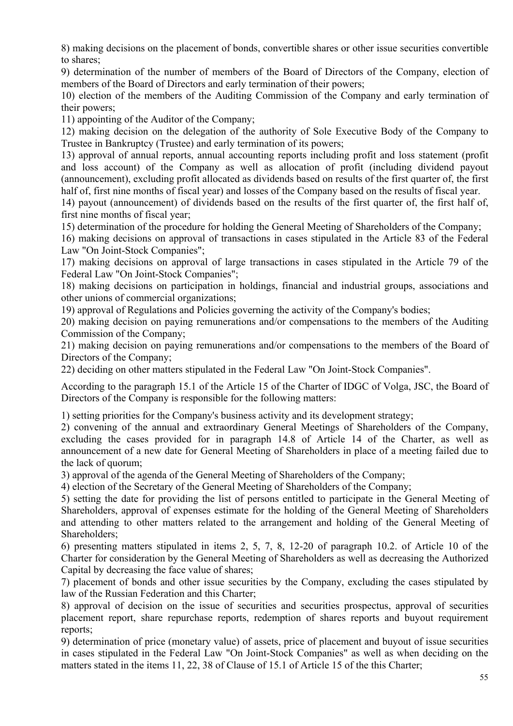8) making decisions on the placement of bonds, convertible shares or other issue securities convertible to shares;

9) determination of the number of members of the Board of Directors of the Company, election of members of the Board of Directors and early termination of their powers;

10) election of the members of the Auditing Commission of the Company and early termination of their powers;

11) appointing of the Auditor of the Company;

12) making decision on the delegation of the authority of Sole Executive Body of the Company to Trustee in Bankruptcy (Trustee) and early termination of its powers;

13) approval of annual reports, annual accounting reports including profit and loss statement (profit and loss account) of the Company as well as allocation of profit (including dividend payout (announcement), excluding profit allocated as dividends based on results of the first quarter of, the first half of, first nine months of fiscal year) and losses of the Company based on the results of fiscal year.

14) payout (announcement) of dividends based on the results of the first quarter of, the first half of, first nine months of fiscal year;

15) determination of the procedure for holding the General Meeting of Shareholders of the Company;

16) making decisions on approval of transactions in cases stipulated in the Article 83 of the Federal Law "On Joint-Stock Companies";

17) making decisions on approval of large transactions in cases stipulated in the Article 79 of the Federal Law "On Joint-Stock Companies";

18) making decisions on participation in holdings, financial and industrial groups, associations and other unions of commercial organizations;

19) approval of Regulations and Policies governing the activity of the Company's bodies;

20) making decision on paying remunerations and/or compensations to the members of the Auditing Commission of the Company;

21) making decision on paying remunerations and/or compensations to the members of the Board of Directors of the Company;

22) deciding on other matters stipulated in the Federal Law "On Joint-Stock Companies".

According to the paragraph 15.1 of the Article 15 of the Charter of IDGC of Volga, JSC, the Board of Directors of the Company is responsible for the following matters:

1) setting priorities for the Company's business activity and its development strategy;

2) convening of the annual and extraordinary General Meetings of Shareholders of the Company, excluding the cases provided for in paragraph 14.8 of Article 14 of the Charter, as well as announcement of a new date for General Meeting of Shareholders in place of a meeting failed due to the lack of quorum;

3) approval of the agenda of the General Meeting of Shareholders of the Company;

4) election of the Secretary of the General Meeting of Shareholders of the Company;

5) setting the date for providing the list of persons entitled to participate in the General Meeting of Shareholders, approval of expenses estimate for the holding of the General Meeting of Shareholders and attending to other matters related to the arrangement and holding of the General Meeting of Shareholders;

6) presenting matters stipulated in items 2, 5, 7, 8, 12-20 of paragraph 10.2. of Article 10 of the Charter for consideration by the General Meeting of Shareholders as well as decreasing the Authorized Capital by decreasing the face value of shares;

7) placement of bonds and other issue securities by the Company, excluding the cases stipulated by law of the Russian Federation and this Charter;

8) approval of decision on the issue of securities and securities prospectus, approval of securities placement report, share repurchase reports, redemption of shares reports and buyout requirement reports;

9) determination of price (monetary value) of assets, price of placement and buyout of issue securities in cases stipulated in the Federal Law "On Joint-Stock Companies" as well as when deciding on the matters stated in the items 11, 22, 38 of Clause of 15.1 of Article 15 of the this Charter;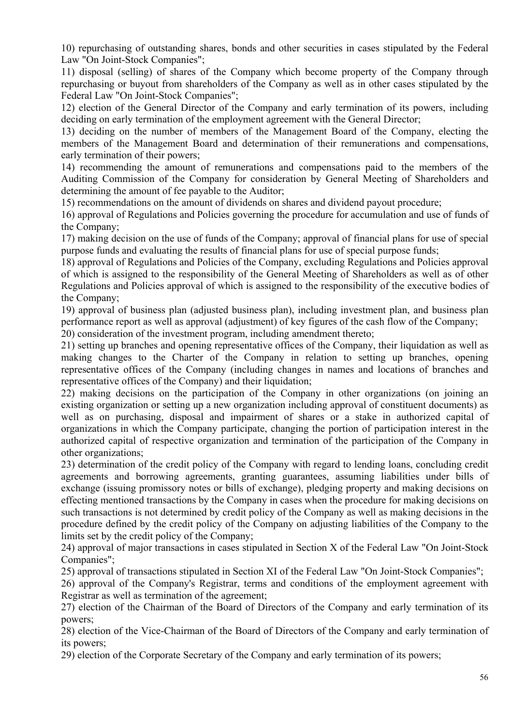10) repurchasing of outstanding shares, bonds and other securities in cases stipulated by the Federal Law "On Joint-Stock Companies";

11) disposal (selling) of shares of the Company which become property of the Company through repurchasing or buyout from shareholders of the Company as well as in other cases stipulated by the Federal Law "On Joint-Stock Companies";

12) election of the General Director of the Company and early termination of its powers, including deciding on early termination of the employment agreement with the General Director;

13) deciding on the number of members of the Management Board of the Company, electing the members of the Management Board and determination of their remunerations and compensations, early termination of their powers;

14) recommending the amount of remunerations and compensations paid to the members of the Auditing Commission of the Company for consideration by General Meeting of Shareholders and determining the amount of fee payable to the Auditor;

15) recommendations on the amount of dividends on shares and dividend payout procedure;

16) approval of Regulations and Policies governing the procedure for accumulation and use of funds of the Company;

17) making decision on the use of funds of the Company; approval of financial plans for use of special purpose funds and evaluating the results of financial plans for use of special purpose funds;

18) approval of Regulations and Policies of the Company, excluding Regulations and Policies approval of which is assigned to the responsibility of the General Meeting of Shareholders as well as of other Regulations and Policies approval of which is assigned to the responsibility of the executive bodies of the Company;

19) approval of business plan (adjusted business plan), including investment plan, and business plan performance report as well as approval (adjustment) of key figures of the cash flow of the Company;

20) consideration of the investment program, including amendment thereto;

21) setting up branches and opening representative offices of the Company, their liquidation as well as making changes to the Charter of the Company in relation to setting up branches, opening representative offices of the Company (including changes in names and locations of branches and representative offices of the Company) and their liquidation;

22) making decisions on the participation of the Company in other organizations (on joining an existing organization or setting up a new organization including approval of constituent documents) as well as on purchasing, disposal and impairment of shares or a stake in authorized capital of organizations in which the Company participate, changing the portion of participation interest in the authorized capital of respective organization and termination of the participation of the Company in other organizations;

23) determination of the credit policy of the Company with regard to lending loans, concluding credit agreements and borrowing agreements, granting guarantees, assuming liabilities under bills of exchange (issuing promissory notes or bills of exchange), pledging property and making decisions on effecting mentioned transactions by the Company in cases when the procedure for making decisions on such transactions is not determined by credit policy of the Company as well as making decisions in the procedure defined by the credit policy of the Company on adjusting liabilities of the Company to the limits set by the credit policy of the Company;

24) approval of major transactions in cases stipulated in Section X of the Federal Law "On Joint-Stock Companies";

25) approval of transactions stipulated in Section XI of the Federal Law "On Joint-Stock Companies";

26) approval of the Company's Registrar, terms and conditions of the employment agreement with Registrar as well as termination of the agreement;

27) election of the Chairman of the Board of Directors of the Company and early termination of its powers;

28) election of the Vice-Chairman of the Board of Directors of the Company and early termination of its powers;

29) election of the Corporate Secretary of the Company and early termination of its powers;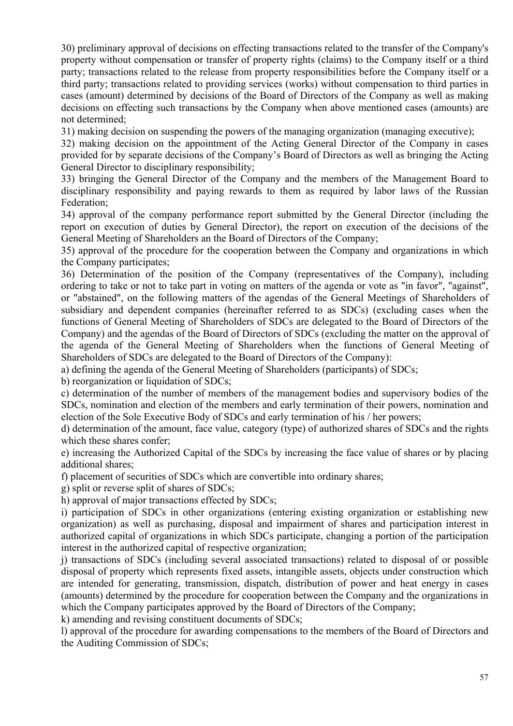30) preliminary approval of decisions on effecting transactions related to the transfer of the Company's property without compensation or transfer of property rights (claims) to the Company itself or a third party; transactions related to the release from property responsibilities before the Company itself or a third party; transactions related to providing services (works) without compensation to third parties in cases (amount) determined by decisions of the Board of Directors of the Company as well as making decisions on effecting such transactions by the Company when above mentioned cases (amounts) are not determined;

31) making decision on suspending the powers of the managing organization (managing executive);

32) making decision on the appointment of the Acting General Director of the Company in cases provided for by separate decisions of the Company's Board of Directors as well as bringing the Acting General Director to disciplinary responsibility;

33) bringing the General Director of the Company and the members of the Management Board to disciplinary responsibility and paying rewards to them as required by labor laws of the Russian Federation;

34) approval of the company performance report submitted by the General Director (including the report on execution of duties by General Director), the report on execution of the decisions of the General Meeting of Shareholders an the Board of Directors of the Company;

35) approval of the procedure for the cooperation between the Company and organizations in which the Company participates;

36) Determination of the position of the Company (representatives of the Company), including ordering to take or not to take part in voting on matters of the agenda or vote as "in favor", "against", or "abstained", on the following matters of the agendas of the General Meetings of Shareholders of subsidiary and dependent companies (hereinafter referred to as SDCs) (excluding cases when the functions of General Meeting of Shareholders of SDCs are delegated to the Board of Directors of the Company) and the agendas of the Board of Directors of SDCs (excluding the matter on the approval of the agenda of the General Meeting of Shareholders when the functions of General Meeting of Shareholders of SDCs are delegated to the Board of Directors of the Company):

a) defining the agenda of the General Meeting of Shareholders (participants) of SDCs;

b) reorganization or liquidation of SDCs;

c) determination of the number of members of the management bodies and supervisory bodies of the SDCs, nomination and election of the members and early termination of their powers, nomination and election of the Sole Executive Body of SDCs and early termination of his / her powers;

d) determination of the amount, face value, category (type) of authorized shares of SDCs and the rights which these shares confer;

e) increasing the Authorized Capital of the SDCs by increasing the face value of shares or by placing additional shares;

f) placement of securities of SDCs which are convertible into ordinary shares;

g) split or reverse split of shares of SDCs;

h) approval of major transactions effected by SDCs;

i) participation of SDCs in other organizations (entering existing organization or establishing new organization) as well as purchasing, disposal and impairment of shares and participation interest in authorized capital of organizations in which SDCs participate, changing a portion of the participation interest in the authorized capital of respective organization;

j) transactions of SDCs (including several associated transactions) related to disposal of or possible disposal of property which represents fixed assets, intangible assets, objects under construction which are intended for generating, transmission, dispatch, distribution of power and heat energy in cases (amounts) determined by the procedure for cooperation between the Company and the organizations in which the Company participates approved by the Board of Directors of the Company;

k) amending and revising constituent documents of SDCs;

l) approval of the procedure for awarding compensations to the members of the Board of Directors and the Auditing Commission of SDCs;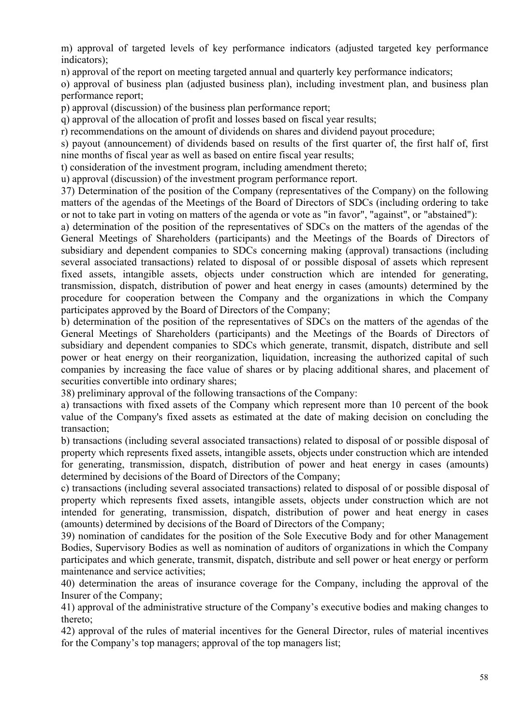m) approval of targeted levels of key performance indicators (adjusted targeted key performance indicators);

n) approval of the report on meeting targeted annual and quarterly key performance indicators;

o) approval of business plan (adjusted business plan), including investment plan, and business plan performance report;

p) approval (discussion) of the business plan performance report;

q) approval of the allocation of profit and losses based on fiscal year results;

r) recommendations on the amount of dividends on shares and dividend payout procedure;

s) payout (announcement) of dividends based on results of the first quarter of, the first half of, first nine months of fiscal year as well as based on entire fiscal year results;

t) consideration of the investment program, including amendment thereto;

u) approval (discussion) of the investment program performance report.

37) Determination of the position of the Company (representatives of the Company) on the following matters of the agendas of the Meetings of the Board of Directors of SDCs (including ordering to take or not to take part in voting on matters of the agenda or vote as "in favor", "against", or "abstained"):

a) determination of the position of the representatives of SDCs on the matters of the agendas of the General Meetings of Shareholders (participants) and the Meetings of the Boards of Directors of subsidiary and dependent companies to SDCs concerning making (approval) transactions (including several associated transactions) related to disposal of or possible disposal of assets which represent fixed assets, intangible assets, objects under construction which are intended for generating, transmission, dispatch, distribution of power and heat energy in cases (amounts) determined by the procedure for cooperation between the Company and the organizations in which the Company participates approved by the Board of Directors of the Company;

b) determination of the position of the representatives of SDCs on the matters of the agendas of the General Meetings of Shareholders (participants) and the Meetings of the Boards of Directors of subsidiary and dependent companies to SDCs which generate, transmit, dispatch, distribute and sell power or heat energy on their reorganization, liquidation, increasing the authorized capital of such companies by increasing the face value of shares or by placing additional shares, and placement of securities convertible into ordinary shares;

38) preliminary approval of the following transactions of the Company:

a) transactions with fixed assets of the Company which represent more than 10 percent of the book value of the Company's fixed assets as estimated at the date of making decision on concluding the transaction;

b) transactions (including several associated transactions) related to disposal of or possible disposal of property which represents fixed assets, intangible assets, objects under construction which are intended for generating, transmission, dispatch, distribution of power and heat energy in cases (amounts) determined by decisions of the Board of Directors of the Company;

c) transactions (including several associated transactions) related to disposal of or possible disposal of property which represents fixed assets, intangible assets, objects under construction which are not intended for generating, transmission, dispatch, distribution of power and heat energy in cases (amounts) determined by decisions of the Board of Directors of the Company;

39) nomination of candidates for the position of the Sole Executive Body and for other Management Bodies, Supervisory Bodies as well as nomination of auditors of organizations in which the Company participates and which generate, transmit, dispatch, distribute and sell power or heat energy or perform maintenance and service activities;

40) determination the areas of insurance coverage for the Company, including the approval of the Insurer of the Company;

41) approval of the administrative structure of the Company's executive bodies and making changes to thereto;

42) approval of the rules of material incentives for the General Director, rules of material incentives for the Company's top managers; approval of the top managers list;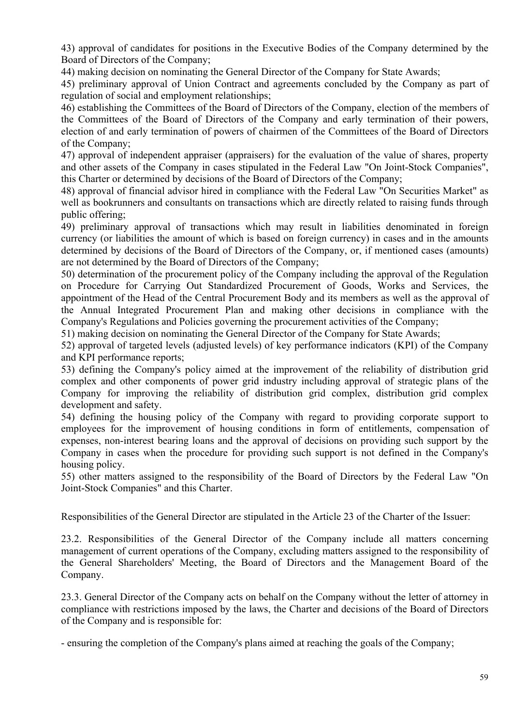43) approval of candidates for positions in the Executive Bodies of the Company determined by the Board of Directors of the Company;

44) making decision on nominating the General Director of the Company for State Awards;

45) preliminary approval of Union Contract and agreements concluded by the Company as part of regulation of social and employment relationships;

46) establishing the Committees of the Board of Directors of the Company, election of the members of the Committees of the Board of Directors of the Company and early termination of their powers, election of and early termination of powers of chairmen of the Committees of the Board of Directors of the Company;

47) approval of independent appraiser (appraisers) for the evaluation of the value of shares, property and other assets of the Company in cases stipulated in the Federal Law "On Joint-Stock Companies", this Charter or determined by decisions of the Board of Directors of the Company;

48) approval of financial advisor hired in compliance with the Federal Law "On Securities Market" as well as bookrunners and consultants on transactions which are directly related to raising funds through public offering;

49) preliminary approval of transactions which may result in liabilities denominated in foreign currency (or liabilities the amount of which is based on foreign currency) in cases and in the amounts determined by decisions of the Board of Directors of the Company, or, if mentioned cases (amounts) are not determined by the Board of Directors of the Company;

50) determination of the procurement policy of the Company including the approval of the Regulation on Procedure for Carrying Out Standardized Procurement of Goods, Works and Services, the appointment of the Head of the Central Procurement Body and its members as well as the approval of the Annual Integrated Procurement Plan and making other decisions in compliance with the Company's Regulations and Policies governing the procurement activities of the Company;

51) making decision on nominating the General Director of the Company for State Awards;

52) approval of targeted levels (adjusted levels) of key performance indicators (KPI) of the Company and KPI performance reports;

53) defining the Company's policy aimed at the improvement of the reliability of distribution grid complex and other components of power grid industry including approval of strategic plans of the Company for improving the reliability of distribution grid complex, distribution grid complex development and safety.

54) defining the housing policy of the Company with regard to providing corporate support to employees for the improvement of housing conditions in form of entitlements, compensation of expenses, non-interest bearing loans and the approval of decisions on providing such support by the Company in cases when the procedure for providing such support is not defined in the Company's housing policy.

55) other matters assigned to the responsibility of the Board of Directors by the Federal Law "On Joint-Stock Companies" and this Charter.

Responsibilities of the General Director are stipulated in the Article 23 of the Charter of the Issuer:

23.2. Responsibilities of the General Director of the Company include all matters concerning management of current operations of the Company, excluding matters assigned to the responsibility of the General Shareholders' Meeting, the Board of Directors and the Management Board of the Company.

23.3. General Director of the Company acts on behalf on the Company without the letter of attorney in compliance with restrictions imposed by the laws, the Charter and decisions of the Board of Directors of the Company and is responsible for:

- ensuring the completion of the Company's plans aimed at reaching the goals of the Company;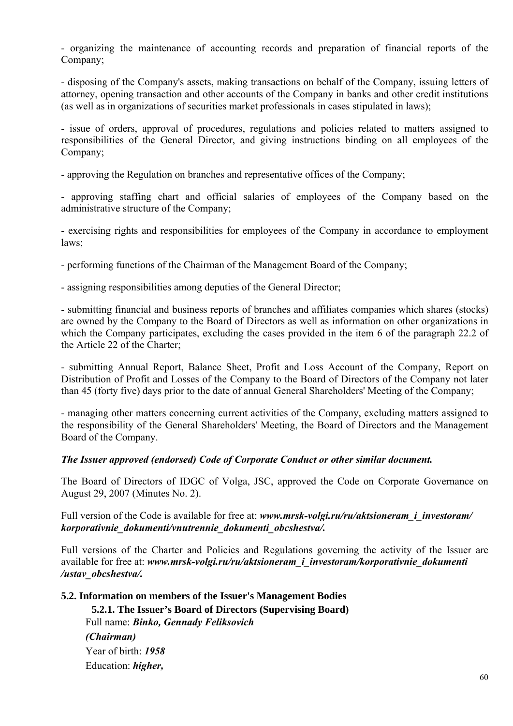- organizing the maintenance of accounting records and preparation of financial reports of the Company;

- disposing of the Company's assets, making transactions on behalf of the Company, issuing letters of attorney, opening transaction and other accounts of the Company in banks and other credit institutions (as well as in organizations of securities market professionals in cases stipulated in laws);

- issue of orders, approval of procedures, regulations and policies related to matters assigned to responsibilities of the General Director, and giving instructions binding on all employees of the Company;

- approving the Regulation on branches and representative offices of the Company;

- approving staffing chart and official salaries of employees of the Company based on the administrative structure of the Company;

- exercising rights and responsibilities for employees of the Company in accordance to employment laws;

- performing functions of the Chairman of the Management Board of the Company;

- assigning responsibilities among deputies of the General Director;

- submitting financial and business reports of branches and affiliates companies which shares (stocks) are owned by the Company to the Board of Directors as well as information on other organizations in which the Company participates, excluding the cases provided in the item 6 of the paragraph 22.2 of the Article 22 of the Charter;

- submitting Annual Report, Balance Sheet, Profit and Loss Account of the Company, Report on Distribution of Profit and Losses of the Company to the Board of Directors of the Company not later than 45 (forty five) days prior to the date of annual General Shareholders' Meeting of the Company;

- managing other matters concerning current activities of the Company, excluding matters assigned to the responsibility of the General Shareholders' Meeting, the Board of Directors and the Management Board of the Company.

### *The Issuer approved (endorsed) Code of Corporate Conduct or other similar document.*

The Board of Directors of IDGC of Volga, JSC, approved the Code on Corporate Governance on August 29, 2007 (Minutes No. 2).

Full version of the Code is available for free at: www.mrsk-volgi.ru/ru/aktsioneram\_i\_investoram/ *korporativnie\_dokumenti/vnutrennie\_dokumenti\_obcshestva/.*

Full versions of the Charter and Policies and Regulations governing the activity of the Issuer are available for free at: www.mrsk-volgi.ru/ru/aktsioneram\_i\_investoram/korporativnie\_dokumenti */ustav\_obcshestva/.* 

## **5.2. Information on members of the Issuer's Management Bodies**

**5.2.1. The Issuer's Board of Directors (Supervising Board)**  Full name: *Binko, Gennady Feliksovich (Chairman)* Year of birth: *1958* Education: *higher,*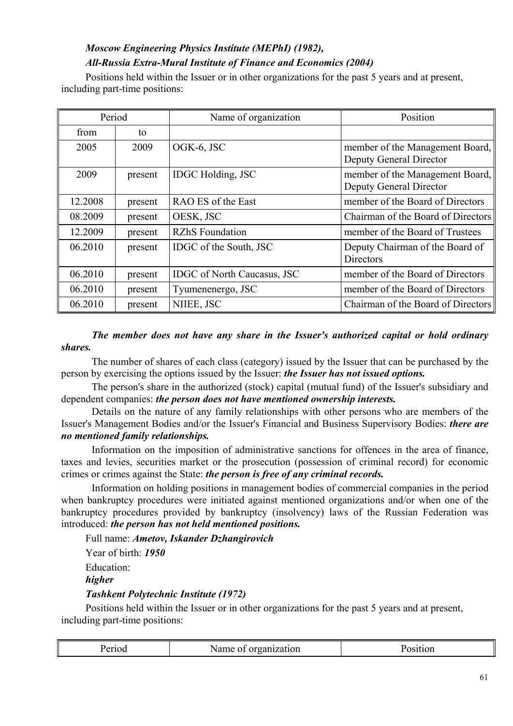# *Moscow Engineering Physics Institute (MEPhI) (1982), All-Russia Extra-Mural Institute of Finance and Economics (2004)*

Positions held within the Issuer or in other organizations for the past 5 years and at present, including part-time positions:

| Period  |         | Name of organization               | Position                                                          |
|---------|---------|------------------------------------|-------------------------------------------------------------------|
| from    | to      |                                    |                                                                   |
| 2005    | 2009    | OGK-6, JSC                         | member of the Management Board,<br><b>Deputy General Director</b> |
| 2009    | present | <b>IDGC</b> Holding, JSC           | member of the Management Board,<br><b>Deputy General Director</b> |
| 12.2008 | present | RAO ES of the East                 | member of the Board of Directors                                  |
| 08.2009 | present | OESK, JSC                          | Chairman of the Board of Directors                                |
| 12.2009 | present | <b>RZhS</b> Foundation             | member of the Board of Trustees                                   |
| 06.2010 | present | IDGC of the South, JSC             | Deputy Chairman of the Board of<br><b>Directors</b>               |
| 06.2010 | present | <b>IDGC</b> of North Caucasus, JSC | member of the Board of Directors                                  |
| 06.2010 | present | Tyumenenergo, JSC                  | member of the Board of Directors                                  |
| 06.2010 | present | NIIEE, JSC                         | Chairman of the Board of Directors                                |

## *The member does not have any share in the Issuer's authorized capital or hold ordinary shares.*

The number of shares of each class (category) issued by the Issuer that can be purchased by the person by exercising the options issued by the Issuer: *the Issuer has not issued options.*

The person's share in the authorized (stock) capital (mutual fund) of the Issuer's subsidiary and dependent companies: *the person does not have mentioned ownership interests.*

Details on the nature of any family relationships with other persons who are members of the Issuer's Management Bodies and/or the Issuer's Financial and Business Supervisory Bodies: *there are no mentioned family relationships.*

Information on the imposition of administrative sanctions for offences in the area of finance, taxes and levies, securities market or the prosecution (possession of criminal record) for economic crimes or crimes against the State: *the person is free of any criminal records.*

Information on holding positions in management bodies of commercial companies in the period when bankruptcy procedures were initiated against mentioned organizations and/or when one of the bankruptcy procedures provided by bankruptcy (insolvency) laws of the Russian Federation was introduced: *the person has not held mentioned positions.*

Full name: *Ametov, Iskander Dzhangirovich*

Year of birth: *1950*

Education:

*higher* 

## *Tashkent Polytechnic Institute (1972)*

Positions held within the Issuer or in other organizations for the past 5 years and at present, including part-time positions:

| $\gamma$ 10 $\alpha$<br>. +<br>.<br>- OI ganization -<br>iname of |  |
|-------------------------------------------------------------------|--|
|-------------------------------------------------------------------|--|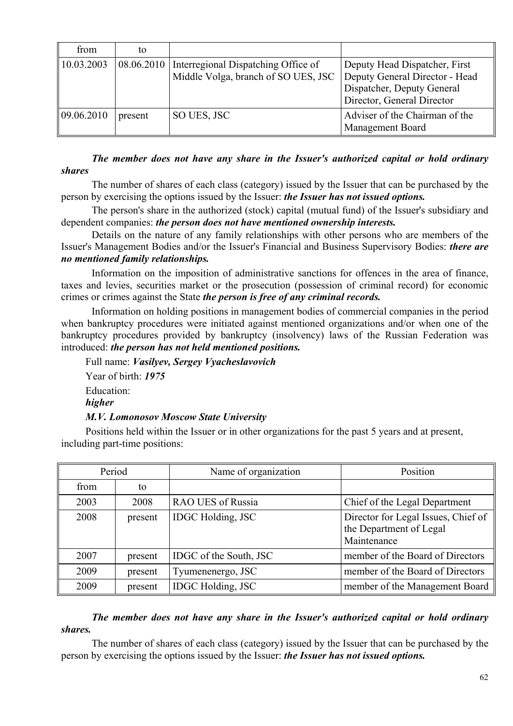| from       | to      |                                                                                         |                                                                                                                             |
|------------|---------|-----------------------------------------------------------------------------------------|-----------------------------------------------------------------------------------------------------------------------------|
| 10.03.2003 |         | 08.06.2010   Interregional Dispatching Office of<br>Middle Volga, branch of SO UES, JSC | Deputy Head Dispatcher, First<br>Deputy General Director - Head<br>Dispatcher, Deputy General<br>Director, General Director |
| 09.06.2010 | present | SO UES, JSC                                                                             | Adviser of the Chairman of the<br>Management Board                                                                          |

*The member does not have any share in the Issuer's authorized capital or hold ordinary shares*

The number of shares of each class (category) issued by the Issuer that can be purchased by the person by exercising the options issued by the Issuer: *the Issuer has not issued options.*

The person's share in the authorized (stock) capital (mutual fund) of the Issuer's subsidiary and dependent companies: *the person does not have mentioned ownership interests.*

Details on the nature of any family relationships with other persons who are members of the Issuer's Management Bodies and/or the Issuer's Financial and Business Supervisory Bodies: *there are no mentioned family relationships.*

Information on the imposition of administrative sanctions for offences in the area of finance, taxes and levies, securities market or the prosecution (possession of criminal record) for economic crimes or crimes against the State *the person is free of any criminal records.*

Information on holding positions in management bodies of commercial companies in the period when bankruptcy procedures were initiated against mentioned organizations and/or when one of the bankruptcy procedures provided by bankruptcy (insolvency) laws of the Russian Federation was introduced: *the person has not held mentioned positions.*

Full name: *Vasilyev, Sergey Vyacheslavovich* Year of birth: *1975* Education: *higher M.V. Lomonosov Moscow State University*

Positions held within the Issuer or in other organizations for the past 5 years and at present, including part-time positions:

| Period |         | Name of organization     | Position                                                                      |
|--------|---------|--------------------------|-------------------------------------------------------------------------------|
| from   | to      |                          |                                                                               |
| 2003   | 2008    | <b>RAO UES of Russia</b> | Chief of the Legal Department                                                 |
| 2008   | present | <b>IDGC</b> Holding, JSC | Director for Legal Issues, Chief of<br>the Department of Legal<br>Maintenance |
| 2007   | present | IDGC of the South, JSC   | member of the Board of Directors                                              |
| 2009   | present | Tyumenenergo, JSC        | member of the Board of Directors                                              |
| 2009   | present | <b>IDGC</b> Holding, JSC | member of the Management Board                                                |

## *The member does not have any share in the Issuer's authorized capital or hold ordinary shares.*

The number of shares of each class (category) issued by the Issuer that can be purchased by the person by exercising the options issued by the Issuer: *the Issuer has not issued options.*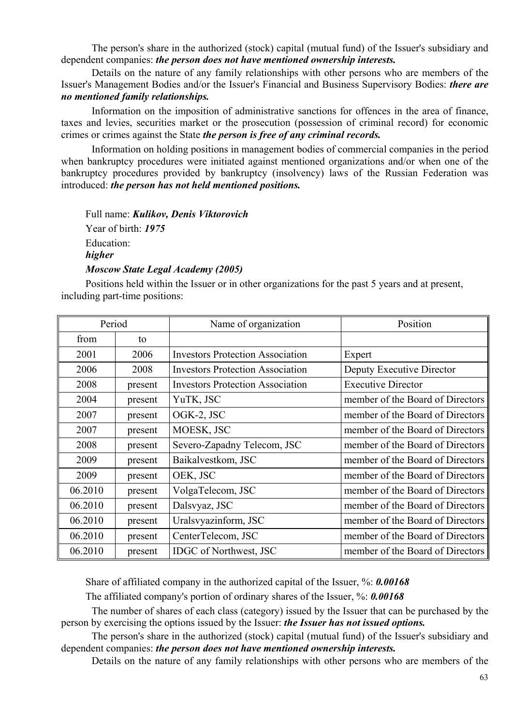The person's share in the authorized (stock) capital (mutual fund) of the Issuer's subsidiary and dependent companies: *the person does not have mentioned ownership interests.*

Details on the nature of any family relationships with other persons who are members of the Issuer's Management Bodies and/or the Issuer's Financial and Business Supervisory Bodies: *there are no mentioned family relationships.*

Information on the imposition of administrative sanctions for offences in the area of finance, taxes and levies, securities market or the prosecution (possession of criminal record) for economic crimes or crimes against the State *the person is free of any criminal records.*

Information on holding positions in management bodies of commercial companies in the period when bankruptcy procedures were initiated against mentioned organizations and/or when one of the bankruptcy procedures provided by bankruptcy (insolvency) laws of the Russian Federation was introduced: *the person has not held mentioned positions.*

Full name: *Kulikov, Denis Viktorovich* Year of birth: *1975* Education: *higher Moscow State Legal Academy (2005)*

Positions held within the Issuer or in other organizations for the past 5 years and at present, including part-time positions:

| Period  |         | Name of organization                    | Position                         |
|---------|---------|-----------------------------------------|----------------------------------|
| from    | to      |                                         |                                  |
| 2001    | 2006    | <b>Investors Protection Association</b> | Expert                           |
| 2006    | 2008    | <b>Investors Protection Association</b> | Deputy Executive Director        |
| 2008    | present | <b>Investors Protection Association</b> | <b>Executive Director</b>        |
| 2004    | present | YuTK, JSC                               | member of the Board of Directors |
| 2007    | present | OGK-2, JSC                              | member of the Board of Directors |
| 2007    | present | MOESK, JSC                              | member of the Board of Directors |
| 2008    | present | Severo-Zapadny Telecom, JSC             | member of the Board of Directors |
| 2009    | present | Baikalvestkom, JSC                      | member of the Board of Directors |
| 2009    | present | OEK, JSC                                | member of the Board of Directors |
| 06.2010 | present | VolgaTelecom, JSC                       | member of the Board of Directors |
| 06.2010 | present | Dalsvyaz, JSC                           | member of the Board of Directors |
| 06.2010 | present | Uralsvyazinform, JSC                    | member of the Board of Directors |
| 06.2010 | present | CenterTelecom, JSC                      | member of the Board of Directors |
| 06.2010 | present | <b>IDGC</b> of Northwest, JSC           | member of the Board of Directors |

Share of affiliated company in the authorized capital of the Issuer, %: *0.00168*

The affiliated company's portion of ordinary shares of the Issuer, %: *0.00168*

The number of shares of each class (category) issued by the Issuer that can be purchased by the person by exercising the options issued by the Issuer: *the Issuer has not issued options.*

The person's share in the authorized (stock) capital (mutual fund) of the Issuer's subsidiary and dependent companies: *the person does not have mentioned ownership interests.*

Details on the nature of any family relationships with other persons who are members of the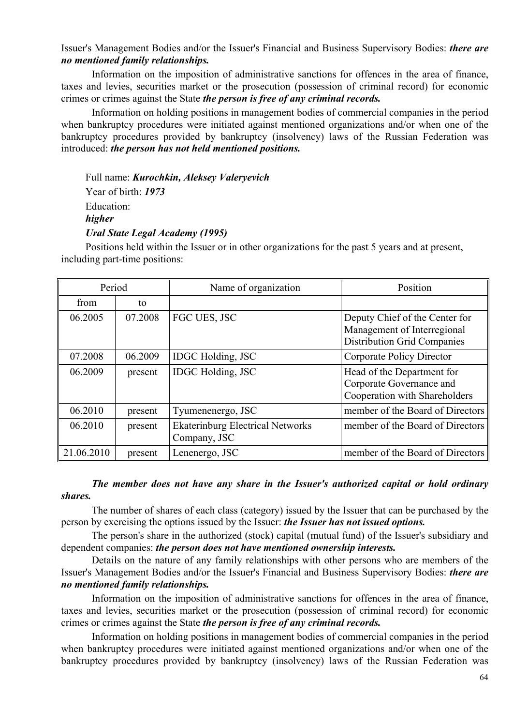Issuer's Management Bodies and/or the Issuer's Financial and Business Supervisory Bodies: *there are no mentioned family relationships.*

Information on the imposition of administrative sanctions for offences in the area of finance, taxes and levies, securities market or the prosecution (possession of criminal record) for economic crimes or crimes against the State *the person is free of any criminal records.*

Information on holding positions in management bodies of commercial companies in the period when bankruptcy procedures were initiated against mentioned organizations and/or when one of the bankruptcy procedures provided by bankruptcy (insolvency) laws of the Russian Federation was introduced: *the person has not held mentioned positions.*

Full name: *Kurochkin, Aleksey Valeryevich* Year of birth: *1973* Education: *higher Ural State Legal Academy (1995)*

Positions held within the Issuer or in other organizations for the past 5 years and at present, including part-time positions:

| Period     |         | Name of organization                                    | Position                                                                                            |
|------------|---------|---------------------------------------------------------|-----------------------------------------------------------------------------------------------------|
| from       | to      |                                                         |                                                                                                     |
| 06.2005    | 07.2008 | FGC UES, JSC                                            | Deputy Chief of the Center for<br>Management of Interregional<br><b>Distribution Grid Companies</b> |
| 07.2008    | 06.2009 | <b>IDGC</b> Holding, JSC                                | Corporate Policy Director                                                                           |
| 06.2009    | present | <b>IDGC</b> Holding, JSC                                | Head of the Department for<br>Corporate Governance and<br>Cooperation with Shareholders             |
| 06.2010    | present | Tyumenenergo, JSC                                       | member of the Board of Directors                                                                    |
| 06.2010    | present | <b>Ekaterinburg Electrical Networks</b><br>Company, JSC | member of the Board of Directors                                                                    |
| 21.06.2010 | present | Lenenergo, JSC                                          | member of the Board of Directors                                                                    |

### *The member does not have any share in the Issuer's authorized capital or hold ordinary shares.*

The number of shares of each class (category) issued by the Issuer that can be purchased by the person by exercising the options issued by the Issuer: *the Issuer has not issued options.*

The person's share in the authorized (stock) capital (mutual fund) of the Issuer's subsidiary and dependent companies: *the person does not have mentioned ownership interests.*

Details on the nature of any family relationships with other persons who are members of the Issuer's Management Bodies and/or the Issuer's Financial and Business Supervisory Bodies: *there are no mentioned family relationships.*

Information on the imposition of administrative sanctions for offences in the area of finance, taxes and levies, securities market or the prosecution (possession of criminal record) for economic crimes or crimes against the State *the person is free of any criminal records.*

Information on holding positions in management bodies of commercial companies in the period when bankruptcy procedures were initiated against mentioned organizations and/or when one of the bankruptcy procedures provided by bankruptcy (insolvency) laws of the Russian Federation was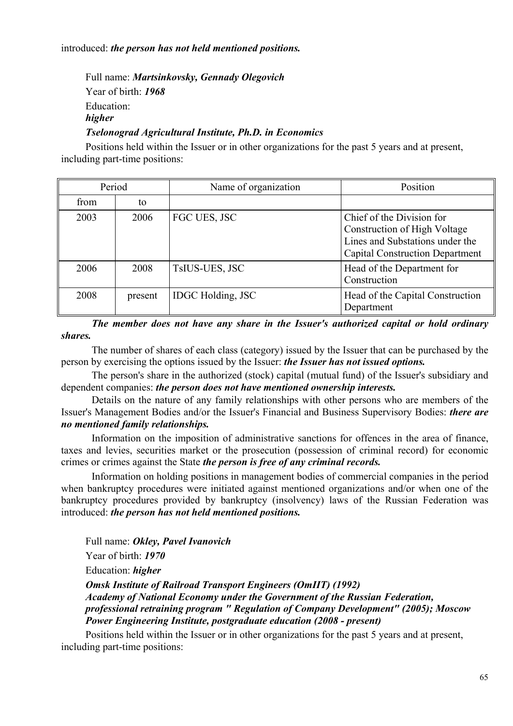introduced: *the person has not held mentioned positions.*

Full name: *Martsinkovsky, Gennady Olegovich*  Year of birth: *1968* Education: *higher Tselonograd Agricultural Institute, Ph.D. in Economics*

Positions held within the Issuer or in other organizations for the past 5 years and at present, including part-time positions:

| Period |         | Name of organization     | Position                                                                                                                               |
|--------|---------|--------------------------|----------------------------------------------------------------------------------------------------------------------------------------|
| from   | to      |                          |                                                                                                                                        |
| 2003   | 2006    | FGC UES, JSC             | Chief of the Division for<br>Construction of High Voltage<br>Lines and Substations under the<br><b>Capital Construction Department</b> |
| 2006   | 2008    | <b>TsIUS-UES, JSC</b>    | Head of the Department for<br>Construction                                                                                             |
| 2008   | present | <b>IDGC</b> Holding, JSC | Head of the Capital Construction<br>Department                                                                                         |

*The member does not have any share in the Issuer's authorized capital or hold ordinary shares.*

The number of shares of each class (category) issued by the Issuer that can be purchased by the person by exercising the options issued by the Issuer: *the Issuer has not issued options.*

The person's share in the authorized (stock) capital (mutual fund) of the Issuer's subsidiary and dependent companies: *the person does not have mentioned ownership interests.*

Details on the nature of any family relationships with other persons who are members of the Issuer's Management Bodies and/or the Issuer's Financial and Business Supervisory Bodies: *there are no mentioned family relationships.*

Information on the imposition of administrative sanctions for offences in the area of finance, taxes and levies, securities market or the prosecution (possession of criminal record) for economic crimes or crimes against the State *the person is free of any criminal records.*

Information on holding positions in management bodies of commercial companies in the period when bankruptcy procedures were initiated against mentioned organizations and/or when one of the bankruptcy procedures provided by bankruptcy (insolvency) laws of the Russian Federation was introduced: *the person has not held mentioned positions.*

Full name: *Okley, Pavel Ivanovich*

Year of birth: *1970*

Education: *higher* 

*Omsk Institute of Railroad Transport Engineers (OmIIT) (1992) Academy of National Economy under the Government of the Russian Federation, professional retraining program " Regulation of Company Development" (2005); Moscow Power Engineering Institute, postgraduate education (2008 - present)*

Positions held within the Issuer or in other organizations for the past 5 years and at present, including part-time positions: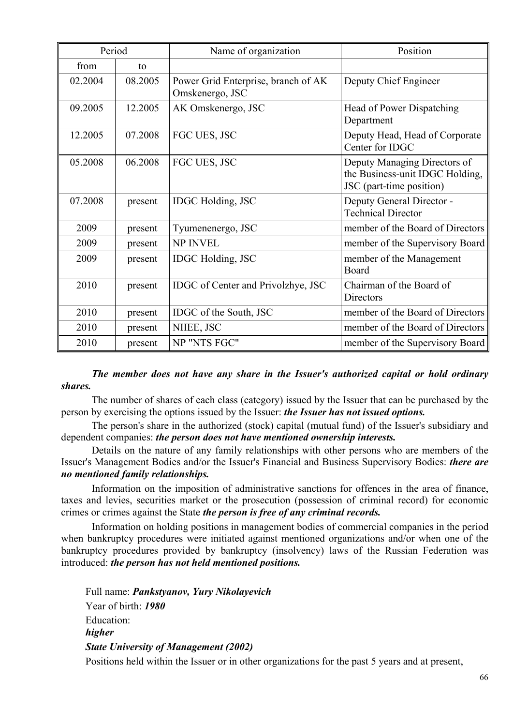| Period  |         | Name of organization                                   | Position                                                                                    |
|---------|---------|--------------------------------------------------------|---------------------------------------------------------------------------------------------|
| from    | to      |                                                        |                                                                                             |
| 02.2004 | 08.2005 | Power Grid Enterprise, branch of AK<br>Omskenergo, JSC | Deputy Chief Engineer                                                                       |
| 09.2005 | 12.2005 | AK Omskenergo, JSC                                     | Head of Power Dispatching<br>Department                                                     |
| 12.2005 | 07.2008 | FGC UES, JSC                                           | Deputy Head, Head of Corporate<br>Center for IDGC                                           |
| 05.2008 | 06.2008 | FGC UES, JSC                                           | Deputy Managing Directors of<br>the Business-unit IDGC Holding,<br>JSC (part-time position) |
| 07.2008 | present | <b>IDGC</b> Holding, JSC                               | Deputy General Director -<br><b>Technical Director</b>                                      |
| 2009    | present | Tyumenenergo, JSC                                      | member of the Board of Directors                                                            |
| 2009    | present | <b>NP INVEL</b>                                        | member of the Supervisory Board                                                             |
| 2009    | present | <b>IDGC</b> Holding, JSC                               | member of the Management<br>Board                                                           |
| 2010    | present | IDGC of Center and Privolzhye, JSC                     | Chairman of the Board of<br>Directors                                                       |
| 2010    | present | IDGC of the South, JSC                                 | member of the Board of Directors                                                            |
| 2010    | present | NIIEE, JSC                                             | member of the Board of Directors                                                            |
| 2010    | present | NP "NTS FGC"                                           | member of the Supervisory Board                                                             |

*The member does not have any share in the Issuer's authorized capital or hold ordinary shares.*

The number of shares of each class (category) issued by the Issuer that can be purchased by the person by exercising the options issued by the Issuer: *the Issuer has not issued options.*

The person's share in the authorized (stock) capital (mutual fund) of the Issuer's subsidiary and dependent companies: *the person does not have mentioned ownership interests.*

Details on the nature of any family relationships with other persons who are members of the Issuer's Management Bodies and/or the Issuer's Financial and Business Supervisory Bodies: *there are no mentioned family relationships.*

Information on the imposition of administrative sanctions for offences in the area of finance, taxes and levies, securities market or the prosecution (possession of criminal record) for economic crimes or crimes against the State *the person is free of any criminal records.*

Information on holding positions in management bodies of commercial companies in the period when bankruptcy procedures were initiated against mentioned organizations and/or when one of the bankruptcy procedures provided by bankruptcy (insolvency) laws of the Russian Federation was introduced: *the person has not held mentioned positions.*

Full name: *Pankstyanov, Yury Nikolayevich* Year of birth: *1980* Education: *higher State University of Management (2002)*

Positions held within the Issuer or in other organizations for the past 5 years and at present,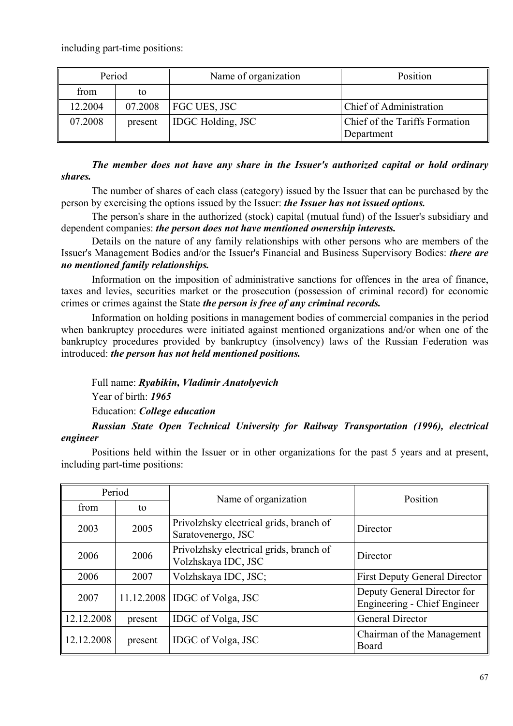including part-time positions:

| Period  |         | Name of organization     | Position                                     |
|---------|---------|--------------------------|----------------------------------------------|
| from    | to      |                          |                                              |
| 12.2004 | 07.2008 | FGC UES, JSC             | Chief of Administration                      |
| 07.2008 | present | <b>IDGC Holding, JSC</b> | Chief of the Tariffs Formation<br>Department |

## *The member does not have any share in the Issuer's authorized capital or hold ordinary shares.*

The number of shares of each class (category) issued by the Issuer that can be purchased by the person by exercising the options issued by the Issuer: *the Issuer has not issued options.*

The person's share in the authorized (stock) capital (mutual fund) of the Issuer's subsidiary and dependent companies: *the person does not have mentioned ownership interests.*

Details on the nature of any family relationships with other persons who are members of the Issuer's Management Bodies and/or the Issuer's Financial and Business Supervisory Bodies: *there are no mentioned family relationships.*

Information on the imposition of administrative sanctions for offences in the area of finance, taxes and levies, securities market or the prosecution (possession of criminal record) for economic crimes or crimes against the State *the person is free of any criminal records.*

Information on holding positions in management bodies of commercial companies in the period when bankruptcy procedures were initiated against mentioned organizations and/or when one of the bankruptcy procedures provided by bankruptcy (insolvency) laws of the Russian Federation was introduced: *the person has not held mentioned positions.*

Full name: *Ryabikin, Vladimir Anatolyevich* 

Year of birth: *1965*

Education: *College education* 

## *Russian State Open Technical University for Railway Transportation (1996), electrical engineer*

Positions held within the Issuer or in other organizations for the past 5 years and at present, including part-time positions:

| Period     |            | Name of organization                                           | Position                                                           |
|------------|------------|----------------------------------------------------------------|--------------------------------------------------------------------|
| from       | to         |                                                                |                                                                    |
| 2003       | 2005       | Privolzhsky electrical grids, branch of<br>Saratovenergo, JSC  | Director                                                           |
| 2006       | 2006       | Privolzhsky electrical grids, branch of<br>Volzhskaya IDC, JSC | Director                                                           |
| 2006       | 2007       | Volzhskaya IDC, JSC;                                           | <b>First Deputy General Director</b>                               |
| 2007       | 11.12.2008 | IDGC of Volga, JSC                                             | Deputy General Director for<br><b>Engineering - Chief Engineer</b> |
| 12.12.2008 | present    | IDGC of Volga, JSC                                             | <b>General Director</b>                                            |
| 12.12.2008 | present    | IDGC of Volga, JSC                                             | Chairman of the Management<br>Board                                |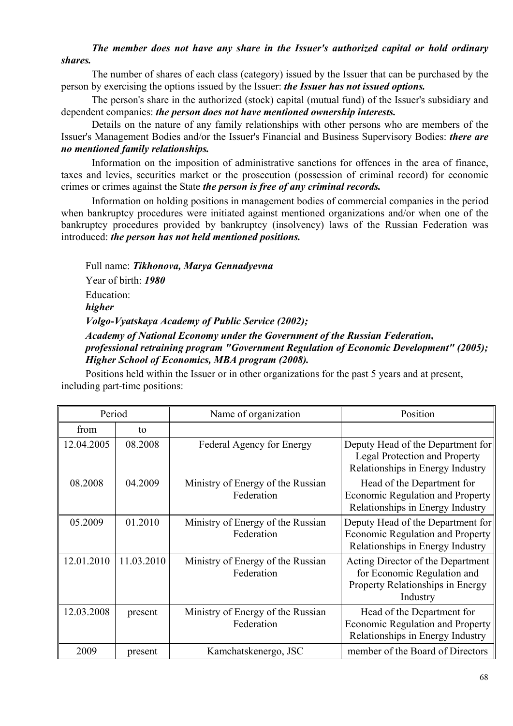## *The member does not have any share in the Issuer's authorized capital or hold ordinary shares.*

The number of shares of each class (category) issued by the Issuer that can be purchased by the person by exercising the options issued by the Issuer: *the Issuer has not issued options.*

The person's share in the authorized (stock) capital (mutual fund) of the Issuer's subsidiary and dependent companies: *the person does not have mentioned ownership interests.*

Details on the nature of any family relationships with other persons who are members of the Issuer's Management Bodies and/or the Issuer's Financial and Business Supervisory Bodies: *there are no mentioned family relationships.*

Information on the imposition of administrative sanctions for offences in the area of finance, taxes and levies, securities market or the prosecution (possession of criminal record) for economic crimes or crimes against the State *the person is free of any criminal records.*

Information on holding positions in management bodies of commercial companies in the period when bankruptcy procedures were initiated against mentioned organizations and/or when one of the bankruptcy procedures provided by bankruptcy (insolvency) laws of the Russian Federation was introduced: *the person has not held mentioned positions.*

Full name: *Tikhonova, Marya Gennadyevna* Year of birth: *1980* Education: *higher Volgo-Vyatskaya Academy of Public Service (2002); Academy of National Economy under the Government of the Russian Federation,* 

# *professional retraining program "Government Regulation of Economic Development" (2005); Higher School of Economics, MBA program (2008).*

Positions held within the Issuer or in other organizations for the past 5 years and at present, including part-time positions:

| Period     |            | Name of organization                            | Position                                                                                                         |
|------------|------------|-------------------------------------------------|------------------------------------------------------------------------------------------------------------------|
| from       | to         |                                                 |                                                                                                                  |
| 12.04.2005 | 08.2008    | Federal Agency for Energy                       | Deputy Head of the Department for<br>Legal Protection and Property<br>Relationships in Energy Industry           |
| 08.2008    | 04.2009    | Ministry of Energy of the Russian<br>Federation | Head of the Department for<br><b>Economic Regulation and Property</b><br>Relationships in Energy Industry        |
| 05.2009    | 01.2010    | Ministry of Energy of the Russian<br>Federation | Deputy Head of the Department for<br>Economic Regulation and Property<br>Relationships in Energy Industry        |
| 12.01.2010 | 11.03.2010 | Ministry of Energy of the Russian<br>Federation | Acting Director of the Department<br>for Economic Regulation and<br>Property Relationships in Energy<br>Industry |
| 12.03.2008 | present    | Ministry of Energy of the Russian<br>Federation | Head of the Department for<br><b>Economic Regulation and Property</b><br>Relationships in Energy Industry        |
| 2009       | present    | Kamchatskenergo, JSC                            | member of the Board of Directors                                                                                 |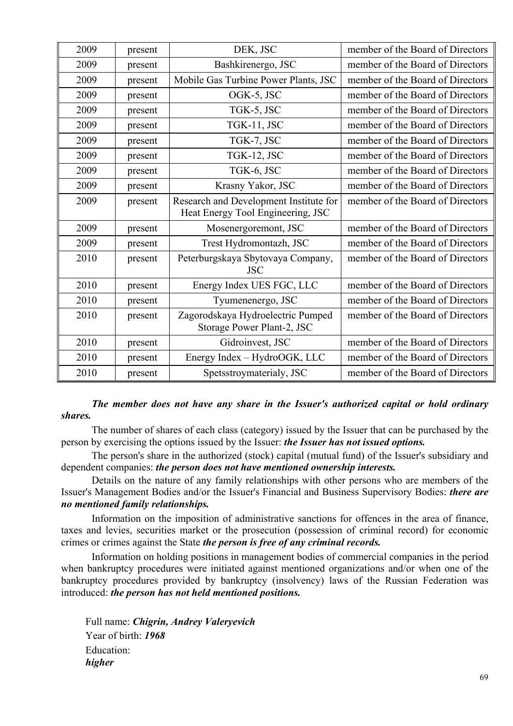| 2009 | present | DEK, JSC                                                        | member of the Board of Directors |
|------|---------|-----------------------------------------------------------------|----------------------------------|
| 2009 | present | Bashkirenergo, JSC                                              | member of the Board of Directors |
| 2009 | present | Mobile Gas Turbine Power Plants, JSC                            | member of the Board of Directors |
| 2009 | present | OGK-5, JSC                                                      | member of the Board of Directors |
| 2009 | present | TGK-5, JSC                                                      | member of the Board of Directors |
| 2009 | present | TGK-11, JSC                                                     | member of the Board of Directors |
| 2009 | present | TGK-7, JSC                                                      | member of the Board of Directors |
| 2009 | present | TGK-12, JSC                                                     | member of the Board of Directors |
| 2009 | present | TGK-6, JSC                                                      | member of the Board of Directors |
| 2009 | present | Krasny Yakor, JSC                                               | member of the Board of Directors |
| 2009 | present | Research and Development Institute for                          | member of the Board of Directors |
|      |         | Heat Energy Tool Engineering, JSC                               |                                  |
| 2009 | present | Mosenergoremont, JSC                                            | member of the Board of Directors |
| 2009 | present | Trest Hydromontazh, JSC                                         | member of the Board of Directors |
| 2010 | present | Peterburgskaya Sbytovaya Company,                               | member of the Board of Directors |
|      |         | <b>JSC</b>                                                      |                                  |
| 2010 | present | Energy Index UES FGC, LLC                                       | member of the Board of Directors |
| 2010 | present | Tyumenenergo, JSC                                               | member of the Board of Directors |
| 2010 | present | Zagorodskaya Hydroelectric Pumped<br>Storage Power Plant-2, JSC | member of the Board of Directors |
|      |         |                                                                 |                                  |
| 2010 | present | Gidroinvest, JSC                                                | member of the Board of Directors |
| 2010 | present | Energy Index - HydroOGK, LLC                                    | member of the Board of Directors |
| 2010 | present | Spetsstroymaterialy, JSC                                        | member of the Board of Directors |

### *The member does not have any share in the Issuer's authorized capital or hold ordinary shares.*

The number of shares of each class (category) issued by the Issuer that can be purchased by the person by exercising the options issued by the Issuer: *the Issuer has not issued options.*

The person's share in the authorized (stock) capital (mutual fund) of the Issuer's subsidiary and dependent companies: *the person does not have mentioned ownership interests.*

Details on the nature of any family relationships with other persons who are members of the Issuer's Management Bodies and/or the Issuer's Financial and Business Supervisory Bodies: *there are no mentioned family relationships.*

Information on the imposition of administrative sanctions for offences in the area of finance, taxes and levies, securities market or the prosecution (possession of criminal record) for economic crimes or crimes against the State *the person is free of any criminal records.*

Information on holding positions in management bodies of commercial companies in the period when bankruptcy procedures were initiated against mentioned organizations and/or when one of the bankruptcy procedures provided by bankruptcy (insolvency) laws of the Russian Federation was introduced: *the person has not held mentioned positions.*

Full name: *Chigrin, Andrey Valeryevich* Year of birth: *1968* Education: *higher*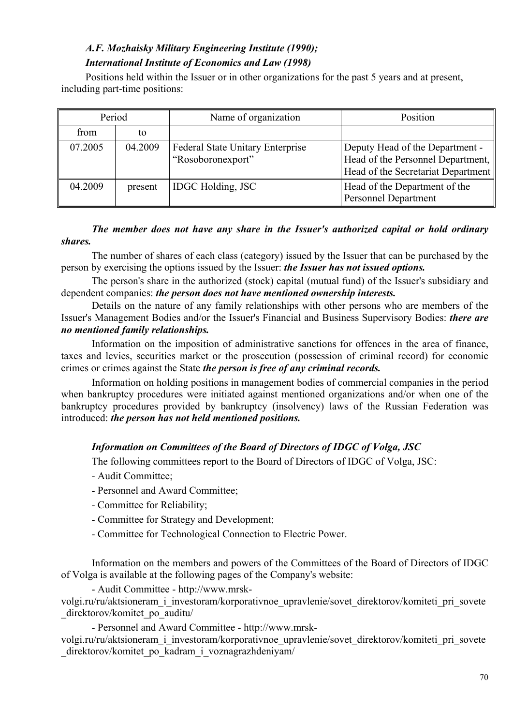# *A.F. Mozhaisky Military Engineering Institute (1990); International Institute of Economics and Law (1998)*

Positions held within the Issuer or in other organizations for the past 5 years and at present, including part-time positions:

| Period  |         | Name of organization                                  | Position                                                                                                   |
|---------|---------|-------------------------------------------------------|------------------------------------------------------------------------------------------------------------|
| from    | to      |                                                       |                                                                                                            |
| 07.2005 | 04.2009 | Federal State Unitary Enterprise<br>"Rosoboronexport" | Deputy Head of the Department -<br>Head of the Personnel Department,<br>Head of the Secretariat Department |
| 04.2009 | present | <b>IDGC</b> Holding, JSC                              | Head of the Department of the<br><b>Personnel Department</b>                                               |

## *The member does not have any share in the Issuer's authorized capital or hold ordinary shares.*

The number of shares of each class (category) issued by the Issuer that can be purchased by the person by exercising the options issued by the Issuer: *the Issuer has not issued options.*

The person's share in the authorized (stock) capital (mutual fund) of the Issuer's subsidiary and dependent companies: *the person does not have mentioned ownership interests.*

Details on the nature of any family relationships with other persons who are members of the Issuer's Management Bodies and/or the Issuer's Financial and Business Supervisory Bodies: *there are no mentioned family relationships.*

Information on the imposition of administrative sanctions for offences in the area of finance, taxes and levies, securities market or the prosecution (possession of criminal record) for economic crimes or crimes against the State *the person is free of any criminal records.*

Information on holding positions in management bodies of commercial companies in the period when bankruptcy procedures were initiated against mentioned organizations and/or when one of the bankruptcy procedures provided by bankruptcy (insolvency) laws of the Russian Federation was introduced: *the person has not held mentioned positions.*

## *Information on Committees of the Board of Directors of IDGC of Volga, JSC*

The following committees report to the Board of Directors of IDGC of Volga, JSC:

- Audit Committee;
- Personnel and Award Committee;
- Committee for Reliability;
- Committee for Strategy and Development;
- Committee for Technological Connection to Electric Power.

Information on the members and powers of the Committees of the Board of Directors of IDGC of Volga is available at the following pages of the Company's website:

- Audit Committee - http://www.mrsk-

volgi.ru/ru/aktsioneram\_i\_investoram/korporativnoe\_upravlenie/sovet\_direktorov/komiteti\_pri\_sovete direktorov/komitet po\_auditu/

- Personnel and Award Committee - http://www.mrsk-

volgi.ru/ru/aktsioneram\_i\_investoram/korporativnoe\_upravlenie/sovet\_direktorov/komiteti\_pri\_sovete direktorov/komitet po kadram i voznagrazhdeniyam/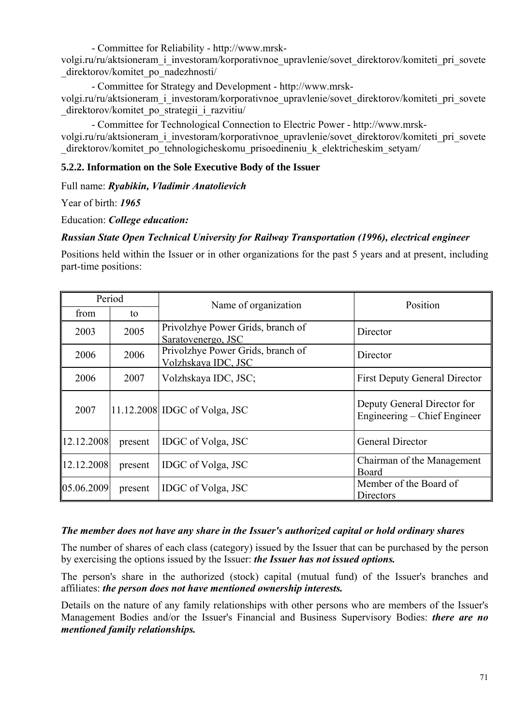- Committee for Reliability - http://www.mrsk-

volgi.ru/ru/aktsioneram\_i\_investoram/korporativnoe\_upravlenie/sovet\_direktorov/komiteti\_pri\_sovete direktorov/komitet po\_nadezhnosti/

- Committee for Strategy and Development - http://www.mrskvolgi.ru/ru/aktsioneram\_i\_investoram/korporativnoe\_upravlenie/sovet\_direktorov/komiteti\_pri\_sovete \_direktorov/komitet\_po\_strategii\_i\_razvitiu/

- Committee for Technological Connection to Electric Power - http://www.mrskvolgi.ru/ru/aktsioneram\_i\_investoram/korporativnoe\_upravlenie/sovet\_direktorov/komiteti\_pri\_sovete direktorov/komitet po\_tehnologicheskomu\_prisoedineniu\_k\_elektricheskim\_setyam/

## **5.2.2. Information on the Sole Executive Body of the Issuer**

Full name: *Ryabikin, Vladimir Anatolievich* 

Year of birth: *1965*

Education: *College education:* 

## *Russian State Open Technical University for Railway Transportation (1996), electrical engineer*

Positions held within the Issuer or in other organizations for the past 5 years and at present, including part-time positions:

| Period     |         | Name of organization                                     | Position                                                    |
|------------|---------|----------------------------------------------------------|-------------------------------------------------------------|
| from       | to      |                                                          |                                                             |
| 2003       | 2005    | Privolzhye Power Grids, branch of<br>Saratovenergo, JSC  | Director                                                    |
| 2006       | 2006    | Privolzhye Power Grids, branch of<br>Volzhskaya IDC, JSC | Director                                                    |
| 2006       | 2007    | Volzhskaya IDC, JSC;                                     | <b>First Deputy General Director</b>                        |
| 2007       |         | 11.12.2008 IDGC of Volga, JSC                            | Deputy General Director for<br>Engineering – Chief Engineer |
| 12.12.2008 | present | IDGC of Volga, JSC                                       | <b>General Director</b>                                     |
| 12.12.2008 | present | IDGC of Volga, JSC                                       | Chairman of the Management<br>Board                         |
| 05.06.2009 | present | IDGC of Volga, JSC                                       | Member of the Board of<br>Directors                         |

## *The member does not have any share in the Issuer's authorized capital or hold ordinary shares*

The number of shares of each class (category) issued by the Issuer that can be purchased by the person by exercising the options issued by the Issuer: *the Issuer has not issued options.*

The person's share in the authorized (stock) capital (mutual fund) of the Issuer's branches and affiliates: *the person does not have mentioned ownership interests.*

Details on the nature of any family relationships with other persons who are members of the Issuer's Management Bodies and/or the Issuer's Financial and Business Supervisory Bodies: *there are no mentioned family relationships.*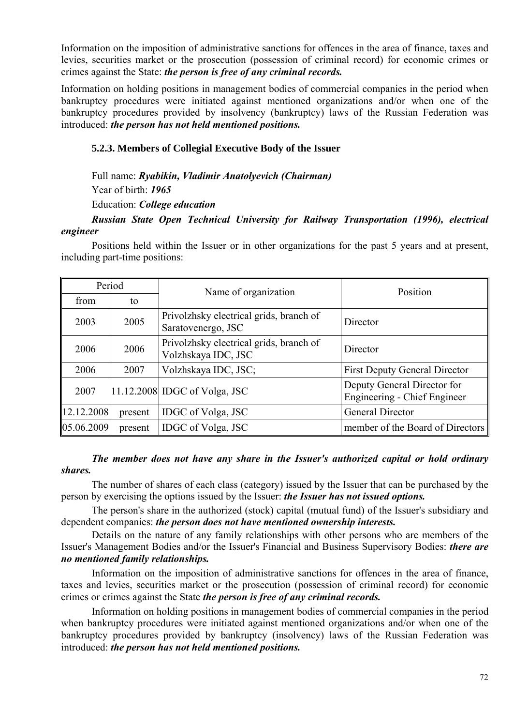Information on the imposition of administrative sanctions for offences in the area of finance, taxes and levies, securities market or the prosecution (possession of criminal record) for economic crimes or crimes against the State: *the person is free of any criminal records.* 

Information on holding positions in management bodies of commercial companies in the period when bankruptcy procedures were initiated against mentioned organizations and/or when one of the bankruptcy procedures provided by insolvency (bankruptcy) laws of the Russian Federation was introduced: *the person has not held mentioned positions.* 

### **5.2.3. Members of Collegial Executive Body of the Issuer**

Full name: *Ryabikin, Vladimir Anatolyevich (Chairman)*

Year of birth: *1965*

Education: *College education* 

*Russian State Open Technical University for Railway Transportation (1996), electrical engineer*

Positions held within the Issuer or in other organizations for the past 5 years and at present, including part-time positions:

| Period     |         | Name of organization                                           | Position                                                           |
|------------|---------|----------------------------------------------------------------|--------------------------------------------------------------------|
| from       | to      |                                                                |                                                                    |
| 2003       | 2005    | Privolzhsky electrical grids, branch of<br>Saratovenergo, JSC  | Director                                                           |
| 2006       | 2006    | Privolzhsky electrical grids, branch of<br>Volzhskaya IDC, JSC | Director                                                           |
| 2006       | 2007    | Volzhskaya IDC, JSC;                                           | <b>First Deputy General Director</b>                               |
| 2007       |         | 11.12.2008 IDGC of Volga, JSC                                  | Deputy General Director for<br><b>Engineering - Chief Engineer</b> |
| 12.12.2008 | present | IDGC of Volga, JSC                                             | General Director                                                   |
| 05.06.2009 | present | IDGC of Volga, JSC                                             | member of the Board of Directors                                   |

## *The member does not have any share in the Issuer's authorized capital or hold ordinary shares.*

The number of shares of each class (category) issued by the Issuer that can be purchased by the person by exercising the options issued by the Issuer: *the Issuer has not issued options.*

The person's share in the authorized (stock) capital (mutual fund) of the Issuer's subsidiary and dependent companies: *the person does not have mentioned ownership interests.*

Details on the nature of any family relationships with other persons who are members of the Issuer's Management Bodies and/or the Issuer's Financial and Business Supervisory Bodies: *there are no mentioned family relationships.*

Information on the imposition of administrative sanctions for offences in the area of finance, taxes and levies, securities market or the prosecution (possession of criminal record) for economic crimes or crimes against the State *the person is free of any criminal records.*

Information on holding positions in management bodies of commercial companies in the period when bankruptcy procedures were initiated against mentioned organizations and/or when one of the bankruptcy procedures provided by bankruptcy (insolvency) laws of the Russian Federation was introduced: *the person has not held mentioned positions.*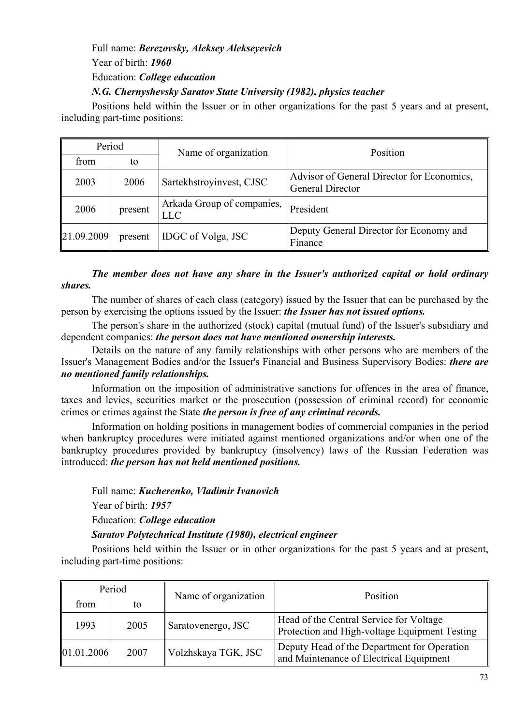# Full name: *Berezovsky, Aleksey Alekseyevich*  Year of birth: *1960* Education: *College education*

### *N.G. Chernyshevsky Saratov State University (1982), physics teacher*

Positions held within the Issuer or in other organizations for the past 5 years and at present, including part-time positions:

| Period     |         | Name of organization                     | Position                                                       |  |
|------------|---------|------------------------------------------|----------------------------------------------------------------|--|
| from       | to      |                                          |                                                                |  |
| 2003       | 2006    | Sartekhstroyinvest, CJSC                 | Advisor of General Director for Economics,<br>General Director |  |
| 2006       | present | Arkada Group of companies,<br><b>LLC</b> | President                                                      |  |
| 21.09.2009 | present | IDGC of Volga, JSC                       | Deputy General Director for Economy and<br>Finance             |  |

# *The member does not have any share in the Issuer's authorized capital or hold ordinary shares.*

The number of shares of each class (category) issued by the Issuer that can be purchased by the person by exercising the options issued by the Issuer: *the Issuer has not issued options.*

The person's share in the authorized (stock) capital (mutual fund) of the Issuer's subsidiary and dependent companies: *the person does not have mentioned ownership interests.*

Details on the nature of any family relationships with other persons who are members of the Issuer's Management Bodies and/or the Issuer's Financial and Business Supervisory Bodies: *there are no mentioned family relationships.*

Information on the imposition of administrative sanctions for offences in the area of finance, taxes and levies, securities market or the prosecution (possession of criminal record) for economic crimes or crimes against the State *the person is free of any criminal records.*

Information on holding positions in management bodies of commercial companies in the period when bankruptcy procedures were initiated against mentioned organizations and/or when one of the bankruptcy procedures provided by bankruptcy (insolvency) laws of the Russian Federation was introduced: *the person has not held mentioned positions.*

Full name: *Kucherenko, Vladimir Ivanovich*

Year of birth: *1957*

Education: *College education* 

*Saratov Polytechnical Institute (1980), electrical engineer*

| Period     |      | Name of organization | Position                                                                                 |  |
|------------|------|----------------------|------------------------------------------------------------------------------------------|--|
| from       | to   |                      |                                                                                          |  |
| 1993       | 2005 | Saratovenergo, JSC   | Head of the Central Service for Voltage<br>Protection and High-voltage Equipment Testing |  |
| 01.01.2006 | 2007 | Volzhskaya TGK, JSC  | Deputy Head of the Department for Operation<br>and Maintenance of Electrical Equipment   |  |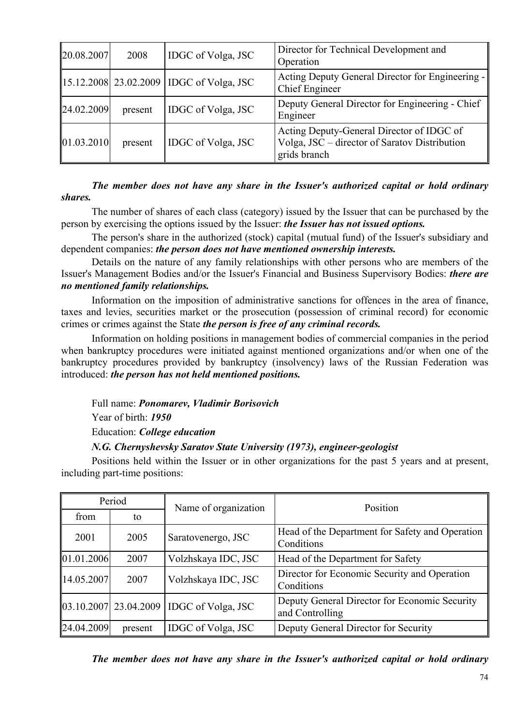| 20.08.2007 | 2008    | IDGC of Volga, JSC                                   | Director for Technical Development and<br>Operation                                                        |
|------------|---------|------------------------------------------------------|------------------------------------------------------------------------------------------------------------|
|            |         | $\parallel$ 15.12.2008 23.02.2009 IDGC of Volga, JSC | Acting Deputy General Director for Engineering -<br>Chief Engineer                                         |
| 24.02.2009 | present | IDGC of Volga, JSC                                   | Deputy General Director for Engineering - Chief<br>Engineer                                                |
| 01.03.2010 | present | IDGC of Volga, JSC                                   | Acting Deputy-General Director of IDGC of<br>Volga, JSC – director of Saratov Distribution<br>grids branch |

### *The member does not have any share in the Issuer's authorized capital or hold ordinary shares.*

The number of shares of each class (category) issued by the Issuer that can be purchased by the person by exercising the options issued by the Issuer: *the Issuer has not issued options.*

The person's share in the authorized (stock) capital (mutual fund) of the Issuer's subsidiary and dependent companies: *the person does not have mentioned ownership interests.*

Details on the nature of any family relationships with other persons who are members of the Issuer's Management Bodies and/or the Issuer's Financial and Business Supervisory Bodies: *there are no mentioned family relationships.*

Information on the imposition of administrative sanctions for offences in the area of finance, taxes and levies, securities market or the prosecution (possession of criminal record) for economic crimes or crimes against the State *the person is free of any criminal records.*

Information on holding positions in management bodies of commercial companies in the period when bankruptcy procedures were initiated against mentioned organizations and/or when one of the bankruptcy procedures provided by bankruptcy (insolvency) laws of the Russian Federation was introduced: *the person has not held mentioned positions.*

Full name: *Ponomarev, Vladimir Borisovich* 

Year of birth: *1950*

Education: *College education* 

### *N.G. Chernyshevsky Saratov State University (1973), engineer-geologist*

Positions held within the Issuer or in other organizations for the past 5 years and at present, including part-time positions:

| Period     |         | Name of organization                           | Position                                                         |  |
|------------|---------|------------------------------------------------|------------------------------------------------------------------|--|
| from       | to      |                                                |                                                                  |  |
| 2001       | 2005    | Saratovenergo, JSC                             | Head of the Department for Safety and Operation<br>Conditions    |  |
| 01.01.2006 | 2007    | Volzhskaya IDC, JSC                            | Head of the Department for Safety                                |  |
| 14.05.2007 | 2007    | Volzhskaya IDC, JSC                            | Director for Economic Security and Operation<br>Conditions       |  |
|            |         | $[03.10.2007]$ 23.04.2009   IDGC of Volga, JSC | Deputy General Director for Economic Security<br>and Controlling |  |
| 24.04.2009 | present | IDGC of Volga, JSC                             | Deputy General Director for Security                             |  |

*The member does not have any share in the Issuer's authorized capital or hold ordinary*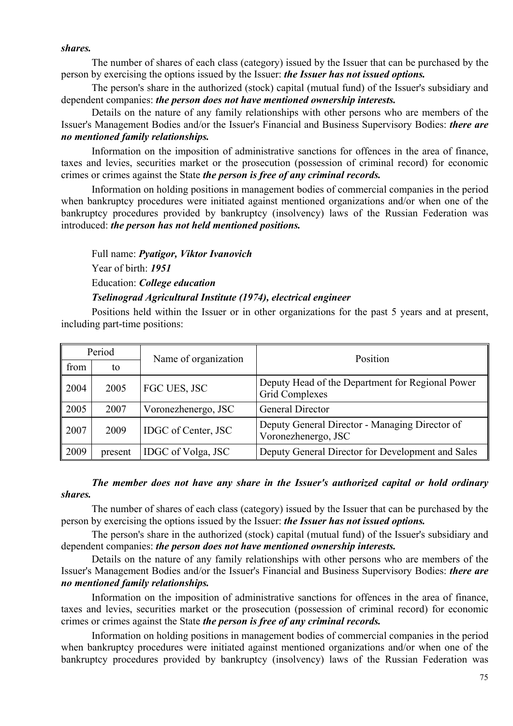#### *shares.*

The number of shares of each class (category) issued by the Issuer that can be purchased by the person by exercising the options issued by the Issuer: *the Issuer has not issued options.*

The person's share in the authorized (stock) capital (mutual fund) of the Issuer's subsidiary and dependent companies: *the person does not have mentioned ownership interests.*

Details on the nature of any family relationships with other persons who are members of the Issuer's Management Bodies and/or the Issuer's Financial and Business Supervisory Bodies: *there are no mentioned family relationships.*

Information on the imposition of administrative sanctions for offences in the area of finance, taxes and levies, securities market or the prosecution (possession of criminal record) for economic crimes or crimes against the State *the person is free of any criminal records.*

Information on holding positions in management bodies of commercial companies in the period when bankruptcy procedures were initiated against mentioned organizations and/or when one of the bankruptcy procedures provided by bankruptcy (insolvency) laws of the Russian Federation was introduced: *the person has not held mentioned positions.*

Full name: *Pyatigor, Viktor Ivanovich* 

Year of birth: *1951*

Education: *College education* 

### *Tselinograd Agricultural Institute (1974), electrical engineer*

Positions held within the Issuer or in other organizations for the past 5 years and at present, including part-time positions:

| Period |         | Name of organization       | Position                                                                  |  |
|--------|---------|----------------------------|---------------------------------------------------------------------------|--|
| from   | to      |                            |                                                                           |  |
| 2004   | 2005    | FGC UES, JSC               | Deputy Head of the Department for Regional Power<br><b>Grid Complexes</b> |  |
| 2005   | 2007    | Voronezhenergo, JSC        | <b>General Director</b>                                                   |  |
| 2007   | 2009    | <b>IDGC</b> of Center, JSC | Deputy General Director - Managing Director of<br>Voronezhenergo, JSC     |  |
| 2009   | present | IDGC of Volga, JSC         | Deputy General Director for Development and Sales                         |  |

### *The member does not have any share in the Issuer's authorized capital or hold ordinary shares.*

The number of shares of each class (category) issued by the Issuer that can be purchased by the person by exercising the options issued by the Issuer: *the Issuer has not issued options.*

The person's share in the authorized (stock) capital (mutual fund) of the Issuer's subsidiary and dependent companies: *the person does not have mentioned ownership interests.*

Details on the nature of any family relationships with other persons who are members of the Issuer's Management Bodies and/or the Issuer's Financial and Business Supervisory Bodies: *there are no mentioned family relationships.*

Information on the imposition of administrative sanctions for offences in the area of finance, taxes and levies, securities market or the prosecution (possession of criminal record) for economic crimes or crimes against the State *the person is free of any criminal records.*

Information on holding positions in management bodies of commercial companies in the period when bankruptcy procedures were initiated against mentioned organizations and/or when one of the bankruptcy procedures provided by bankruptcy (insolvency) laws of the Russian Federation was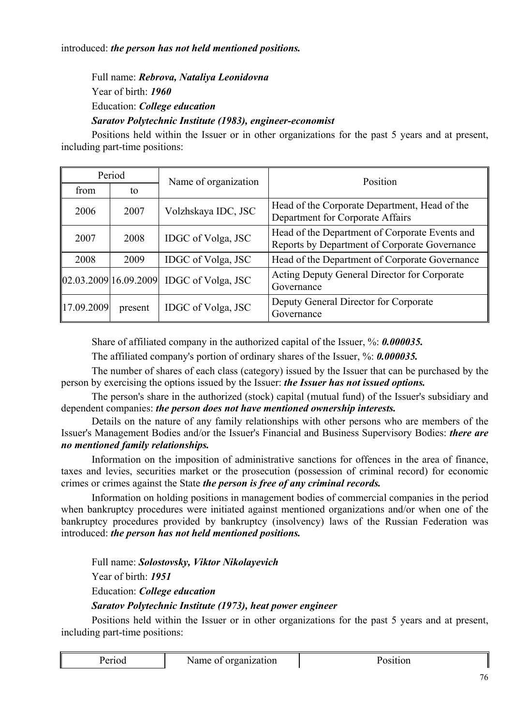Full name: *Rebrova, Nataliya Leonidovna*  Year of birth: *1960* Education: *College education Saratov Polytechnic Institute (1983), engineer-economist*

Positions held within the Issuer or in other organizations for the past 5 years and at present, including part-time positions:

| Period     |                         | Name of organization | Position                                                                                        |  |
|------------|-------------------------|----------------------|-------------------------------------------------------------------------------------------------|--|
| from       | to                      |                      |                                                                                                 |  |
| 2006       | 2007                    | Volzhskaya IDC, JSC  | Head of the Corporate Department, Head of the<br>Department for Corporate Affairs               |  |
| 2007       | 2008                    | IDGC of Volga, JSC   | Head of the Department of Corporate Events and<br>Reports by Department of Corporate Governance |  |
| 2008       | 2009                    | IDGC of Volga, JSC   | Head of the Department of Corporate Governance                                                  |  |
|            | [02.03.2009]16.09.2009] | IDGC of Volga, JSC   | Acting Deputy General Director for Corporate<br>Governance                                      |  |
| 17.09.2009 | present                 | IDGC of Volga, JSC   | Deputy General Director for Corporate<br>Governance                                             |  |

Share of affiliated company in the authorized capital of the Issuer, %: *0.000035.*

The affiliated company's portion of ordinary shares of the Issuer, %: *0.000035.*

The number of shares of each class (category) issued by the Issuer that can be purchased by the person by exercising the options issued by the Issuer: *the Issuer has not issued options.*

The person's share in the authorized (stock) capital (mutual fund) of the Issuer's subsidiary and dependent companies: *the person does not have mentioned ownership interests.*

Details on the nature of any family relationships with other persons who are members of the Issuer's Management Bodies and/or the Issuer's Financial and Business Supervisory Bodies: *there are no mentioned family relationships.*

Information on the imposition of administrative sanctions for offences in the area of finance, taxes and levies, securities market or the prosecution (possession of criminal record) for economic crimes or crimes against the State *the person is free of any criminal records.*

Information on holding positions in management bodies of commercial companies in the period when bankruptcy procedures were initiated against mentioned organizations and/or when one of the bankruptcy procedures provided by bankruptcy (insolvency) laws of the Russian Federation was introduced: *the person has not held mentioned positions.*

Full name: *Solostovsky, Viktor Nikolayevich*  Year of birth: *1951* Education: *College education Saratov Polytechnic Institute (1973), heat power engineer*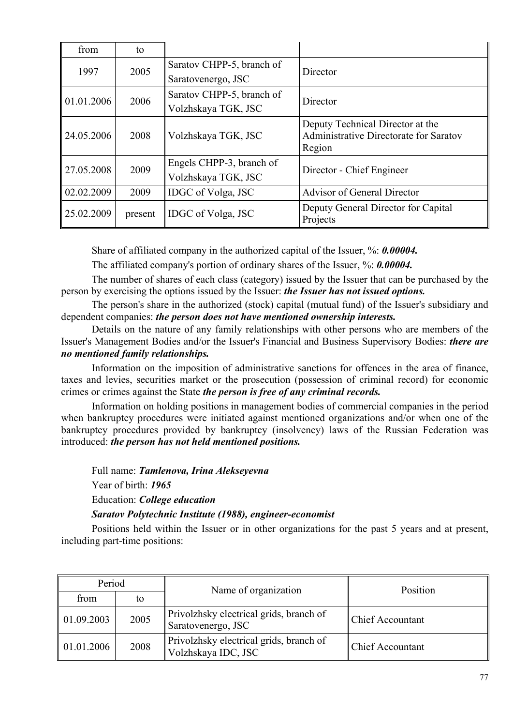| from       | to      |                           |                                                  |  |
|------------|---------|---------------------------|--------------------------------------------------|--|
| 1997       | 2005    | Saratov CHPP-5, branch of | Director                                         |  |
|            |         | Saratovenergo, JSC        |                                                  |  |
| 01.01.2006 | 2006    | Saratov CHPP-5, branch of | Director                                         |  |
|            |         | Volzhskaya TGK, JSC       |                                                  |  |
|            |         |                           | Deputy Technical Director at the                 |  |
| 24.05.2006 | 2008    | Volzhskaya TGK, JSC       | Administrative Directorate for Saratov<br>Region |  |
|            |         | Engels CHPP-3, branch of  |                                                  |  |
| 27.05.2008 | 2009    | Volzhskaya TGK, JSC       | Director - Chief Engineer                        |  |
| 02.02.2009 | 2009    | IDGC of Volga, JSC        | <b>Advisor of General Director</b>               |  |
| 25.02.2009 | present | <b>IDGC</b> of Volga, JSC | Deputy General Director for Capital<br>Projects  |  |

Share of affiliated company in the authorized capital of the Issuer, %: *0.00004.*

The affiliated company's portion of ordinary shares of the Issuer, %: *0.00004.*

The number of shares of each class (category) issued by the Issuer that can be purchased by the person by exercising the options issued by the Issuer: *the Issuer has not issued options.*

The person's share in the authorized (stock) capital (mutual fund) of the Issuer's subsidiary and dependent companies: *the person does not have mentioned ownership interests.*

Details on the nature of any family relationships with other persons who are members of the Issuer's Management Bodies and/or the Issuer's Financial and Business Supervisory Bodies: *there are no mentioned family relationships.*

Information on the imposition of administrative sanctions for offences in the area of finance, taxes and levies, securities market or the prosecution (possession of criminal record) for economic crimes or crimes against the State *the person is free of any criminal records.*

Information on holding positions in management bodies of commercial companies in the period when bankruptcy procedures were initiated against mentioned organizations and/or when one of the bankruptcy procedures provided by bankruptcy (insolvency) laws of the Russian Federation was introduced: *the person has not held mentioned positions.*

Full name: *Tamlenova, Irina Alekseyevna* 

Year of birth: *1965*

Education: *College education* 

*Saratov Polytechnic Institute (1988), engineer-economist*

| Period     |      | Name of organization                                           | Position                |
|------------|------|----------------------------------------------------------------|-------------------------|
| from       | to   |                                                                |                         |
| 01.09.2003 | 2005 | Privolzhsky electrical grids, branch of<br>Saratovenergo, JSC  | <b>Chief Accountant</b> |
| 01.01.2006 | 2008 | Privolzhsky electrical grids, branch of<br>Volzhskaya IDC, JSC | <b>Chief Accountant</b> |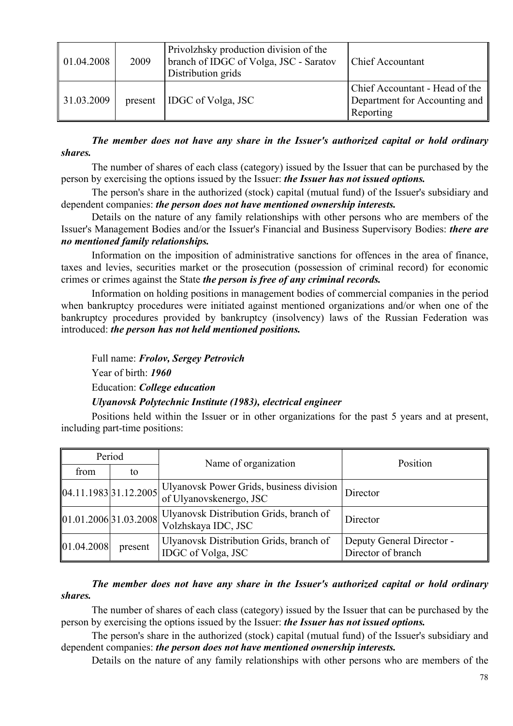| 01.04.2008 | 2009    | Privolzhsky production division of the<br>branch of IDGC of Volga, JSC - Saratov<br>Distribution grids | <b>Chief Accountant</b>                                                      |
|------------|---------|--------------------------------------------------------------------------------------------------------|------------------------------------------------------------------------------|
| 31.03.2009 | present | <b>IDGC</b> of Volga, JSC                                                                              | Chief Accountant - Head of the<br>Department for Accounting and<br>Reporting |

*The member does not have any share in the Issuer's authorized capital or hold ordinary shares.*

The number of shares of each class (category) issued by the Issuer that can be purchased by the person by exercising the options issued by the Issuer: *the Issuer has not issued options.*

The person's share in the authorized (stock) capital (mutual fund) of the Issuer's subsidiary and dependent companies: *the person does not have mentioned ownership interests.*

Details on the nature of any family relationships with other persons who are members of the Issuer's Management Bodies and/or the Issuer's Financial and Business Supervisory Bodies: *there are no mentioned family relationships.*

Information on the imposition of administrative sanctions for offences in the area of finance, taxes and levies, securities market or the prosecution (possession of criminal record) for economic crimes or crimes against the State *the person is free of any criminal records.*

Information on holding positions in management bodies of commercial companies in the period when bankruptcy procedures were initiated against mentioned organizations and/or when one of the bankruptcy procedures provided by bankruptcy (insolvency) laws of the Russian Federation was introduced: *the person has not held mentioned positions.*

Full name: *Frolov, Sergey Petrovich*  Year of birth: *1960* Education: *College education Ulyanovsk Polytechnic Institute (1983), electrical engineer*

Positions held within the Issuer or in other organizations for the past 5 years and at present, including part-time positions:

| Period     |         | Name of organization                                                                                                                                              | Position                                        |  |
|------------|---------|-------------------------------------------------------------------------------------------------------------------------------------------------------------------|-------------------------------------------------|--|
| from       | to      |                                                                                                                                                                   |                                                 |  |
|            |         | $\left  04.11.1983 \right  31.12.2005 \left  \frac{\text{Ulyanovsk Power Grids, business division}}{\text{CFT}} \right $<br>of Ulyanovskenergo, JSC               | Director                                        |  |
|            |         | $\left  01.01.2006 \right  31.03.2008 \left  \frac{\text{Ulyanovsk Distribution Grids, branch of}}{\text{Vlyanovsk Distribution}} \right $<br>Volzhskaya IDC, JSC | Director                                        |  |
| 01.04.2008 | present | Ulyanovsk Distribution Grids, branch of<br>IDGC of Volga, JSC                                                                                                     | Deputy General Director -<br>Director of branch |  |

### *The member does not have any share in the Issuer's authorized capital or hold ordinary shares.*

The number of shares of each class (category) issued by the Issuer that can be purchased by the person by exercising the options issued by the Issuer: *the Issuer has not issued options.*

The person's share in the authorized (stock) capital (mutual fund) of the Issuer's subsidiary and dependent companies: *the person does not have mentioned ownership interests.*

Details on the nature of any family relationships with other persons who are members of the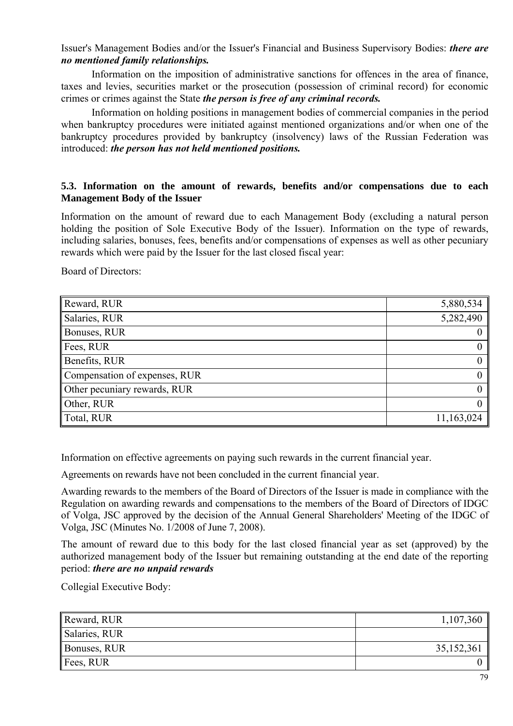Issuer's Management Bodies and/or the Issuer's Financial and Business Supervisory Bodies: *there are no mentioned family relationships.*

Information on the imposition of administrative sanctions for offences in the area of finance, taxes and levies, securities market or the prosecution (possession of criminal record) for economic crimes or crimes against the State *the person is free of any criminal records.*

Information on holding positions in management bodies of commercial companies in the period when bankruptcy procedures were initiated against mentioned organizations and/or when one of the bankruptcy procedures provided by bankruptcy (insolvency) laws of the Russian Federation was introduced: *the person has not held mentioned positions.*

### **5.3. Information on the amount of rewards, benefits and/or compensations due to each Management Body of the Issuer**

Information on the amount of reward due to each Management Body (excluding a natural person holding the position of Sole Executive Body of the Issuer). Information on the type of rewards, including salaries, bonuses, fees, benefits and/or compensations of expenses as well as other pecuniary rewards which were paid by the Issuer for the last closed fiscal year:

Board of Directors:

| Reward, RUR                   | 5,880,534      |
|-------------------------------|----------------|
| Salaries, RUR                 | 5,282,490      |
| Bonuses, RUR                  |                |
| Fees, RUR                     | $\mathbf{0}$   |
| Benefits, RUR                 | $\overline{0}$ |
| Compensation of expenses, RUR | 0 <sup>1</sup> |
| Other pecuniary rewards, RUR  | 0 <sup>1</sup> |
| Other, RUR                    | $\overline{0}$ |
| Total, RUR                    | 11,163,024     |

Information on effective agreements on paying such rewards in the current financial year.

Agreements on rewards have not been concluded in the current financial year.

Awarding rewards to the members of the Board of Directors of the Issuer is made in compliance with the Regulation on awarding rewards and compensations to the members of the Board of Directors of IDGC of Volga, JSC approved by the decision of the Annual General Shareholders' Meeting of the IDGC of Volga, JSC (Minutes No. 1/2008 of June 7, 2008).

The amount of reward due to this body for the last closed financial year as set (approved) by the authorized management body of the Issuer but remaining outstanding at the end date of the reporting period: *there are no unpaid rewards*

Collegial Executive Body:

| Reward, RUR           | 1,107,360  |
|-----------------------|------------|
| Salaries, RUR         |            |
| <b>Bonuses, RUR</b>   | 35,152,361 |
| $\parallel$ Fees, RUR |            |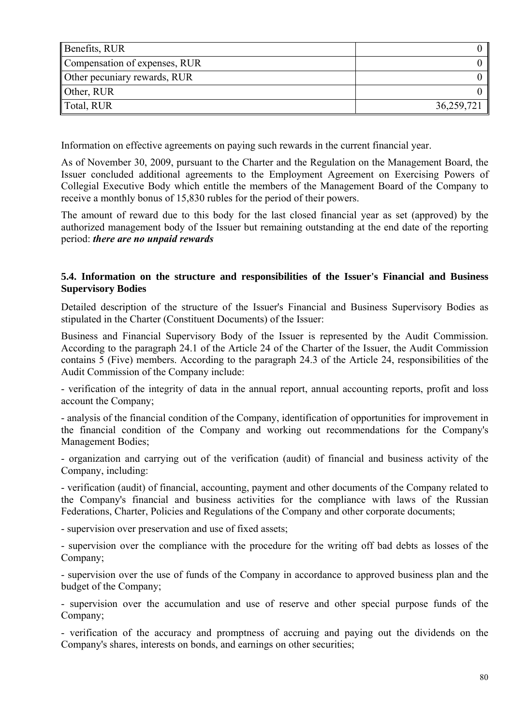| Benefits, RUR                 |            |
|-------------------------------|------------|
| Compensation of expenses, RUR |            |
| Other pecuniary rewards, RUR  |            |
| Other, RUR                    |            |
| Total, RUR                    | 36,259,721 |

Information on effective agreements on paying such rewards in the current financial year.

As of November 30, 2009, pursuant to the Charter and the Regulation on the Management Board, the Issuer concluded additional agreements to the Employment Agreement on Exercising Powers of Collegial Executive Body which entitle the members of the Management Board of the Company to receive a monthly bonus of 15,830 rubles for the period of their powers.

The amount of reward due to this body for the last closed financial year as set (approved) by the authorized management body of the Issuer but remaining outstanding at the end date of the reporting period: *there are no unpaid rewards* 

### **5.4. Information on the structure and responsibilities of the Issuer's Financial and Business Supervisory Bodies**

Detailed description of the structure of the Issuer's Financial and Business Supervisory Bodies as stipulated in the Charter (Constituent Documents) of the Issuer:

Business and Financial Supervisory Body of the Issuer is represented by the Audit Commission. According to the paragraph 24.1 of the Article 24 of the Charter of the Issuer, the Audit Commission contains 5 (Five) members. According to the paragraph 24.3 of the Article 24, responsibilities of the Audit Commission of the Company include:

- verification of the integrity of data in the annual report, annual accounting reports, profit and loss account the Company;

- analysis of the financial condition of the Company, identification of opportunities for improvement in the financial condition of the Company and working out recommendations for the Company's Management Bodies;

- organization and carrying out of the verification (audit) of financial and business activity of the Company, including:

- verification (audit) of financial, accounting, payment and other documents of the Company related to the Company's financial and business activities for the compliance with laws of the Russian Federations, Charter, Policies and Regulations of the Company and other corporate documents;

- supervision over preservation and use of fixed assets;

- supervision over the compliance with the procedure for the writing off bad debts as losses of the Company;

- supervision over the use of funds of the Company in accordance to approved business plan and the budget of the Company;

- supervision over the accumulation and use of reserve and other special purpose funds of the Company;

- verification of the accuracy and promptness of accruing and paying out the dividends on the Company's shares, interests on bonds, and earnings on other securities;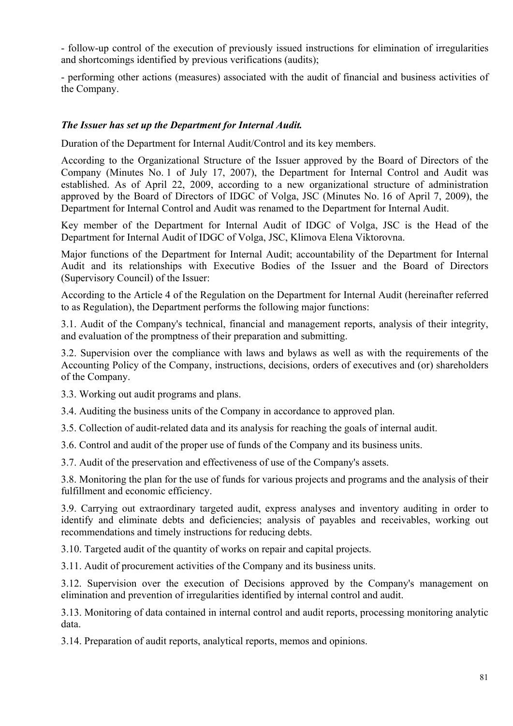- follow-up control of the execution of previously issued instructions for elimination of irregularities and shortcomings identified by previous verifications (audits);

- performing other actions (measures) associated with the audit of financial and business activities of the Company.

### *The Issuer has set up the Department for Internal Audit.*

Duration of the Department for Internal Audit/Control and its key members.

According to the Organizational Structure of the Issuer approved by the Board of Directors of the Company (Minutes No. 1 of July 17, 2007), the Department for Internal Control and Audit was established. As of April 22, 2009, according to a new organizational structure of administration approved by the Board of Directors of IDGC of Volga, JSC (Minutes No. 16 of April 7, 2009), the Department for Internal Control and Audit was renamed to the Department for Internal Audit.

Key member of the Department for Internal Audit of IDGC of Volga, JSC is the Head of the Department for Internal Audit of IDGC of Volga, JSC, Klimova Elena Viktorovna.

Major functions of the Department for Internal Audit; accountability of the Department for Internal Audit and its relationships with Executive Bodies of the Issuer and the Board of Directors (Supervisory Council) of the Issuer:

According to the Article 4 of the Regulation on the Department for Internal Audit (hereinafter referred to as Regulation), the Department performs the following major functions:

3.1. Audit of the Company's technical, financial and management reports, analysis of their integrity, and evaluation of the promptness of their preparation and submitting.

3.2. Supervision over the compliance with laws and bylaws as well as with the requirements of the Accounting Policy of the Company, instructions, decisions, orders of executives and (or) shareholders of the Company.

3.3. Working out audit programs and plans.

3.4. Auditing the business units of the Company in accordance to approved plan.

3.5. Collection of audit-related data and its analysis for reaching the goals of internal audit.

3.6. Control and audit of the proper use of funds of the Company and its business units.

3.7. Audit of the preservation and effectiveness of use of the Company's assets.

3.8. Monitoring the plan for the use of funds for various projects and programs and the analysis of their fulfillment and economic efficiency.

3.9. Carrying out extraordinary targeted audit, express analyses and inventory auditing in order to identify and eliminate debts and deficiencies; analysis of payables and receivables, working out recommendations and timely instructions for reducing debts.

3.10. Targeted audit of the quantity of works on repair and capital projects.

3.11. Audit of procurement activities of the Company and its business units.

3.12. Supervision over the execution of Decisions approved by the Company's management on elimination and prevention of irregularities identified by internal control and audit.

3.13. Monitoring of data contained in internal control and audit reports, processing monitoring analytic data.

3.14. Preparation of audit reports, analytical reports, memos and opinions.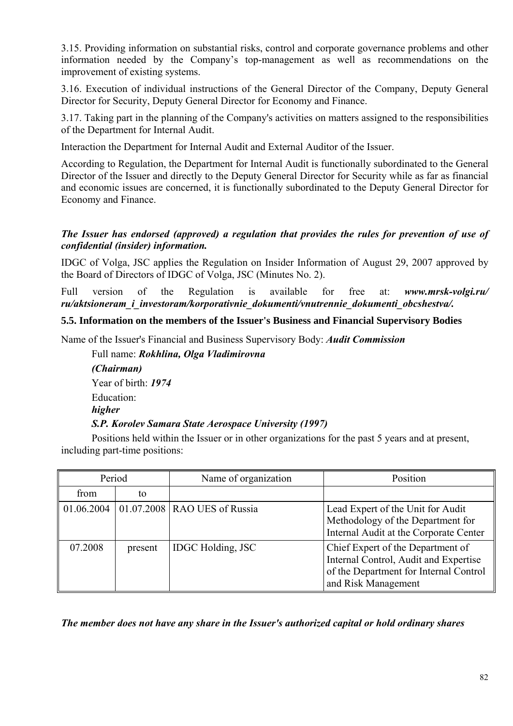3.15. Providing information on substantial risks, control and corporate governance problems and other information needed by the Company's top-management as well as recommendations on the improvement of existing systems.

3.16. Execution of individual instructions of the General Director of the Company, Deputy General Director for Security, Deputy General Director for Economy and Finance.

3.17. Taking part in the planning of the Company's activities on matters assigned to the responsibilities of the Department for Internal Audit.

Interaction the Department for Internal Audit and External Auditor of the Issuer.

According to Regulation, the Department for Internal Audit is functionally subordinated to the General Director of the Issuer and directly to the Deputy General Director for Security while as far as financial and economic issues are concerned, it is functionally subordinated to the Deputy General Director for Economy and Finance.

### *The Issuer has endorsed (approved) a regulation that provides the rules for prevention of use of confidential (insider) information.*

IDGC of Volga, JSC applies the Regulation on Insider Information of August 29, 2007 approved by the Board of Directors of IDGC of Volga, JSC (Minutes No. 2).

Full version of the Regulation is available for free at: *www.mrsk-volgi.ru/ ru/aktsioneram\_i\_investoram/korporativnie\_dokumenti/vnutrennie\_dokumenti\_obcshestva/.*

### **5.5. Information on the members of the Issuer's Business and Financial Supervisory Bodies**

Name of the Issuer's Financial and Business Supervisory Body: *Audit Commission*

Full name: *Rokhlina, Olga Vladimirovna (Chairman)* Year of birth: *1974* Education: *higher S.P. Korolev Samara State Aerospace University (1997)*

Positions held within the Issuer or in other organizations for the past 5 years and at present, including part-time positions:

| Period  |         | Name of organization                        | Position                                                                                                                                    |
|---------|---------|---------------------------------------------|---------------------------------------------------------------------------------------------------------------------------------------------|
| from    | to      |                                             |                                                                                                                                             |
|         |         | 01.06.2004   01.07.2008   RAO UES of Russia | Lead Expert of the Unit for Audit<br>Methodology of the Department for<br>Internal Audit at the Corporate Center                            |
| 07.2008 | present | <b>IDGC</b> Holding, JSC                    | Chief Expert of the Department of<br>Internal Control, Audit and Expertise<br>of the Department for Internal Control<br>and Risk Management |

*The member does not have any share in the Issuer's authorized capital or hold ordinary shares*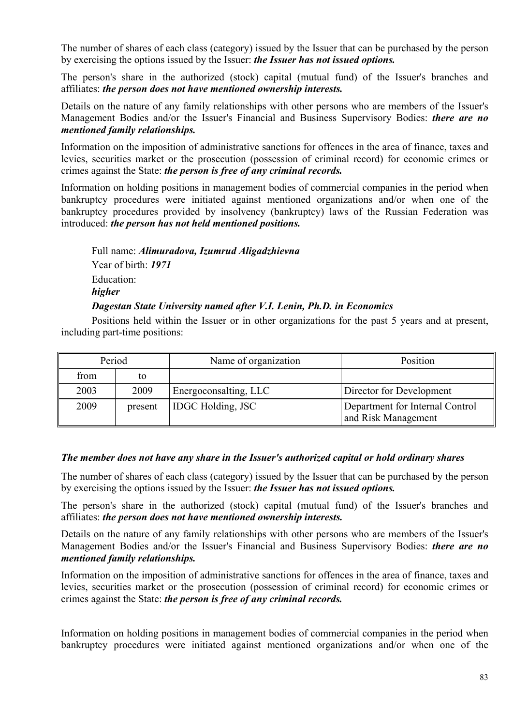The number of shares of each class (category) issued by the Issuer that can be purchased by the person by exercising the options issued by the Issuer: *the Issuer has not issued options.*

The person's share in the authorized (stock) capital (mutual fund) of the Issuer's branches and affiliates: *the person does not have mentioned ownership interests.*

Details on the nature of any family relationships with other persons who are members of the Issuer's Management Bodies and/or the Issuer's Financial and Business Supervisory Bodies: *there are no mentioned family relationships.*

Information on the imposition of administrative sanctions for offences in the area of finance, taxes and levies, securities market or the prosecution (possession of criminal record) for economic crimes or crimes against the State: *the person is free of any criminal records.* 

Information on holding positions in management bodies of commercial companies in the period when bankruptcy procedures were initiated against mentioned organizations and/or when one of the bankruptcy procedures provided by insolvency (bankruptcy) laws of the Russian Federation was introduced: *the person has not held mentioned positions.* 

Full name: *Alimuradova, Izumrud Aligadzhievna*  Year of birth: *1971* Education: *higher* 

# *Dagestan State University named after V.I. Lenin, Ph.D. in Economics*

Positions held within the Issuer or in other organizations for the past 5 years and at present, including part-time positions:

| Period |         | Name of organization     | Position                                               |
|--------|---------|--------------------------|--------------------------------------------------------|
| from   | to      |                          |                                                        |
| 2003   | 2009    | Energoconsalting, LLC    | Director for Development                               |
| 2009   | present | <b>IDGC Holding, JSC</b> | Department for Internal Control<br>and Risk Management |

### *The member does not have any share in the Issuer's authorized capital or hold ordinary shares*

The number of shares of each class (category) issued by the Issuer that can be purchased by the person by exercising the options issued by the Issuer: *the Issuer has not issued options.*

The person's share in the authorized (stock) capital (mutual fund) of the Issuer's branches and affiliates: *the person does not have mentioned ownership interests.*

Details on the nature of any family relationships with other persons who are members of the Issuer's Management Bodies and/or the Issuer's Financial and Business Supervisory Bodies: *there are no mentioned family relationships.*

Information on the imposition of administrative sanctions for offences in the area of finance, taxes and levies, securities market or the prosecution (possession of criminal record) for economic crimes or crimes against the State: *the person is free of any criminal records.* 

Information on holding positions in management bodies of commercial companies in the period when bankruptcy procedures were initiated against mentioned organizations and/or when one of the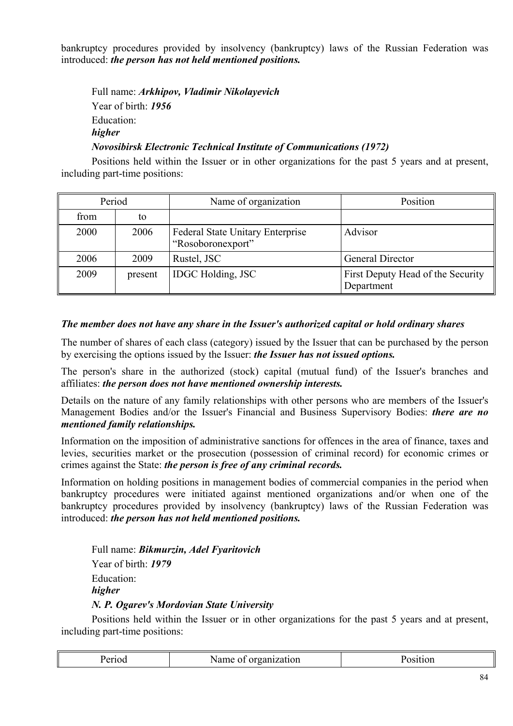bankruptcy procedures provided by insolvency (bankruptcy) laws of the Russian Federation was introduced: *the person has not held mentioned positions.* 

Full name: *Arkhipov, Vladimir Nikolayevich*  Year of birth: *1956* Education: *higher* 

# *Novosibirsk Electronic Technical Institute of Communications (1972)*

Positions held within the Issuer or in other organizations for the past 5 years and at present, including part-time positions:

| Period |         | Name of organization                                         | Position                                        |
|--------|---------|--------------------------------------------------------------|-------------------------------------------------|
| from   | to      |                                                              |                                                 |
| 2000   | 2006    | <b>Federal State Unitary Enterprise</b><br>"Rosoboronexport" | Advisor                                         |
| 2006   | 2009    | Rustel, JSC                                                  | <b>General Director</b>                         |
| 2009   | present | <b>IDGC</b> Holding, JSC                                     | First Deputy Head of the Security<br>Department |

## *The member does not have any share in the Issuer's authorized capital or hold ordinary shares*

The number of shares of each class (category) issued by the Issuer that can be purchased by the person by exercising the options issued by the Issuer: *the Issuer has not issued options.*

The person's share in the authorized (stock) capital (mutual fund) of the Issuer's branches and affiliates: *the person does not have mentioned ownership interests.*

Details on the nature of any family relationships with other persons who are members of the Issuer's Management Bodies and/or the Issuer's Financial and Business Supervisory Bodies: *there are no mentioned family relationships.*

Information on the imposition of administrative sanctions for offences in the area of finance, taxes and levies, securities market or the prosecution (possession of criminal record) for economic crimes or crimes against the State: *the person is free of any criminal records.* 

Information on holding positions in management bodies of commercial companies in the period when bankruptcy procedures were initiated against mentioned organizations and/or when one of the bankruptcy procedures provided by insolvency (bankruptcy) laws of the Russian Federation was introduced: *the person has not held mentioned positions.* 

Full name: *Bikmurzin, Adel Fyaritovich*  Year of birth: *1979* Education: *higher N. P. Ogarev's Mordovian State University*

| امصمم<br>:1100 | Name<br>organization<br>OI | sition<br>____ |
|----------------|----------------------------|----------------|
|----------------|----------------------------|----------------|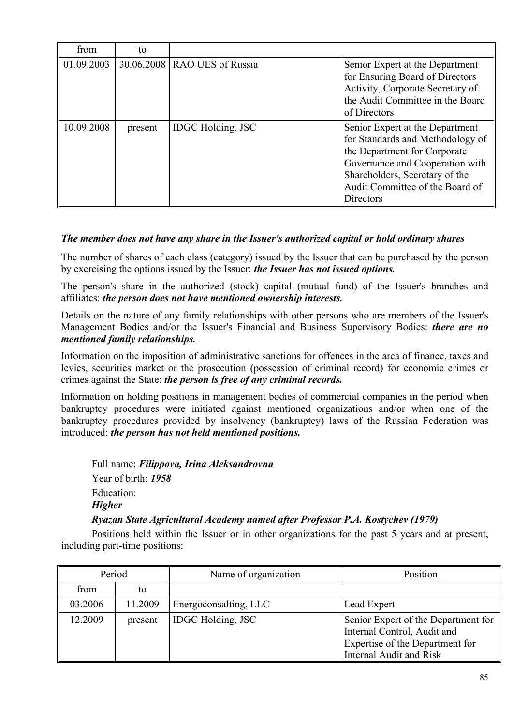| from       | to      |                                |                                                                                                                                                                                                                                 |
|------------|---------|--------------------------------|---------------------------------------------------------------------------------------------------------------------------------------------------------------------------------------------------------------------------------|
| 01.09.2003 |         | 30.06.2008   RAO UES of Russia | Senior Expert at the Department<br>for Ensuring Board of Directors<br>Activity, Corporate Secretary of<br>the Audit Committee in the Board<br>of Directors                                                                      |
| 10.09.2008 | present | <b>IDGC</b> Holding, JSC       | Senior Expert at the Department<br>for Standards and Methodology of<br>the Department for Corporate<br>Governance and Cooperation with<br>Shareholders, Secretary of the<br>Audit Committee of the Board of<br><b>Directors</b> |

## *The member does not have any share in the Issuer's authorized capital or hold ordinary shares*

The number of shares of each class (category) issued by the Issuer that can be purchased by the person by exercising the options issued by the Issuer: *the Issuer has not issued options.*

The person's share in the authorized (stock) capital (mutual fund) of the Issuer's branches and affiliates: *the person does not have mentioned ownership interests.*

Details on the nature of any family relationships with other persons who are members of the Issuer's Management Bodies and/or the Issuer's Financial and Business Supervisory Bodies: *there are no mentioned family relationships.*

Information on the imposition of administrative sanctions for offences in the area of finance, taxes and levies, securities market or the prosecution (possession of criminal record) for economic crimes or crimes against the State: *the person is free of any criminal records.* 

Information on holding positions in management bodies of commercial companies in the period when bankruptcy procedures were initiated against mentioned organizations and/or when one of the bankruptcy procedures provided by insolvency (bankruptcy) laws of the Russian Federation was introduced: *the person has not held mentioned positions.* 

Full name: *Filippova, Irina Aleksandrovna*  Year of birth: *1958* Education: *Higher* 

### *Ryazan State Agricultural Academy named after Professor P.A. Kostychev (1979)*

| Period  |         | Name of organization     | Position                                                                                                                                |
|---------|---------|--------------------------|-----------------------------------------------------------------------------------------------------------------------------------------|
| from    | to      |                          |                                                                                                                                         |
| 03.2006 | 11.2009 | Energoconsalting, LLC    | Lead Expert                                                                                                                             |
| 12.2009 | present | <b>IDGC</b> Holding, JSC | Senior Expert of the Department for<br>Internal Control, Audit and<br>Expertise of the Department for<br><b>Internal Audit and Risk</b> |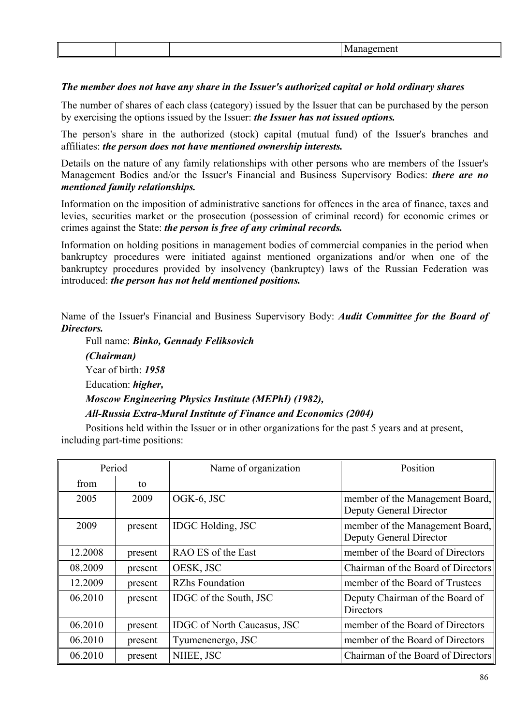#### *The member does not have any share in the Issuer's authorized capital or hold ordinary shares*

The number of shares of each class (category) issued by the Issuer that can be purchased by the person by exercising the options issued by the Issuer: *the Issuer has not issued options.*

The person's share in the authorized (stock) capital (mutual fund) of the Issuer's branches and affiliates: *the person does not have mentioned ownership interests.*

Details on the nature of any family relationships with other persons who are members of the Issuer's Management Bodies and/or the Issuer's Financial and Business Supervisory Bodies: *there are no mentioned family relationships.*

Information on the imposition of administrative sanctions for offences in the area of finance, taxes and levies, securities market or the prosecution (possession of criminal record) for economic crimes or crimes against the State: *the person is free of any criminal records.* 

Information on holding positions in management bodies of commercial companies in the period when bankruptcy procedures were initiated against mentioned organizations and/or when one of the bankruptcy procedures provided by insolvency (bankruptcy) laws of the Russian Federation was introduced: *the person has not held mentioned positions.* 

Name of the Issuer's Financial and Business Supervisory Body: *Audit Committee for the Board of Directors.*

Full name: *Binko, Gennady Feliksovich (Chairman)* Year of birth: *1958* Education: *higher, Moscow Engineering Physics Institute (MEPhI) (1982), All-Russia Extra-Mural Institute of Finance and Economics (2004)* 

| Period  |         | Name of organization               | Position                                                   |
|---------|---------|------------------------------------|------------------------------------------------------------|
| from    | to      |                                    |                                                            |
| 2005    | 2009    | OGK-6, JSC                         | member of the Management Board,<br>Deputy General Director |
| 2009    | present | <b>IDGC</b> Holding, JSC           | member of the Management Board,<br>Deputy General Director |
| 12.2008 | present | RAO ES of the East                 | member of the Board of Directors                           |
| 08.2009 | present | OESK, JSC                          | Chairman of the Board of Directors                         |
| 12.2009 | present | <b>RZhs Foundation</b>             | member of the Board of Trustees                            |
| 06.2010 | present | IDGC of the South, JSC             | Deputy Chairman of the Board of<br><b>Directors</b>        |
| 06.2010 | present | <b>IDGC</b> of North Caucasus, JSC | member of the Board of Directors                           |
| 06.2010 | present | Tyumenenergo, JSC                  | member of the Board of Directors                           |
| 06.2010 | present | NIIEE, JSC                         | Chairman of the Board of Directors                         |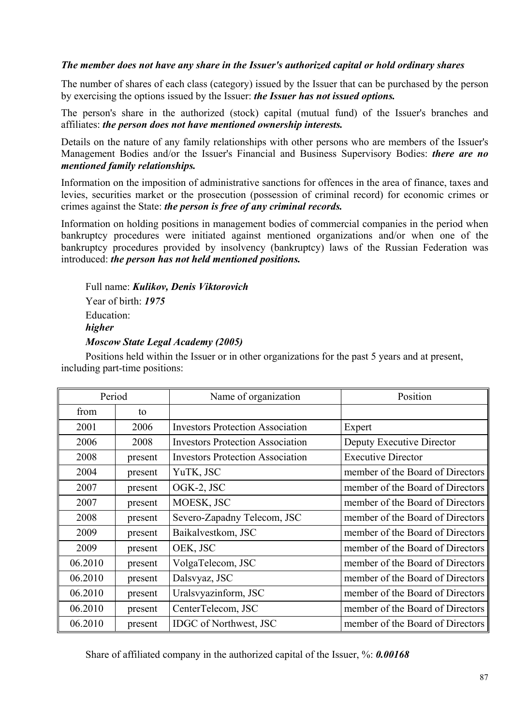### *The member does not have any share in the Issuer's authorized capital or hold ordinary shares*

The number of shares of each class (category) issued by the Issuer that can be purchased by the person by exercising the options issued by the Issuer: *the Issuer has not issued options.*

The person's share in the authorized (stock) capital (mutual fund) of the Issuer's branches and affiliates: *the person does not have mentioned ownership interests.*

Details on the nature of any family relationships with other persons who are members of the Issuer's Management Bodies and/or the Issuer's Financial and Business Supervisory Bodies: *there are no mentioned family relationships.*

Information on the imposition of administrative sanctions for offences in the area of finance, taxes and levies, securities market or the prosecution (possession of criminal record) for economic crimes or crimes against the State: *the person is free of any criminal records.* 

Information on holding positions in management bodies of commercial companies in the period when bankruptcy procedures were initiated against mentioned organizations and/or when one of the bankruptcy procedures provided by insolvency (bankruptcy) laws of the Russian Federation was introduced: *the person has not held mentioned positions.* 

Full name: *Kulikov, Denis Viktorovich* Year of birth: *1975* Education: *higher Moscow State Legal Academy (2005)*

Positions held within the Issuer or in other organizations for the past 5 years and at present, including part-time positions:

| Period  |         | Name of organization                    | Position                         |
|---------|---------|-----------------------------------------|----------------------------------|
| from    | to      |                                         |                                  |
| 2001    | 2006    | <b>Investors Protection Association</b> | Expert                           |
| 2006    | 2008    | <b>Investors Protection Association</b> | Deputy Executive Director        |
| 2008    | present | <b>Investors Protection Association</b> | <b>Executive Director</b>        |
| 2004    | present | YuTK, JSC                               | member of the Board of Directors |
| 2007    | present | OGK-2, JSC                              | member of the Board of Directors |
| 2007    | present | MOESK, JSC                              | member of the Board of Directors |
| 2008    | present | Severo-Zapadny Telecom, JSC             | member of the Board of Directors |
| 2009    | present | Baikalvestkom, JSC                      | member of the Board of Directors |
| 2009    | present | OEK, JSC                                | member of the Board of Directors |
| 06.2010 | present | VolgaTelecom, JSC                       | member of the Board of Directors |
| 06.2010 | present | Dalsvyaz, JSC                           | member of the Board of Directors |
| 06.2010 | present | Uralsvyazinform, JSC                    | member of the Board of Directors |
| 06.2010 | present | CenterTelecom, JSC                      | member of the Board of Directors |
| 06.2010 | present | <b>IDGC</b> of Northwest, JSC           | member of the Board of Directors |

Share of affiliated company in the authorized capital of the Issuer, %: *0.00168*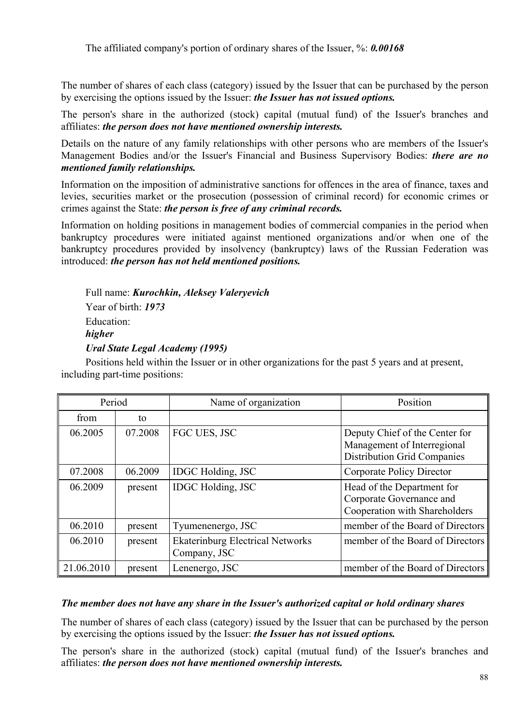The affiliated company's portion of ordinary shares of the Issuer, %: *0.00168*

The number of shares of each class (category) issued by the Issuer that can be purchased by the person by exercising the options issued by the Issuer: *the Issuer has not issued options.*

The person's share in the authorized (stock) capital (mutual fund) of the Issuer's branches and affiliates: *the person does not have mentioned ownership interests.*

Details on the nature of any family relationships with other persons who are members of the Issuer's Management Bodies and/or the Issuer's Financial and Business Supervisory Bodies: *there are no mentioned family relationships.*

Information on the imposition of administrative sanctions for offences in the area of finance, taxes and levies, securities market or the prosecution (possession of criminal record) for economic crimes or crimes against the State: *the person is free of any criminal records.* 

Information on holding positions in management bodies of commercial companies in the period when bankruptcy procedures were initiated against mentioned organizations and/or when one of the bankruptcy procedures provided by insolvency (bankruptcy) laws of the Russian Federation was introduced: *the person has not held mentioned positions.* 

Full name: *Kurochkin, Aleksey Valeryevich* Year of birth: *1973* Education: *higher Ural State Legal Academy (1995)*

Positions held within the Issuer or in other organizations for the past 5 years and at present, including part-time positions:

| Period     |         | Name of organization                                    | Position                                                                                            |
|------------|---------|---------------------------------------------------------|-----------------------------------------------------------------------------------------------------|
| from       | to      |                                                         |                                                                                                     |
| 06.2005    | 07.2008 | FGC UES, JSC                                            | Deputy Chief of the Center for<br>Management of Interregional<br><b>Distribution Grid Companies</b> |
| 07.2008    | 06.2009 | <b>IDGC</b> Holding, JSC                                | Corporate Policy Director                                                                           |
| 06.2009    | present | <b>IDGC</b> Holding, JSC                                | Head of the Department for<br>Corporate Governance and<br>Cooperation with Shareholders             |
| 06.2010    | present | Tyumenenergo, JSC                                       | member of the Board of Directors                                                                    |
| 06.2010    | present | <b>Ekaterinburg Electrical Networks</b><br>Company, JSC | member of the Board of Directors                                                                    |
| 21.06.2010 | present | Lenenergo, JSC                                          | member of the Board of Directors                                                                    |

#### *The member does not have any share in the Issuer's authorized capital or hold ordinary shares*

The number of shares of each class (category) issued by the Issuer that can be purchased by the person by exercising the options issued by the Issuer: *the Issuer has not issued options.*

The person's share in the authorized (stock) capital (mutual fund) of the Issuer's branches and affiliates: *the person does not have mentioned ownership interests.*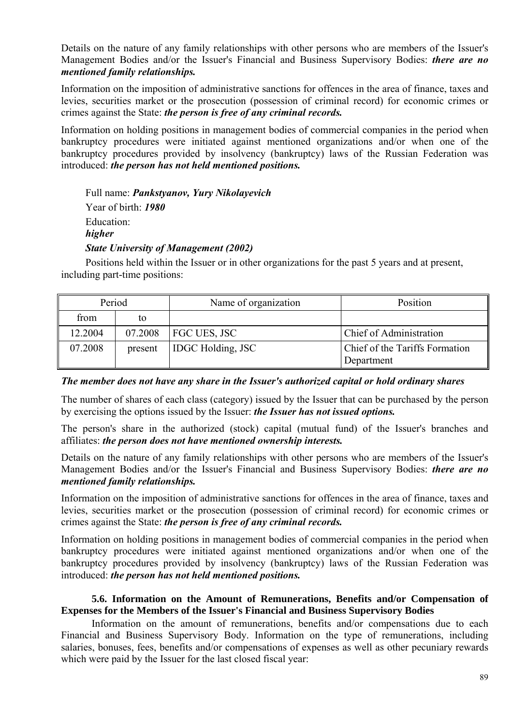Details on the nature of any family relationships with other persons who are members of the Issuer's Management Bodies and/or the Issuer's Financial and Business Supervisory Bodies: *there are no mentioned family relationships.*

Information on the imposition of administrative sanctions for offences in the area of finance, taxes and levies, securities market or the prosecution (possession of criminal record) for economic crimes or crimes against the State: *the person is free of any criminal records.* 

Information on holding positions in management bodies of commercial companies in the period when bankruptcy procedures were initiated against mentioned organizations and/or when one of the bankruptcy procedures provided by insolvency (bankruptcy) laws of the Russian Federation was introduced: *the person has not held mentioned positions.* 

Full name: *Pankstyanov, Yury Nikolayevich* Year of birth: *1980* Education: *higher State University of Management (2002)*

Positions held within the Issuer or in other organizations for the past 5 years and at present, including part-time positions:

| Period  |         | Name of organization     | Position                                     |
|---------|---------|--------------------------|----------------------------------------------|
| from    | to      |                          |                                              |
| 12.2004 | 07.2008 | <b>FGC UES, JSC</b>      | Chief of Administration                      |
| 07.2008 | present | <b>IDGC Holding, JSC</b> | Chief of the Tariffs Formation<br>Department |

*The member does not have any share in the Issuer's authorized capital or hold ordinary shares*

The number of shares of each class (category) issued by the Issuer that can be purchased by the person by exercising the options issued by the Issuer: *the Issuer has not issued options.*

The person's share in the authorized (stock) capital (mutual fund) of the Issuer's branches and affiliates: *the person does not have mentioned ownership interests.*

Details on the nature of any family relationships with other persons who are members of the Issuer's Management Bodies and/or the Issuer's Financial and Business Supervisory Bodies: *there are no mentioned family relationships.*

Information on the imposition of administrative sanctions for offences in the area of finance, taxes and levies, securities market or the prosecution (possession of criminal record) for economic crimes or crimes against the State: *the person is free of any criminal records.* 

Information on holding positions in management bodies of commercial companies in the period when bankruptcy procedures were initiated against mentioned organizations and/or when one of the bankruptcy procedures provided by insolvency (bankruptcy) laws of the Russian Federation was introduced: *the person has not held mentioned positions.* 

### **5.6. Information on the Amount of Remunerations, Benefits and/or Compensation of Expenses for the Members of the Issuer's Financial and Business Supervisory Bodies**

Information on the amount of remunerations, benefits and/or compensations due to each Financial and Business Supervisory Body. Information on the type of remunerations, including salaries, bonuses, fees, benefits and/or compensations of expenses as well as other pecuniary rewards which were paid by the Issuer for the last closed fiscal year: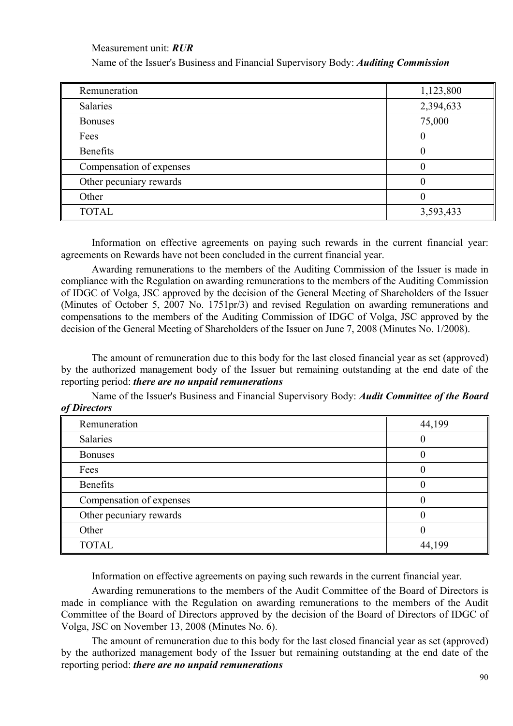Measurement unit: *RUR*

Name of the Issuer's Business and Financial Supervisory Body: *Auditing Commission*

| Remuneration             | 1,123,800 |
|--------------------------|-----------|
| Salaries                 | 2,394,633 |
| <b>Bonuses</b>           | 75,000    |
| Fees                     | $\left($  |
| <b>Benefits</b>          | $\left($  |
| Compensation of expenses |           |
| Other pecuniary rewards  |           |
| Other                    | $\theta$  |
| <b>TOTAL</b>             | 3,593,433 |

Information on effective agreements on paying such rewards in the current financial year: agreements on Rewards have not been concluded in the current financial year.

Awarding remunerations to the members of the Auditing Commission of the Issuer is made in compliance with the Regulation on awarding remunerations to the members of the Auditing Commission of IDGC of Volga, JSC approved by the decision of the General Meeting of Shareholders of the Issuer (Minutes of October 5, 2007 No. 1751pr/3) and revised Regulation on awarding remunerations and compensations to the members of the Auditing Commission of IDGC of Volga, JSC approved by the decision of the General Meeting of Shareholders of the Issuer on June 7, 2008 (Minutes No. 1/2008).

The amount of remuneration due to this body for the last closed financial year as set (approved) by the authorized management body of the Issuer but remaining outstanding at the end date of the reporting period: *there are no unpaid remunerations*

Name of the Issuer's Business and Financial Supervisory Body: *Audit Committee of the Board of Directors*

| Remuneration             | 44,199 |
|--------------------------|--------|
| Salaries                 |        |
| <b>Bonuses</b>           |        |
| Fees                     |        |
| <b>Benefits</b>          |        |
| Compensation of expenses |        |
| Other pecuniary rewards  |        |
| Other                    |        |
| <b>TOTAL</b>             | 44,199 |

Information on effective agreements on paying such rewards in the current financial year.

Awarding remunerations to the members of the Audit Committee of the Board of Directors is made in compliance with the Regulation on awarding remunerations to the members of the Audit Committee of the Board of Directors approved by the decision of the Board of Directors of IDGC of Volga, JSC on November 13, 2008 (Minutes No. 6).

The amount of remuneration due to this body for the last closed financial year as set (approved) by the authorized management body of the Issuer but remaining outstanding at the end date of the reporting period: *there are no unpaid remunerations*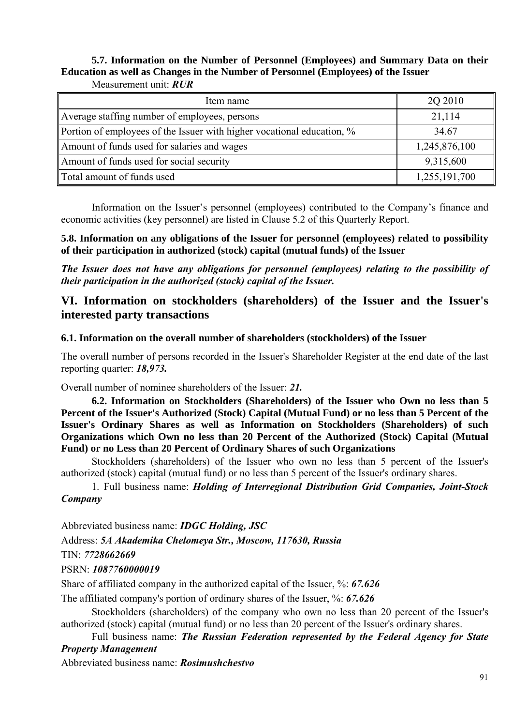### **5.7. Information on the Number of Personnel (Employees) and Summary Data on their Education as well as Changes in the Number of Personnel (Employees) of the Issuer**  Measurement unit: *RUR*

| Item name                                                              | 2Q 2010       |
|------------------------------------------------------------------------|---------------|
| Average staffing number of employees, persons                          | 21,114        |
| Portion of employees of the Issuer with higher vocational education, % | 34.67         |
| Amount of funds used for salaries and wages                            | 1,245,876,100 |
| Amount of funds used for social security                               | 9,315,600     |
| Total amount of funds used                                             | 1,255,191,700 |

Information on the Issuer's personnel (employees) contributed to the Company's finance and economic activities (key personnel) are listed in Clause 5.2 of this Quarterly Report.

**5.8. Information on any obligations of the Issuer for personnel (employees) related to possibility of their participation in authorized (stock) capital (mutual funds) of the Issuer** 

*The Issuer does not have any obligations for personnel (employees) relating to the possibility of their participation in the authorized (stock) capital of the Issuer.*

# **VI. Information on stockholders (shareholders) of the Issuer and the Issuer's interested party transactions**

### **6.1. Information on the overall number of shareholders (stockholders) of the Issuer**

The overall number of persons recorded in the Issuer's Shareholder Register at the end date of the last reporting quarter: *18,973.*

Overall number of nominee shareholders of the Issuer: *21.*

**6.2. Information on Stockholders (Shareholders) of the Issuer who Own no less than 5 Percent of the Issuer's Authorized (Stock) Capital (Mutual Fund) or no less than 5 Percent of the Issuer's Ordinary Shares as well as Information on Stockholders (Shareholders) of such Organizations which Own no less than 20 Percent of the Authorized (Stock) Capital (Mutual Fund) or no Less than 20 Percent of Ordinary Shares of such Organizations** 

Stockholders (shareholders) of the Issuer who own no less than 5 percent of the Issuer's authorized (stock) capital (mutual fund) or no less than 5 percent of the Issuer's ordinary shares.

1. Full business name: *Holding of Interregional Distribution Grid Companies, Joint-Stock Company*

Abbreviated business name: *IDGC Holding, JSC*

Address: *5A Akademika Chelomeya Str., Moscow, 117630, Russia*

TIN: *7728662669*

PSRN: *1087760000019*

Share of affiliated company in the authorized capital of the Issuer, %: *67.626*

The affiliated company's portion of ordinary shares of the Issuer, %: *67.626*

 Stockholders (shareholders) of the company who own no less than 20 percent of the Issuer's authorized (stock) capital (mutual fund) or no less than 20 percent of the Issuer's ordinary shares.

 Full business name: *The Russian Federation represented by the Federal Agency for State Property Management*

Abbreviated business name: *Rosimushchestvo*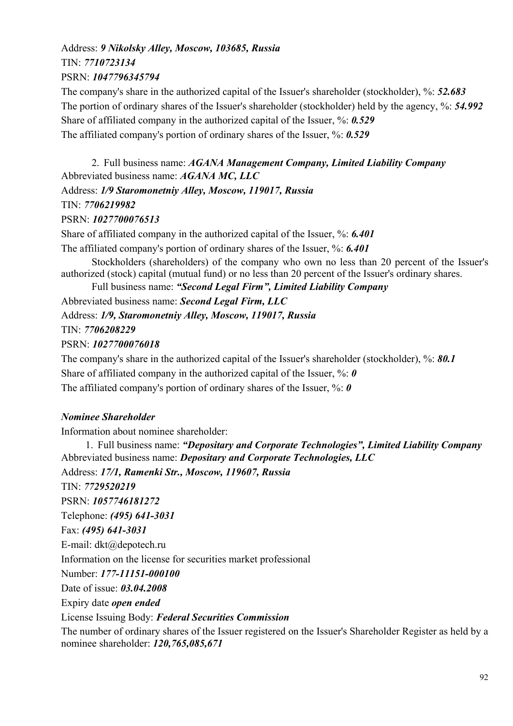# Address: *9 Nikolsky Alley, Moscow, 103685, Russia* TIN: *7710723134* PSRN: *1047796345794*

The company's share in the authorized capital of the Issuer's shareholder (stockholder), %: *52.683* The portion of ordinary shares of the Issuer's shareholder (stockholder) held by the agency, %: *54.992* Share of affiliated company in the authorized capital of the Issuer, %: *0.529* The affiliated company's portion of ordinary shares of the Issuer, %: *0.529*

2. Full business name: *AGANA Management Company, Limited Liability Company* Abbreviated business name: *AGANA MC, LLC*

Address: *1/9 Staromonetniy Alley, Moscow, 119017, Russia* TIN: *7706219982*

# PSRN: *1027700076513*

Share of affiliated company in the authorized capital of the Issuer, %: *6.401*

The affiliated company's portion of ordinary shares of the Issuer, %: *6.401*

 Stockholders (shareholders) of the company who own no less than 20 percent of the Issuer's authorized (stock) capital (mutual fund) or no less than 20 percent of the Issuer's ordinary shares.

Full business name: *"Second Legal Firm", Limited Liability Company*

Abbreviated business name: *Second Legal Firm, LLC*

Address: *1/9, Staromonetniy Alley, Moscow, 119017, Russia*

TIN: *7706208229*

# PSRN: *1027700076018*

The company's share in the authorized capital of the Issuer's shareholder (stockholder), %: *80.1* Share of affiliated company in the authorized capital of the Issuer, %: *0* The affiliated company's portion of ordinary shares of the Issuer, %: *0*

# *Nominee Shareholder*

Information about nominee shareholder:

1. Full business name: *"Depositary and Corporate Technologies", Limited Liability Company* Abbreviated business name: *Depositary and Corporate Technologies, LLC* Address: *17/1, Ramenki Str., Moscow, 119607, Russia* TIN: *7729520219* PSRN: *1057746181272* Telephone: *(495) 641-3031* Fax: *(495) 641-3031* E-mail: dkt@depotech.ru Information on the license for securities market professional Number: *177-11151-000100* Date of issue: *03.04.2008* Expiry date *open ended* License Issuing Body: *Federal Securities Commission* The number of ordinary shares of the Issuer registered on the Issuer's Shareholder Register as held by a nominee shareholder: *120,765,085,671*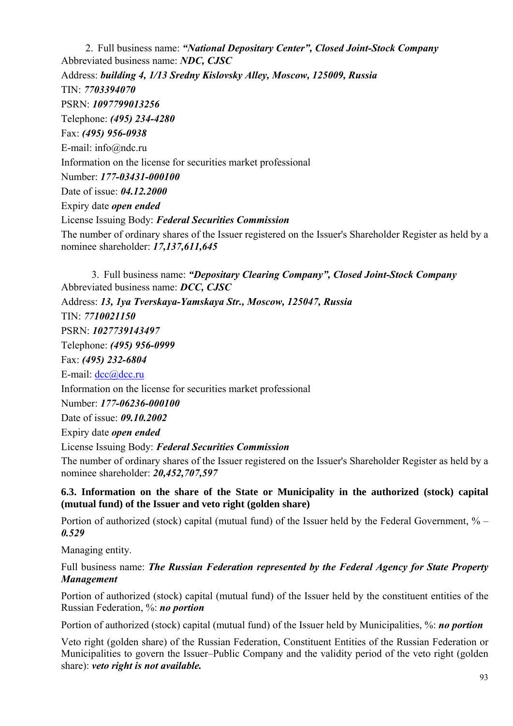2. Full business name: *"National Depositary Center", Closed Joint-Stock Company* Abbreviated business name: *NDC, CJSC* Address: *building 4, 1/13 Sredny Kislovsky Alley, Moscow, 125009, Russia* TIN: *7703394070* PSRN: *1097799013256* Telephone: *(495) 234-4280* Fax: *(495) 956-0938* E-mail: info@ndc.ru Information on the license for securities market professional Number: *177-03431-000100* Date of issue: *04.12.2000* Expiry date *open ended* License Issuing Body: *Federal Securities Commission* The number of ordinary shares of the Issuer registered on the Issuer's Shareholder Register as held by a nominee shareholder: *17,137,611,645*

3. Full business name: *"Depositary Clearing Company", Closed Joint-Stock Company* Abbreviated business name: *DCC, CJSC* Address: *13, 1ya Tverskaya-Yamskaya Str., Moscow, 125047, Russia* TIN: *7710021150* PSRN: *1027739143497* Telephone: *(495) 956-0999* Fax: *(495) 232-6804* E-mail: dcc@dcc.ru Information on the license for securities market professional Number: *177-06236-000100* Date of issue: *09.10.2002* Expiry date *open ended* License Issuing Body: *Federal Securities Commission* The number of ordinary shares of the Issuer registered on the Issuer's Shareholder Register as held by a nominee shareholder: *20,452,707,597*

**6.3. Information on the share of the State or Municipality in the authorized (stock) capital (mutual fund) of the Issuer and veto right (golden share)** 

Portion of authorized (stock) capital (mutual fund) of the Issuer held by the Federal Government, % – *0.529*

Managing entity.

Full business name: *The Russian Federation represented by the Federal Agency for State Property Management*

Portion of authorized (stock) capital (mutual fund) of the Issuer held by the constituent entities of the Russian Federation, %: *no portion*

Portion of authorized (stock) capital (mutual fund) of the Issuer held by Municipalities, %: *no portion*

Veto right (golden share) of the Russian Federation, Constituent Entities of the Russian Federation or Municipalities to govern the Issuer–Public Company and the validity period of the veto right (golden share): *veto right is not available.*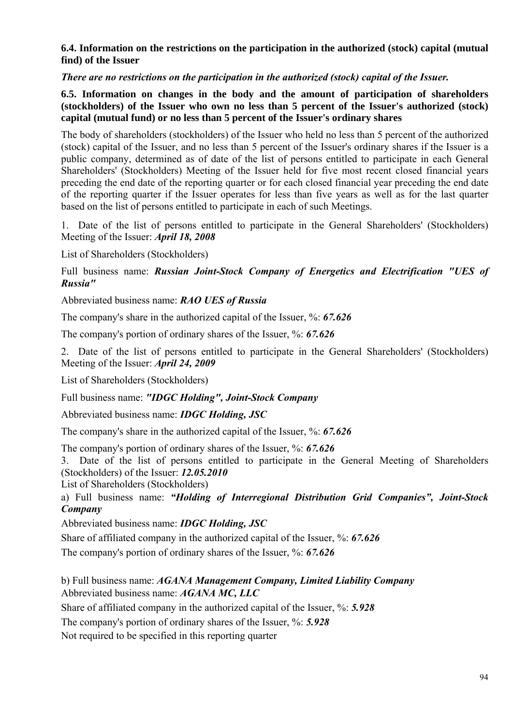### **6.4. Information on the restrictions on the participation in the authorized (stock) capital (mutual find) of the Issuer**

*There are no restrictions on the participation in the authorized (stock) capital of the Issuer.*

# **6.5. Information on changes in the body and the amount of participation of shareholders (stockholders) of the Issuer who own no less than 5 percent of the Issuer's authorized (stock) capital (mutual fund) or no less than 5 percent of the Issuer's ordinary shares**

The body of shareholders (stockholders) of the Issuer who held no less than 5 percent of the authorized (stock) capital of the Issuer, and no less than 5 percent of the Issuer's ordinary shares if the Issuer is a public company, determined as of date of the list of persons entitled to participate in each General Shareholders' (Stockholders) Meeting of the Issuer held for five most recent closed financial years preceding the end date of the reporting quarter or for each closed financial year preceding the end date of the reporting quarter if the Issuer operates for less than five years as well as for the last quarter based on the list of persons entitled to participate in each of such Meetings.

1. Date of the list of persons entitled to participate in the General Shareholders' (Stockholders) Meeting of the Issuer: *April 18, 2008* 

List of Shareholders (Stockholders)

Full business name: *Russian Joint-Stock Company of Energetics and Electrification "UES of Russia"* 

Abbreviated business name: *RAO UES of Russia*

The company's share in the authorized capital of the Issuer, %: *67.626*

The company's portion of ordinary shares of the Issuer, %: *67.626*

2. Date of the list of persons entitled to participate in the General Shareholders' (Stockholders) Meeting of the Issuer: *April 24, 2009*

List of Shareholders (Stockholders)

Full business name: *"IDGC Holding", Joint-Stock Company*

Abbreviated business name: *IDGC Holding, JSC*

The company's share in the authorized capital of the Issuer, %: *67.626*

The company's portion of ordinary shares of the Issuer, %: **67.626** 

3. Date of the list of persons entitled to participate in the General Meeting of Shareholders (Stockholders) of the Issuer: *12.05.2010*

List of Shareholders (Stockholders)

a) Full business name: *"Holding of Interregional Distribution Grid Companies", Joint-Stock Company*

Abbreviated business name: *IDGC Holding, JSC*

Share of affiliated company in the authorized capital of the Issuer, %: *67.626*

The company's portion of ordinary shares of the Issuer, %: **67.626** 

b) Full business name: *AGANA Management Company, Limited Liability Company*  Abbreviated business name: *AGANA MC, LLC*

Share of affiliated company in the authorized capital of the Issuer, %: *5.928*

The company's portion of ordinary shares of the Issuer, %: *5.928*

Not required to be specified in this reporting quarter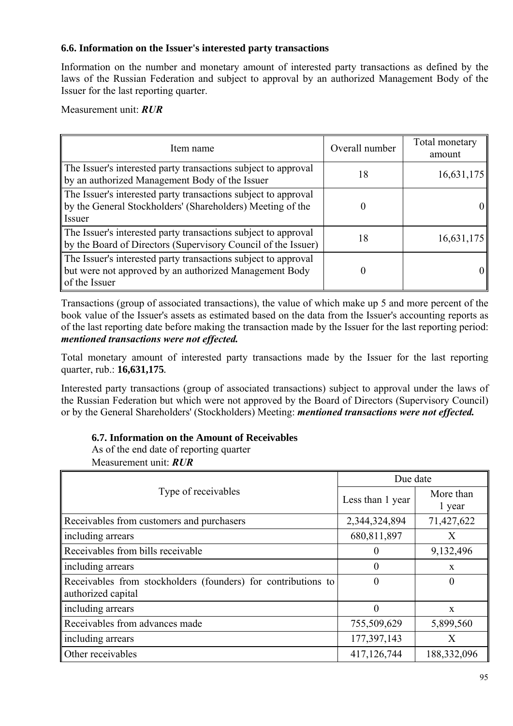### **6.6. Information on the Issuer's interested party transactions**

Information on the number and monetary amount of interested party transactions as defined by the laws of the Russian Federation and subject to approval by an authorized Management Body of the Issuer for the last reporting quarter.

Measurement unit: *RUR*

| Item name                                                                                                                                 | Overall number | Total monetary<br>amount |
|-------------------------------------------------------------------------------------------------------------------------------------------|----------------|--------------------------|
| The Issuer's interested party transactions subject to approval<br>by an authorized Management Body of the Issuer                          | 18             | 16,631,175               |
| The Issuer's interested party transactions subject to approval<br>by the General Stockholders' (Shareholders) Meeting of the<br>Issuer    |                |                          |
| The Issuer's interested party transactions subject to approval<br>by the Board of Directors (Supervisory Council of the Issuer)           | 18             | 16,631,175               |
| The Issuer's interested party transactions subject to approval<br>but were not approved by an authorized Management Body<br>of the Issuer |                |                          |

Transactions (group of associated transactions), the value of which make up 5 and more percent of the book value of the Issuer's assets as estimated based on the data from the Issuer's accounting reports as of the last reporting date before making the transaction made by the Issuer for the last reporting period: *mentioned transactions were not effected.*

Total monetary amount of interested party transactions made by the Issuer for the last reporting quarter, rub.: **16,631,175***.*

Interested party transactions (group of associated transactions) subject to approval under the laws of the Russian Federation but which were not approved by the Board of Directors (Supervisory Council) or by the General Shareholders' (Stockholders) Meeting: *mentioned transactions were not effected.*

### **6.7. Information on the Amount of Receivables**

As of the end date of reporting quarter Measurement unit: *RUR*

|                                                                                     | Due date         |                     |  |
|-------------------------------------------------------------------------------------|------------------|---------------------|--|
| Type of receivables                                                                 | Less than 1 year | More than<br>1 year |  |
| Receivables from customers and purchasers                                           | 2,344,324,894    | 71,427,622          |  |
| including arrears                                                                   | 680,811,897      | X                   |  |
| Receivables from bills receivable                                                   | $\theta$         | 9,132,496           |  |
| including arrears                                                                   | 0                | $\mathbf{x}$        |  |
| Receivables from stockholders (founders) for contributions to<br>authorized capital | $\Omega$         | $\theta$            |  |
| including arrears                                                                   | $\theta$         | $\mathbf{x}$        |  |
| Receivables from advances made                                                      | 755,509,629      | 5,899,560           |  |
| including arrears                                                                   | 177, 397, 143    | X                   |  |
| Other receivables                                                                   | 417,126,744      | 188,332,096         |  |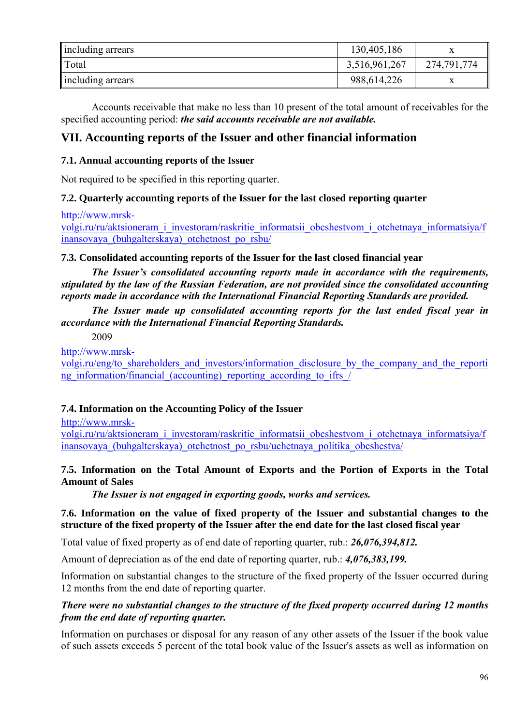| including arrears | 130,405,186   |             |
|-------------------|---------------|-------------|
| $\ $ Total        | 3,516,961,267 | 274,791,774 |
| including arrears | 988,614,226   | л           |

Accounts receivable that make no less than 10 present of the total amount of receivables for the specified accounting period: *the said accounts receivable are not available.*

# **VII. Accounting reports of the Issuer and other financial information**

# **7.1. Annual accounting reports of the Issuer**

Not required to be specified in this reporting quarter.

## **7.2. Quarterly accounting reports of the Issuer for the last closed reporting quarter**

http://www.mrsk-

volgi.ru/ru/aktsioneram\_i\_investoram/raskritie\_informatsii\_obcshestvom\_i\_otchetnaya\_informatsiya/f inansovaya\_(buhgalterskaya)\_otchetnost\_po\_rsbu/

### **7.3. Consolidated accounting reports of the Issuer for the last closed financial year**

*The Issuer's consolidated accounting reports made in accordance with the requirements, stipulated by the law of the Russian Federation, are not provided since the consolidated accounting reports made in accordance with the International Financial Reporting Standards are provided.*

*The Issuer made up consolidated accounting reports for the last ended fiscal year in accordance with the International Financial Reporting Standards.* 

2009

http://www.mrsk-

volgi.ru/eng/to\_shareholders\_and\_investors/information\_disclosure\_by\_the\_company\_and\_the\_reporti ng information/financial (accounting) reporting according to ifrs /

# **7.4. Information on the Accounting Policy of the Issuer**

http://www.mrsk-

volgi.ru/ru/aktsioneram\_i\_investoram/raskritie\_informatsii\_obcshestvom\_i\_otchetnaya\_informatsiya/f inansovaya\_(buhgalterskaya)\_otchetnost\_po\_rsbu/uchetnaya\_politika\_obcshestva/

### **7.5. Information on the Total Amount of Exports and the Portion of Exports in the Total Amount of Sales**

*The Issuer is not engaged in exporting goods, works and services.*

**7.6. Information on the value of fixed property of the Issuer and substantial changes to the structure of the fixed property of the Issuer after the end date for the last closed fiscal year** 

Total value of fixed property as of end date of reporting quarter, rub.: *26,076,394,812.*

Amount of depreciation as of the end date of reporting quarter, rub.: *4,076,383,199.*

Information on substantial changes to the structure of the fixed property of the Issuer occurred during 12 months from the end date of reporting quarter.

## *There were no substantial changes to the structure of the fixed property occurred during 12 months from the end date of reporting quarter.*

Information on purchases or disposal for any reason of any other assets of the Issuer if the book value of such assets exceeds 5 percent of the total book value of the Issuer's assets as well as information on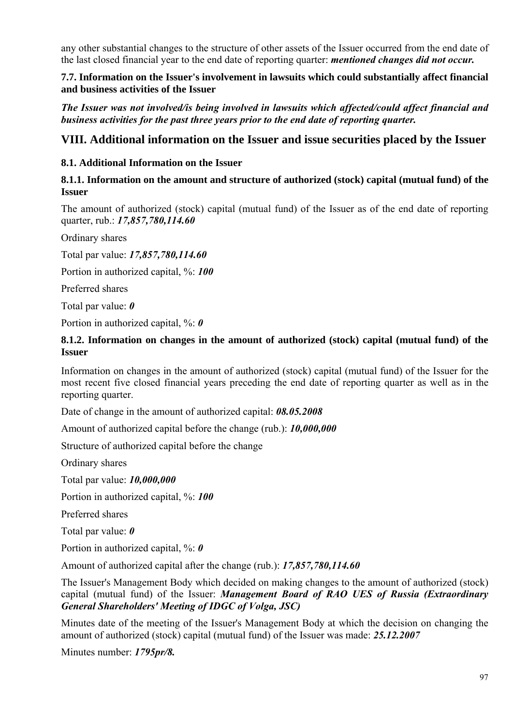any other substantial changes to the structure of other assets of the Issuer occurred from the end date of the last closed financial year to the end date of reporting quarter: *mentioned changes did not occur.* 

### **7.7. Information on the Issuer's involvement in lawsuits which could substantially affect financial and business activities of the Issuer**

*The Issuer was not involved/is being involved in lawsuits which affected/could affect financial and business activities for the past three years prior to the end date of reporting quarter.*

# **VIII. Additional information on the Issuer and issue securities placed by the Issuer**

# **8.1. Additional Information on the Issuer**

# **8.1.1. Information on the amount and structure of authorized (stock) capital (mutual fund) of the Issuer**

The amount of authorized (stock) capital (mutual fund) of the Issuer as of the end date of reporting quarter, rub.: *17,857,780,114.60* 

Ordinary shares

Total par value: *17,857,780,114.60*

Portion in authorized capital, %: *100*

Preferred shares

Total par value: *0*

Portion in authorized capital, %: *0*

## **8.1.2. Information on changes in the amount of authorized (stock) capital (mutual fund) of the Issuer**

Information on changes in the amount of authorized (stock) capital (mutual fund) of the Issuer for the most recent five closed financial years preceding the end date of reporting quarter as well as in the reporting quarter.

Date of change in the amount of authorized capital: *08.05.2008*

Amount of authorized capital before the change (rub.): *10,000,000*

Structure of authorized capital before the change

Ordinary shares

Total par value: *10,000,000*

Portion in authorized capital, %: *100*

Preferred shares

Total par value: *0*

Portion in authorized capital, %: *0* 

Amount of authorized capital after the change (rub.): *17,857,780,114.60*

The Issuer's Management Body which decided on making changes to the amount of authorized (stock) capital (mutual fund) of the Issuer: *Management Board of RAO UES of Russia (Extraordinary General Shareholders' Meeting of IDGC of Volga, JSC)*

Minutes date of the meeting of the Issuer's Management Body at which the decision on changing the amount of authorized (stock) capital (mutual fund) of the Issuer was made: *25.12.2007*

Minutes number: *1795pr/8.*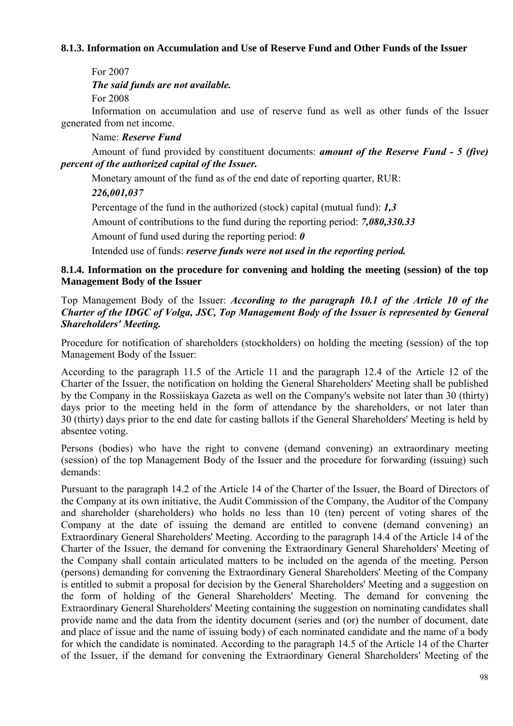### **8.1.3. Information on Accumulation and Use of Reserve Fund and Other Funds of the Issuer**

For 2007

*The said funds are not available.*

For 2008

Information on accumulation and use of reserve fund as well as other funds of the Issuer generated from net income.

Name: *Reserve Fund*

Amount of fund provided by constituent documents: *amount of the Reserve Fund - 5 (five) percent of the authorized capital of the Issuer.*

Monetary amount of the fund as of the end date of reporting quarter, RUR:

# *226,001,037*

Percentage of the fund in the authorized (stock) capital (mutual fund): *1,3* 

Amount of contributions to the fund during the reporting period: *7,080,330.33*

Amount of fund used during the reporting period: *0*

Intended use of funds: *reserve funds were not used in the reporting period.*

**8.1.4. Information on the procedure for convening and holding the meeting (session) of the top Management Body of the Issuer** 

### Top Management Body of the Issuer: *According to the paragraph 10.1 of the Article 10 of the Charter of the IDGC of Volga, JSC, Top Management Body of the Issuer is represented by General Shareholders' Meeting.*

Procedure for notification of shareholders (stockholders) on holding the meeting (session) of the top Management Body of the Issuer:

According to the paragraph 11.5 of the Article 11 and the paragraph 12.4 of the Article 12 of the Charter of the Issuer, the notification on holding the General Shareholders' Meeting shall be published by the Company in the Rossiiskaya Gazeta as well on the Company's website not later than 30 (thirty) days prior to the meeting held in the form of attendance by the shareholders, or not later than 30 (thirty) days prior to the end date for casting ballots if the General Shareholders' Meeting is held by absentee voting.

Persons (bodies) who have the right to convene (demand convening) an extraordinary meeting (session) of the top Management Body of the Issuer and the procedure for forwarding (issuing) such demands:

Pursuant to the paragraph 14.2 of the Article 14 of the Charter of the Issuer, the Board of Directors of the Company at its own initiative, the Audit Commission of the Company, the Auditor of the Company and shareholder (shareholders) who holds no less than 10 (ten) percent of voting shares of the Company at the date of issuing the demand are entitled to convene (demand convening) an Extraordinary General Shareholders' Meeting. According to the paragraph 14.4 of the Article 14 of the Charter of the Issuer, the demand for convening the Extraordinary General Shareholders' Meeting of the Company shall contain articulated matters to be included on the agenda of the meeting. Person (persons) demanding for convening the Extraordinary General Shareholders' Meeting of the Company is entitled to submit a proposal for decision by the General Shareholders' Meeting and a suggestion on the form of holding of the General Shareholders' Meeting. The demand for convening the Extraordinary General Shareholders' Meeting containing the suggestion on nominating candidates shall provide name and the data from the identity document (series and (or) the number of document, date and place of issue and the name of issuing body) of each nominated candidate and the name of a body for which the candidate is nominated. According to the paragraph 14.5 of the Article 14 of the Charter of the Issuer, if the demand for convening the Extraordinary General Shareholders' Meeting of the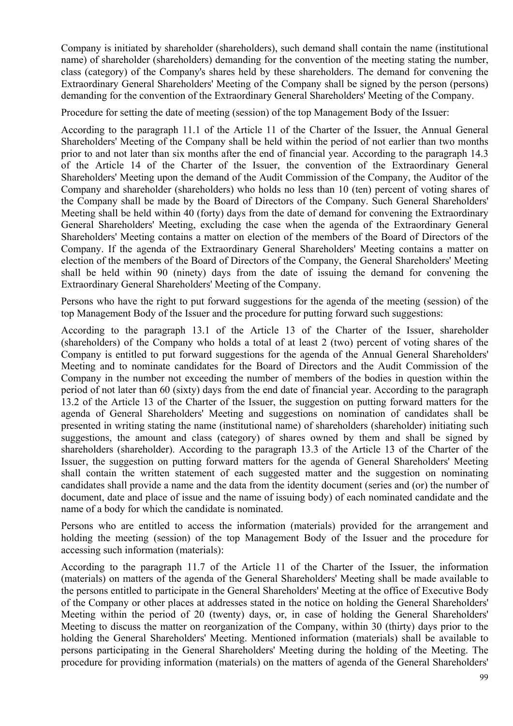Company is initiated by shareholder (shareholders), such demand shall contain the name (institutional name) of shareholder (shareholders) demanding for the convention of the meeting stating the number, class (category) of the Company's shares held by these shareholders. The demand for convening the Extraordinary General Shareholders' Meeting of the Company shall be signed by the person (persons) demanding for the convention of the Extraordinary General Shareholders' Meeting of the Company.

Procedure for setting the date of meeting (session) of the top Management Body of the Issuer:

According to the paragraph 11.1 of the Article 11 of the Charter of the Issuer, the Annual General Shareholders' Meeting of the Company shall be held within the period of not earlier than two months prior to and not later than six months after the end of financial year. According to the paragraph 14.3 of the Article 14 of the Charter of the Issuer, the convention of the Extraordinary General Shareholders' Meeting upon the demand of the Audit Commission of the Company, the Auditor of the Company and shareholder (shareholders) who holds no less than 10 (ten) percent of voting shares of the Company shall be made by the Board of Directors of the Company. Such General Shareholders' Meeting shall be held within 40 (forty) days from the date of demand for convening the Extraordinary General Shareholders' Meeting, excluding the case when the agenda of the Extraordinary General Shareholders' Meeting contains a matter on election of the members of the Board of Directors of the Company. If the agenda of the Extraordinary General Shareholders' Meeting contains a matter on election of the members of the Board of Directors of the Company, the General Shareholders' Meeting shall be held within 90 (ninety) days from the date of issuing the demand for convening the Extraordinary General Shareholders' Meeting of the Company.

Persons who have the right to put forward suggestions for the agenda of the meeting (session) of the top Management Body of the Issuer and the procedure for putting forward such suggestions:

According to the paragraph 13.1 of the Article 13 of the Charter of the Issuer, shareholder (shareholders) of the Company who holds a total of at least 2 (two) percent of voting shares of the Company is entitled to put forward suggestions for the agenda of the Annual General Shareholders' Meeting and to nominate candidates for the Board of Directors and the Audit Commission of the Company in the number not exceeding the number of members of the bodies in question within the period of not later than 60 (sixty) days from the end date of financial year. According to the paragraph 13.2 of the Article 13 of the Charter of the Issuer, the suggestion on putting forward matters for the agenda of General Shareholders' Meeting and suggestions on nomination of candidates shall be presented in writing stating the name (institutional name) of shareholders (shareholder) initiating such suggestions, the amount and class (category) of shares owned by them and shall be signed by shareholders (shareholder). According to the paragraph 13.3 of the Article 13 of the Charter of the Issuer, the suggestion on putting forward matters for the agenda of General Shareholders' Meeting shall contain the written statement of each suggested matter and the suggestion on nominating candidates shall provide a name and the data from the identity document (series and (or) the number of document, date and place of issue and the name of issuing body) of each nominated candidate and the name of a body for which the candidate is nominated.

Persons who are entitled to access the information (materials) provided for the arrangement and holding the meeting (session) of the top Management Body of the Issuer and the procedure for accessing such information (materials):

According to the paragraph 11.7 of the Article 11 of the Charter of the Issuer, the information (materials) on matters of the agenda of the General Shareholders' Meeting shall be made available to the persons entitled to participate in the General Shareholders' Meeting at the office of Executive Body of the Company or other places at addresses stated in the notice on holding the General Shareholders' Meeting within the period of 20 (twenty) days, or, in case of holding the General Shareholders' Meeting to discuss the matter on reorganization of the Company, within 30 (thirty) days prior to the holding the General Shareholders' Meeting. Mentioned information (materials) shall be available to persons participating in the General Shareholders' Meeting during the holding of the Meeting. The procedure for providing information (materials) on the matters of agenda of the General Shareholders'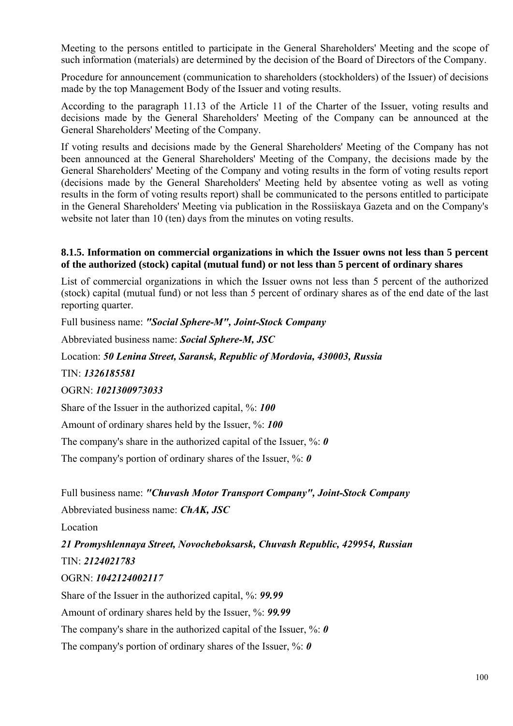Meeting to the persons entitled to participate in the General Shareholders' Meeting and the scope of such information (materials) are determined by the decision of the Board of Directors of the Company.

Procedure for announcement (communication to shareholders (stockholders) of the Issuer) of decisions made by the top Management Body of the Issuer and voting results.

According to the paragraph 11.13 of the Article 11 of the Charter of the Issuer, voting results and decisions made by the General Shareholders' Meeting of the Company can be announced at the General Shareholders' Meeting of the Company.

If voting results and decisions made by the General Shareholders' Meeting of the Company has not been announced at the General Shareholders' Meeting of the Company, the decisions made by the General Shareholders' Meeting of the Company and voting results in the form of voting results report (decisions made by the General Shareholders' Meeting held by absentee voting as well as voting results in the form of voting results report) shall be communicated to the persons entitled to participate in the General Shareholders' Meeting via publication in the Rossiiskaya Gazeta and on the Company's website not later than 10 (ten) days from the minutes on voting results.

### **8.1.5. Information on commercial organizations in which the Issuer owns not less than 5 percent of the authorized (stock) capital (mutual fund) or not less than 5 percent of ordinary shares**

List of commercial organizations in which the Issuer owns not less than 5 percent of the authorized (stock) capital (mutual fund) or not less than 5 percent of ordinary shares as of the end date of the last reporting quarter.

Full business name: *"Social Sphere-M", Joint-Stock Company*

Abbreviated business name: *Social Sphere-M, JSC*

Location: *50 Lenina Street, Saransk, Republic of Mordovia, 430003, Russia* 

TIN: *1326185581*

### OGRN: *1021300973033*

Share of the Issuer in the authorized capital, %: *100*

Amount of ordinary shares held by the Issuer, %: *100*

The company's share in the authorized capital of the Issuer, %: *0*

The company's portion of ordinary shares of the Issuer, %: *0*

Full business name: *"Chuvash Motor Transport Company", Joint-Stock Company*

Abbreviated business name: *ChAK, JSC*

Location

*21 Promyshlennaya Street, Novocheboksarsk, Chuvash Republic, 429954, Russian*  TIN: *2124021783*

### OGRN: *1042124002117*

Share of the Issuer in the authorized capital, %: *99.99*

Amount of ordinary shares held by the Issuer, %: *99.99*

The company's share in the authorized capital of the Issuer, %: *0*

The company's portion of ordinary shares of the Issuer, %: *0*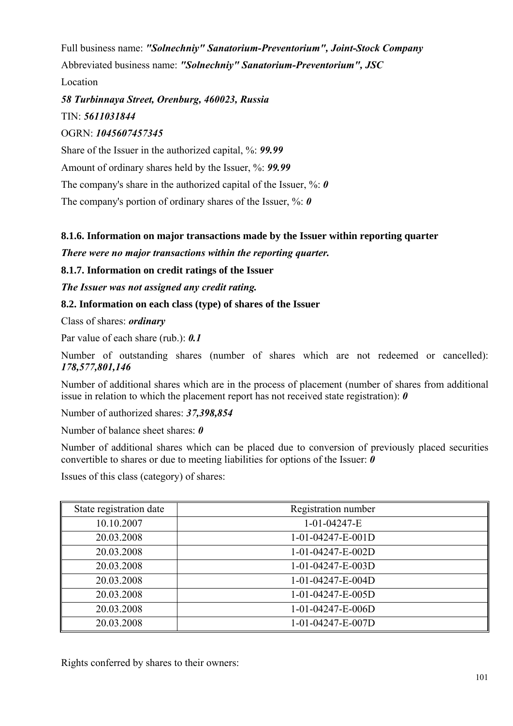Full business name: *"Solnechniy" Sanatorium-Preventorium", Joint-Stock Company*  Abbreviated business name: *"Solnechniy" Sanatorium-Preventorium", JSC* Location

# *58 Turbinnaya Street, Orenburg, 460023, Russia*  TIN: *5611031844*

# OGRN: *1045607457345*

Share of the Issuer in the authorized capital, %: *99.99*

Amount of ordinary shares held by the Issuer, %: *99.99*

The company's share in the authorized capital of the Issuer, %: 0

The company's portion of ordinary shares of the Issuer, %: *0*

# **8.1.6. Information on major transactions made by the Issuer within reporting quarter**

*There were no major transactions within the reporting quarter.*

**8.1.7. Information on credit ratings of the Issuer** 

*The Issuer was not assigned any credit rating.* 

# **8.2. Information on each class (type) of shares of the Issuer**

Class of shares: *ordinary*

Par value of each share (rub.): *0.1*

Number of outstanding shares (number of shares which are not redeemed or cancelled): *178,577,801,146*

Number of additional shares which are in the process of placement (number of shares from additional issue in relation to which the placement report has not received state registration): *0*

Number of authorized shares: *37,398,854*

Number of balance sheet shares: *0*

Number of additional shares which can be placed due to conversion of previously placed securities convertible to shares or due to meeting liabilities for options of the Issuer: *0* 

Issues of this class (category) of shares:

| State registration date | Registration number |
|-------------------------|---------------------|
| 10.10.2007              | $1-01-04247-E$      |
| 20.03.2008              | $1-01-04247-E-001D$ |
| 20.03.2008              | 1-01-04247-E-002D   |
| 20.03.2008              | 1-01-04247-E-003D   |
| 20.03.2008              | 1-01-04247-E-004D   |
| 20.03.2008              | 1-01-04247-E-005D   |
| 20.03.2008              | 1-01-04247-E-006D   |
| 20.03.2008              | 1-01-04247-E-007D   |

Rights conferred by shares to their owners: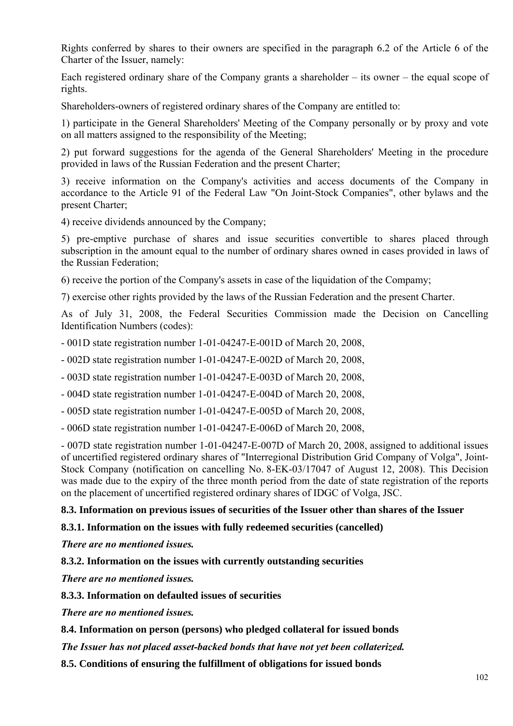Rights conferred by shares to their owners are specified in the paragraph 6.2 of the Article 6 of the Charter of the Issuer, namely:

Each registered ordinary share of the Company grants a shareholder – its owner – the equal scope of rights.

Shareholders-owners of registered ordinary shares of the Company are entitled to:

1) participate in the General Shareholders' Meeting of the Company personally or by proxy and vote on all matters assigned to the responsibility of the Meeting;

2) put forward suggestions for the agenda of the General Shareholders' Meeting in the procedure provided in laws of the Russian Federation and the present Charter;

3) receive information on the Company's activities and access documents of the Company in accordance to the Article 91 of the Federal Law "On Joint-Stock Companies", other bylaws and the present Charter;

4) receive dividends announced by the Company;

5) pre-emptive purchase of shares and issue securities convertible to shares placed through subscription in the amount equal to the number of ordinary shares owned in cases provided in laws of the Russian Federation;

6) receive the portion of the Company's assets in case of the liquidation of the Compamy;

7) exercise other rights provided by the laws of the Russian Federation and the present Charter.

As of July 31, 2008, the Federal Securities Commission made the Decision on Cancelling Identification Numbers (codes):

- 001D state registration number 1-01-04247-Е-001D of March 20, 2008,

- 002D state registration number 1-01-04247-Е-002D of March 20, 2008,

- 003D state registration number 1-01-04247-Е-003D of March 20, 2008,

- 004D state registration number 1-01-04247-Е-004D of March 20, 2008,

- 005D state registration number 1-01-04247-Е-005D of March 20, 2008,

- 006D state registration number 1-01-04247-Е-006D of March 20, 2008,

- 007D state registration number 1-01-04247-Е-007D of March 20, 2008, assigned to additional issues of uncertified registered ordinary shares of "Interregional Distribution Grid Company of Volga", Joint-Stock Company (notification on cancelling No. 8-EK-03/17047 of August 12, 2008). This Decision was made due to the expiry of the three month period from the date of state registration of the reports on the placement of uncertified registered ordinary shares of IDGC of Volga, JSC.

### **8.3. Information on previous issues of securities of the Issuer other than shares of the Issuer**

#### **8.3.1. Information on the issues with fully redeemed securities (cancelled)**

*There are no mentioned issues.*

### **8.3.2. Information on the issues with currently outstanding securities**

*There are no mentioned issues.*

**8.3.3. Information on defaulted issues of securities** 

*There are no mentioned issues.*

**8.4. Information on person (persons) who pledged collateral for issued bonds** 

*The Issuer has not placed asset-backed bonds that have not yet been collaterized.*

**8.5. Conditions of ensuring the fulfillment of obligations for issued bonds**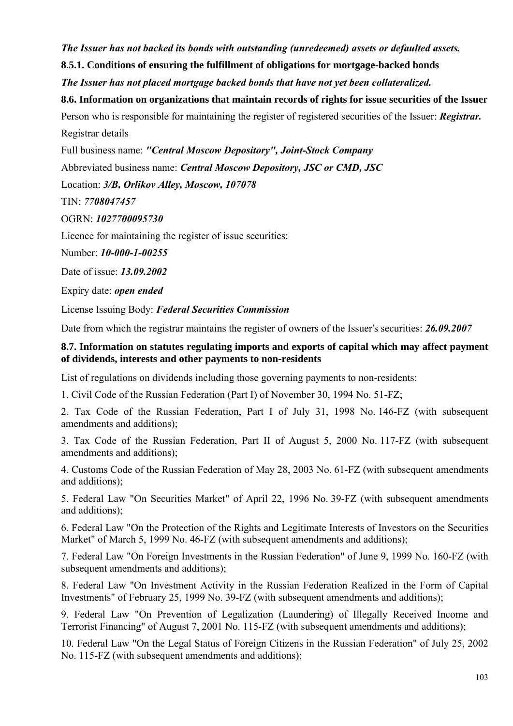*The Issuer has not backed its bonds with outstanding (unredeemed) assets or defaulted assets.* 

**8.5.1. Conditions of ensuring the fulfillment of obligations for mortgage-backed bonds** 

*The Issuer has not placed mortgage backed bonds that have not yet been collateralized.* 

**8.6. Information on organizations that maintain records of rights for issue securities of the Issuer**  Person who is responsible for maintaining the register of registered securities of the Issuer: *Registrar.*

Registrar details

Full business name: *"Central Moscow Depository", Joint-Stock Company*

Abbreviated business name: *Central Moscow Depository, JSC or CMD, JSC*

Location: *3/B, Orlikov Alley, Moscow, 107078* 

TIN: *7708047457*

OGRN: *1027700095730*

Licence for maintaining the register of issue securities:

Number: *10-000-1-00255*

Date of issue: *13.09.2002*

Expiry date: *open ended* 

License Issuing Body: *Federal Securities Commission*

Date from which the registrar maintains the register of owners of the Issuer's securities: *26.09.2007*

### **8.7. Information on statutes regulating imports and exports of capital which may affect payment of dividends, interests and other payments to non-residents**

List of regulations on dividends including those governing payments to non-residents:

1. Civil Code of the Russian Federation (Part I) of November 30, 1994 No. 51-FZ;

2. Tax Code of the Russian Federation, Part I of July 31, 1998 No. 146-FZ (with subsequent amendments and additions);

3. Tax Code of the Russian Federation, Part II of August 5, 2000 No. 117-FZ (with subsequent amendments and additions);

4. Customs Code of the Russian Federation of May 28, 2003 No. 61-FZ (with subsequent amendments and additions);

5. Federal Law "On Securities Market" of April 22, 1996 No. 39-FZ (with subsequent amendments and additions);

6. Federal Law "On the Protection of the Rights and Legitimate Interests of Investors on the Securities Market" of March 5, 1999 No. 46-FZ (with subsequent amendments and additions);

7. Federal Law "On Foreign Investments in the Russian Federation" of June 9, 1999 No. 160-FZ (with subsequent amendments and additions);

8. Federal Law "On Investment Activity in the Russian Federation Realized in the Form of Capital Investments" of February 25, 1999 No. 39-FZ (with subsequent amendments and additions);

9. Federal Law "On Prevention of Legalization (Laundering) of Illegally Received Income and Terrorist Financing" of August 7, 2001 No. 115-FZ (with subsequent amendments and additions);

10. Federal Law "On the Legal Status of Foreign Citizens in the Russian Federation" of July 25, 2002 No. 115-FZ (with subsequent amendments and additions);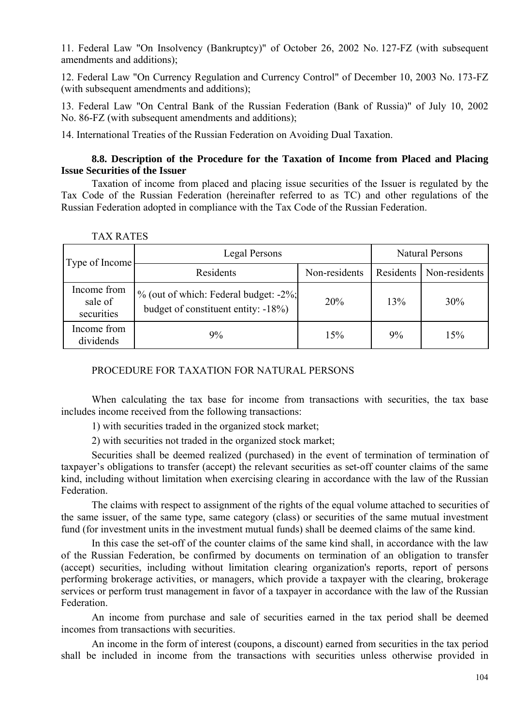11. Federal Law "On Insolvency (Bankruptcy)" of October 26, 2002 No. 127-FZ (with subsequent amendments and additions);

12. Federal Law "On Currency Regulation and Currency Control" of December 10, 2003 No. 173-FZ (with subsequent amendments and additions);

13. Federal Law "On Central Bank of the Russian Federation (Bank of Russia)" of July 10, 2002 No. 86-FZ (with subsequent amendments and additions);

14. International Treaties of the Russian Federation on Avoiding Dual Taxation.

### **8.8. Description of the Procedure for the Taxation of Income from Placed and Placing Issue Securities of the Issuer**

Taxation of income from placed and placing issue securities of the Issuer is regulated by the Tax Code of the Russian Federation (hereinafter referred to as TC) and other regulations of the Russian Federation adopted in compliance with the Tax Code of the Russian Federation.

| Type of Income                       | Legal Persons                                                                |               | <b>Natural Persons</b> |                           |
|--------------------------------------|------------------------------------------------------------------------------|---------------|------------------------|---------------------------|
|                                      | Residents                                                                    | Non-residents |                        | Residents   Non-residents |
| Income from<br>sale of<br>securities | % (out of which: Federal budget: -2%;<br>budget of constituent entity: -18%) | 20%           | 13%                    | 30%                       |
| Income from<br>dividends             | 9%                                                                           | 15%           | 9%                     | 15%                       |

| TAX RATES |  |
|-----------|--|
|           |  |

### PROCEDURE FOR TAXATION FOR NATURAL PERSONS

When calculating the tax base for income from transactions with securities, the tax base includes income received from the following transactions:

1) with securities traded in the organized stock market;

2) with securities not traded in the organized stock market;

Securities shall be deemed realized (purchased) in the event of termination of termination of taxpayer's obligations to transfer (accept) the relevant securities as set-off counter claims of the same kind, including without limitation when exercising clearing in accordance with the law of the Russian Federation.

The claims with respect to assignment of the rights of the equal volume attached to securities of the same issuer, of the same type, same category (class) or securities of the same mutual investment fund (for investment units in the investment mutual funds) shall be deemed claims of the same kind.

In this case the set-off of the counter claims of the same kind shall, in accordance with the law of the Russian Federation, be confirmed by documents on termination of an obligation to transfer (accept) securities, including without limitation clearing organization's reports, report of persons performing brokerage activities, or managers, which provide a taxpayer with the clearing, brokerage services or perform trust management in favor of a taxpayer in accordance with the law of the Russian Federation.

An income from purchase and sale of securities earned in the tax period shall be deemed incomes from transactions with securities.

An income in the form of interest (coupons, a discount) earned from securities in the tax period shall be included in income from the transactions with securities unless otherwise provided in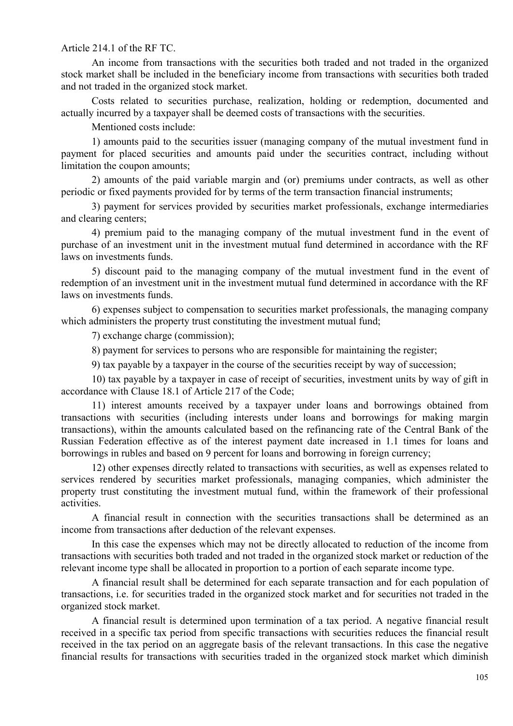Article 214.1 of the RF TC.

An income from transactions with the securities both traded and not traded in the organized stock market shall be included in the beneficiary income from transactions with securities both traded and not traded in the organized stock market.

Costs related to securities purchase, realization, holding or redemption, documented and actually incurred by a taxpayer shall be deemed costs of transactions with the securities.

Mentioned costs include:

1) amounts paid to the securities issuer (managing company of the mutual investment fund in payment for placed securities and amounts paid under the securities contract, including without limitation the coupon amounts;

2) amounts of the paid variable margin and (or) premiums under contracts, as well as other periodic or fixed payments provided for by terms of the term transaction financial instruments;

3) payment for services provided by securities market professionals, exchange intermediaries and clearing centers;

4) premium paid to the managing company of the mutual investment fund in the event of purchase of an investment unit in the investment mutual fund determined in accordance with the RF laws on investments funds.

5) discount paid to the managing company of the mutual investment fund in the event of redemption of an investment unit in the investment mutual fund determined in accordance with the RF laws on investments funds.

6) expenses subject to compensation to securities market professionals, the managing company which administers the property trust constituting the investment mutual fund;

7) exchange charge (commission);

8) payment for services to persons who are responsible for maintaining the register;

9) tax payable by a taxpayer in the course of the securities receipt by way of succession;

10) tax payable by a taxpayer in case of receipt of securities, investment units by way of gift in accordance with Clause 18.1 of Article 217 of the Code;

11) interest amounts received by a taxpayer under loans and borrowings obtained from transactions with securities (including interests under loans and borrowings for making margin transactions), within the amounts calculated based on the refinancing rate of the Central Bank of the Russian Federation effective as of the interest payment date increased in 1.1 times for loans and borrowings in rubles and based on 9 percent for loans and borrowing in foreign currency;

12) other expenses directly related to transactions with securities, as well as expenses related to services rendered by securities market professionals, managing companies, which administer the property trust constituting the investment mutual fund, within the framework of their professional activities.

A financial result in connection with the securities transactions shall be determined as an income from transactions after deduction of the relevant expenses.

In this case the expenses which may not be directly allocated to reduction of the income from transactions with securities both traded and not traded in the organized stock market or reduction of the relevant income type shall be allocated in proportion to a portion of each separate income type.

A financial result shall be determined for each separate transaction and for each population of transactions, i.e. for securities traded in the organized stock market and for securities not traded in the organized stock market.

A financial result is determined upon termination of a tax period. A negative financial result received in a specific tax period from specific transactions with securities reduces the financial result received in the tax period on an aggregate basis of the relevant transactions. In this case the negative financial results for transactions with securities traded in the organized stock market which diminish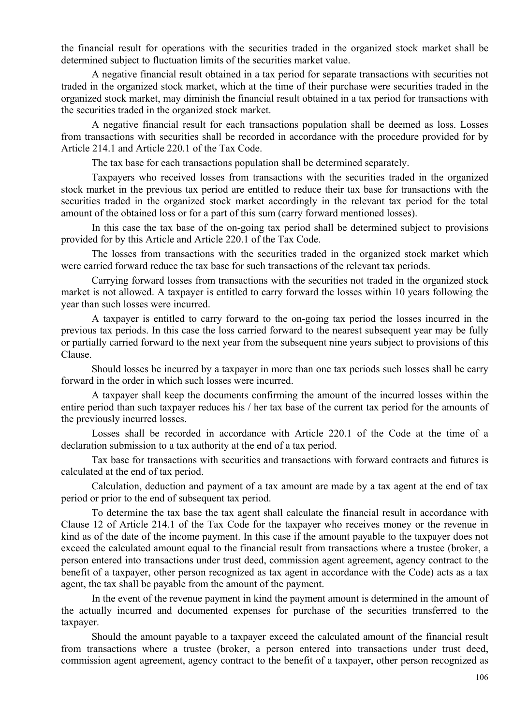the financial result for operations with the securities traded in the organized stock market shall be determined subject to fluctuation limits of the securities market value.

A negative financial result obtained in a tax period for separate transactions with securities not traded in the organized stock market, which at the time of their purchase were securities traded in the organized stock market, may diminish the financial result obtained in a tax period for transactions with the securities traded in the organized stock market.

A negative financial result for each transactions population shall be deemed as loss. Losses from transactions with securities shall be recorded in accordance with the procedure provided for by Article 214.1 and Article 220.1 of the Tax Code.

The tax base for each transactions population shall be determined separately.

Taxpayers who received losses from transactions with the securities traded in the organized stock market in the previous tax period are entitled to reduce their tax base for transactions with the securities traded in the organized stock market accordingly in the relevant tax period for the total amount of the obtained loss or for a part of this sum (carry forward mentioned losses).

In this case the tax base of the on-going tax period shall be determined subject to provisions provided for by this Article and Article 220.1 of the Tax Code.

The losses from transactions with the securities traded in the organized stock market which were carried forward reduce the tax base for such transactions of the relevant tax periods.

Carrying forward losses from transactions with the securities not traded in the organized stock market is not allowed. A taxpayer is entitled to carry forward the losses within 10 years following the year than such losses were incurred.

A taxpayer is entitled to carry forward to the on-going tax period the losses incurred in the previous tax periods. In this case the loss carried forward to the nearest subsequent year may be fully or partially carried forward to the next year from the subsequent nine years subject to provisions of this Clause.

Should losses be incurred by a taxpayer in more than one tax periods such losses shall be carry forward in the order in which such losses were incurred.

A taxpayer shall keep the documents confirming the amount of the incurred losses within the entire period than such taxpayer reduces his / her tax base of the current tax period for the amounts of the previously incurred losses.

Losses shall be recorded in accordance with Article 220.1 of the Code at the time of a declaration submission to a tax authority at the end of a tax period.

Tax base for transactions with securities and transactions with forward contracts and futures is calculated at the end of tax period.

Calculation, deduction and payment of a tax amount are made by a tax agent at the end of tax period or prior to the end of subsequent tax period.

To determine the tax base the tax agent shall calculate the financial result in accordance with Clause 12 of Article 214.1 of the Tax Code for the taxpayer who receives money or the revenue in kind as of the date of the income payment. In this case if the amount payable to the taxpayer does not exceed the calculated amount equal to the financial result from transactions where a trustee (broker, a person entered into transactions under trust deed, commission agent agreement, agency contract to the benefit of a taxpayer, other person recognized as tax agent in accordance with the Code) acts as a tax agent, the tax shall be payable from the amount of the payment.

In the event of the revenue payment in kind the payment amount is determined in the amount of the actually incurred and documented expenses for purchase of the securities transferred to the taxpayer.

Should the amount payable to a taxpayer exceed the calculated amount of the financial result from transactions where a trustee (broker, a person entered into transactions under trust deed, commission agent agreement, agency contract to the benefit of a taxpayer, other person recognized as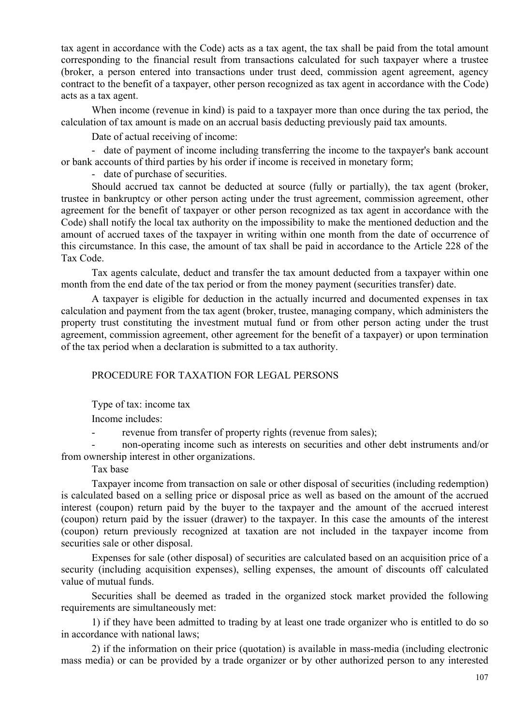tax agent in accordance with the Code) acts as a tax agent, the tax shall be paid from the total amount corresponding to the financial result from transactions calculated for such taxpayer where a trustee (broker, a person entered into transactions under trust deed, commission agent agreement, agency contract to the benefit of a taxpayer, other person recognized as tax agent in accordance with the Code) acts as a tax agent.

When income (revenue in kind) is paid to a taxpayer more than once during the tax period, the calculation of tax amount is made on an accrual basis deducting previously paid tax amounts.

Date of actual receiving of income:

- date of payment of income including transferring the income to the taxpayer's bank account or bank accounts of third parties by his order if income is received in monetary form;

- date of purchase of securities.

Should accrued tax cannot be deducted at source (fully or partially), the tax agent (broker, trustee in bankruptcy or other person acting under the trust agreement, commission agreement, other agreement for the benefit of taxpayer or other person recognized as tax agent in accordance with the Code) shall notify the local tax authority on the impossibility to make the mentioned deduction and the amount of accrued taxes of the taxpayer in writing within one month from the date of occurrence of this circumstance. In this case, the amount of tax shall be paid in accordance to the Article 228 of the Tax Code.

Tax agents calculate, deduct and transfer the tax amount deducted from a taxpayer within one month from the end date of the tax period or from the money payment (securities transfer) date.

A taxpayer is eligible for deduction in the actually incurred and documented expenses in tax calculation and payment from the tax agent (broker, trustee, managing company, which administers the property trust constituting the investment mutual fund or from other person acting under the trust agreement, commission agreement, other agreement for the benefit of a taxpayer) or upon termination of the tax period when a declaration is submitted to a tax authority.

### PROCEDURE FOR TAXATION FOR LEGAL PERSONS

Type of tax: income tax

Income includes:

- revenue from transfer of property rights (revenue from sales);

- non-operating income such as interests on securities and other debt instruments and/or from ownership interest in other organizations.

Tax base

Taxpayer income from transaction on sale or other disposal of securities (including redemption) is calculated based on a selling price or disposal price as well as based on the amount of the accrued interest (coupon) return paid by the buyer to the taxpayer and the amount of the accrued interest (coupon) return paid by the issuer (drawer) to the taxpayer. In this case the amounts of the interest (coupon) return previously recognized at taxation are not included in the taxpayer income from securities sale or other disposal.

Expenses for sale (other disposal) of securities are calculated based on an acquisition price of a security (including acquisition expenses), selling expenses, the amount of discounts off calculated value of mutual funds.

Securities shall be deemed as traded in the organized stock market provided the following requirements are simultaneously met:

1) if they have been admitted to trading by at least one trade organizer who is entitled to do so in accordance with national laws;

2) if the information on their price (quotation) is available in mass-media (including electronic mass media) or can be provided by a trade organizer or by other authorized person to any interested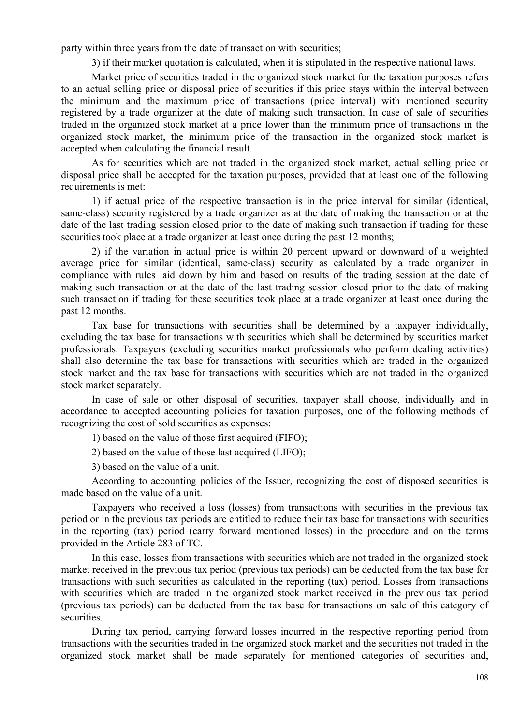party within three years from the date of transaction with securities;

3) if their market quotation is calculated, when it is stipulated in the respective national laws.

Market price of securities traded in the organized stock market for the taxation purposes refers to an actual selling price or disposal price of securities if this price stays within the interval between the minimum and the maximum price of transactions (price interval) with mentioned security registered by a trade organizer at the date of making such transaction. In case of sale of securities traded in the organized stock market at a price lower than the minimum price of transactions in the organized stock market, the minimum price of the transaction in the organized stock market is accepted when calculating the financial result.

As for securities which are not traded in the organized stock market, actual selling price or disposal price shall be accepted for the taxation purposes, provided that at least one of the following requirements is met:

1) if actual price of the respective transaction is in the price interval for similar (identical, same-class) security registered by a trade organizer as at the date of making the transaction or at the date of the last trading session closed prior to the date of making such transaction if trading for these securities took place at a trade organizer at least once during the past 12 months;

2) if the variation in actual price is within 20 percent upward or downward of a weighted average price for similar (identical, same-class) security as calculated by a trade organizer in compliance with rules laid down by him and based on results of the trading session at the date of making such transaction or at the date of the last trading session closed prior to the date of making such transaction if trading for these securities took place at a trade organizer at least once during the past 12 months.

Tax base for transactions with securities shall be determined by a taxpayer individually, excluding the tax base for transactions with securities which shall be determined by securities market professionals. Taxpayers (excluding securities market professionals who perform dealing activities) shall also determine the tax base for transactions with securities which are traded in the organized stock market and the tax base for transactions with securities which are not traded in the organized stock market separately.

In case of sale or other disposal of securities, taxpayer shall choose, individually and in accordance to accepted accounting policies for taxation purposes, one of the following methods of recognizing the cost of sold securities as expenses:

1) based on the value of those first acquired (FIFO);

2) based on the value of those last acquired (LIFO);

3) based on the value of a unit.

According to accounting policies of the Issuer, recognizing the cost of disposed securities is made based on the value of a unit.

Taxpayers who received a loss (losses) from transactions with securities in the previous tax period or in the previous tax periods are entitled to reduce their tax base for transactions with securities in the reporting (tax) period (carry forward mentioned losses) in the procedure and on the terms provided in the Article 283 of TC.

In this case, losses from transactions with securities which are not traded in the organized stock market received in the previous tax period (previous tax periods) can be deducted from the tax base for transactions with such securities as calculated in the reporting (tax) period. Losses from transactions with securities which are traded in the organized stock market received in the previous tax period (previous tax periods) can be deducted from the tax base for transactions on sale of this category of securities.

During tax period, carrying forward losses incurred in the respective reporting period from transactions with the securities traded in the organized stock market and the securities not traded in the organized stock market shall be made separately for mentioned categories of securities and,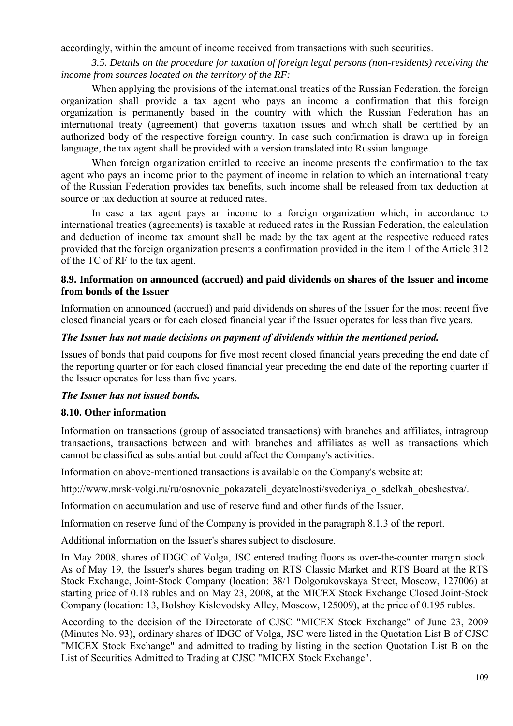accordingly, within the amount of income received from transactions with such securities.

*3.5. Details on the procedure for taxation of foreign legal persons (non-residents) receiving the income from sources located on the territory of the RF:*

When applying the provisions of the international treaties of the Russian Federation, the foreign organization shall provide a tax agent who pays an income a confirmation that this foreign organization is permanently based in the country with which the Russian Federation has an international treaty (agreement) that governs taxation issues and which shall be certified by an authorized body of the respective foreign country. In case such confirmation is drawn up in foreign language, the tax agent shall be provided with a version translated into Russian language.

When foreign organization entitled to receive an income presents the confirmation to the tax agent who pays an income prior to the payment of income in relation to which an international treaty of the Russian Federation provides tax benefits, such income shall be released from tax deduction at source or tax deduction at source at reduced rates.

In case a tax agent pays an income to a foreign organization which, in accordance to international treaties (agreements) is taxable at reduced rates in the Russian Federation, the calculation and deduction of income tax amount shall be made by the tax agent at the respective reduced rates provided that the foreign organization presents a confirmation provided in the item 1 of the Article 312 of the TC of RF to the tax agent.

## **8.9. Information on announced (accrued) and paid dividends on shares of the Issuer and income from bonds of the Issuer**

Information on announced (accrued) and paid dividends on shares of the Issuer for the most recent five closed financial years or for each closed financial year if the Issuer operates for less than five years.

## *The Issuer has not made decisions on payment of dividends within the mentioned period.*

Issues of bonds that paid coupons for five most recent closed financial years preceding the end date of the reporting quarter or for each closed financial year preceding the end date of the reporting quarter if the Issuer operates for less than five years.

## *The Issuer has not issued bonds.*

## **8.10. Other information**

Information on transactions (group of associated transactions) with branches and affiliates, intragroup transactions, transactions between and with branches and affiliates as well as transactions which cannot be classified as substantial but could affect the Company's activities.

Information on above-mentioned transactions is available on the Company's website at:

http://www.mrsk-volgi.ru/ru/osnovnie\_pokazateli\_deyatelnosti/svedeniya\_o\_sdelkah\_obcshestva/.

Information on accumulation and use of reserve fund and other funds of the Issuer.

Information on reserve fund of the Company is provided in the paragraph 8.1.3 of the report.

Additional information on the Issuer's shares subject to disclosure.

In May 2008, shares of IDGC of Volga, JSC entered trading floors as over-the-counter margin stock. As of May 19, the Issuer's shares began trading on RTS Classic Market and RTS Board at the RTS Stock Exchange, Joint-Stock Company (location: 38/1 Dolgorukovskaya Street, Moscow, 127006) at starting price of 0.18 rubles and on May 23, 2008, at the MICEX Stock Exchange Closed Joint-Stock Company (location: 13, Bolshoy Kislovodsky Alley, Moscow, 125009), at the price of 0.195 rubles.

According to the decision of the Directorate of CJSC "MICEX Stock Exchange" of June 23, 2009 (Minutes No. 93), ordinary shares of IDGC of Volga, JSC were listed in the Quotation List B of CJSC "MICEX Stock Exchange" and admitted to trading by listing in the section Quotation List B on the List of Securities Admitted to Trading at CJSC "MICEX Stock Exchange".